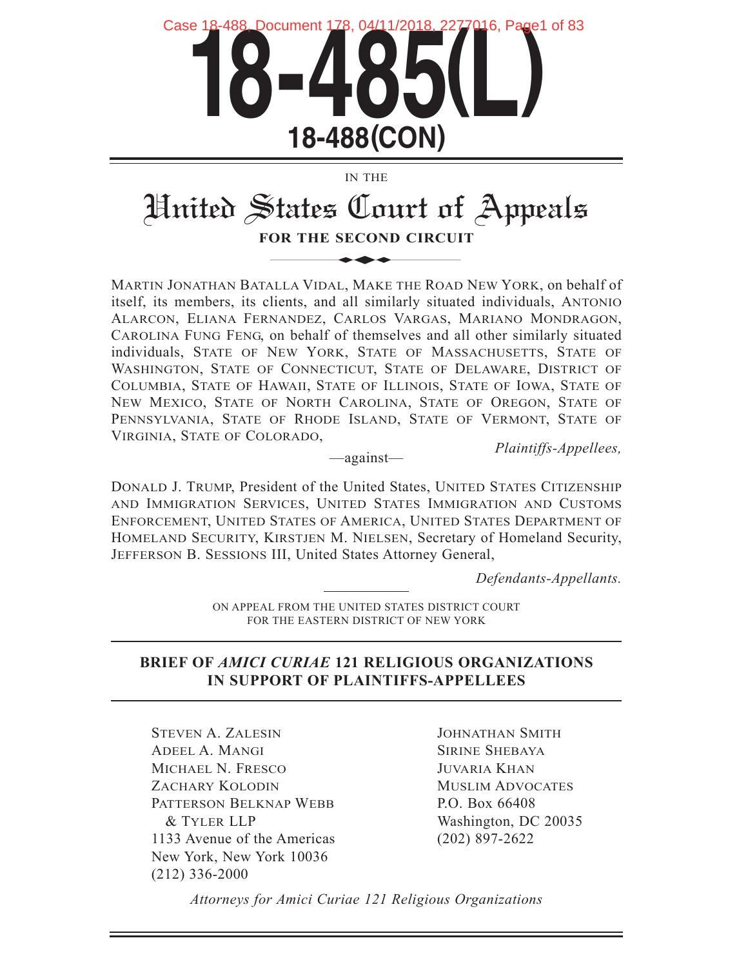

IN THE

# United States Court of Appeals

**FOR THE SECOND CIRCUIT**

MARTIN JONATHAN BATALLA VIDAL, MAKE THE ROAD NEW YORK, on behalf of itself, its members, its clients, and all similarly situated individuals, ANTONIO ALARCON, ELIANA FERNANDEZ, CARLOS VARGAS, MARIANO MONDRAGON, CAROLINA FUNG FENG, on behalf of themselves and all other similarly situated individuals, STATE OF NEW YORK, STATE OF MASSACHUSETTS, STATE OF WASHINGTON, STATE OF CONNECTICUT, STATE OF DELAWARE, DISTRICT OF COLUMBIA, STATE OF HAWAII, STATE OF ILLINOIS, STATE OF IOWA, STATE OF NEW MEXICO, STATE OF NORTH CAROLINA, STATE OF OREGON, STATE OF PENNSYLVANIA, STATE OF RHODE ISLAND, STATE OF VERMONT, STATE OF VIRGINIA, STATE OF COLORADO,

*Plaintiffs-Appellees,* —against—

DONALD J. TRUMP, President of the United States, UNITED STATES CITIZENSHIP AND IMMIGRATION SERVICES, UNITED STATES IMMIGRATION AND CUSTOMS ENFORCEMENT, UNITED STATES OF AMERICA, UNITED STATES DEPARTMENT OF HOMELAND SECURITY, KIRSTJEN M. NIELSEN, Secretary of Homeland Security, JEFFERSON B. SESSIONS III, United States Attorney General,

*Defendants-Appellants.*

ON APPEAL FROM THE UNITED STATES DISTRICT COURT FOR THE EASTERN DISTRICT OF NEW YORK

### **BRIEF OF** *AMICI CURIAE* **121 RELIGIOUS ORGANIZATIONS IN SUPPORT OF PLAINTIFFS-APPELLEES**

STEVEN A. ZALESIN ADEEL A. MANGI MICHAEL N. FRESCO ZACHARY KOLODIN PATTERSON BELKNAP WEBB & TYLER LLP 1133 Avenue of the Americas New York, New York 10036 (212) 336-2000

JOHNATHAN SMITH SIRINE SHEBAYA JUVARIA KHAN MUSLIM ADVOCATES P.O. Box 66408 Washington, DC 20035 (202) 897-2622

*Attorneys for Amici Curiae 121 Religious Organizations*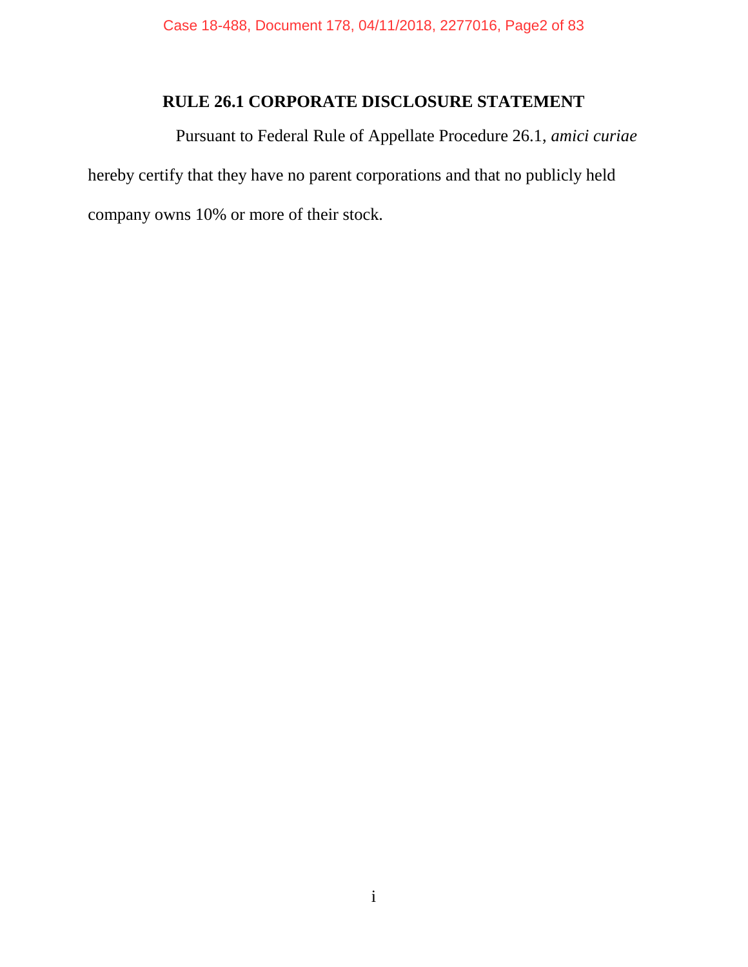# **RULE 26.1 CORPORATE DISCLOSURE STATEMENT**

Pursuant to Federal Rule of Appellate Procedure 26.1, *amici curiae* hereby certify that they have no parent corporations and that no publicly held company owns 10% or more of their stock.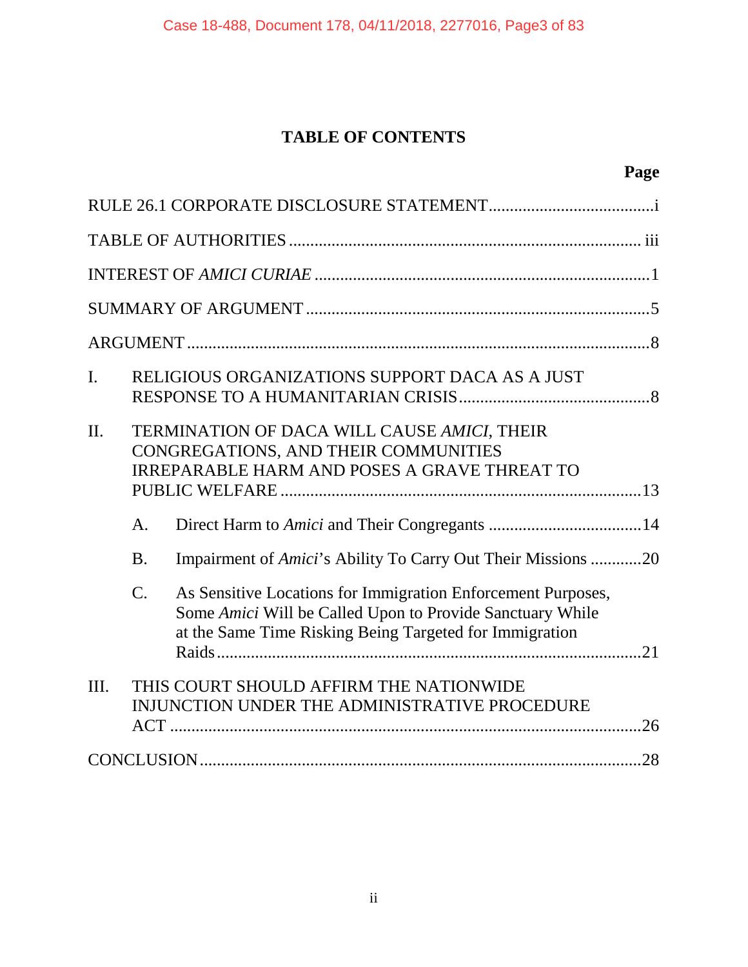# **TABLE OF CONTENTS**

| $\mathbf{I}$ . |                             | RELIGIOUS ORGANIZATIONS SUPPORT DACA AS A JUST                                                                                                                                       |  |
|----------------|-----------------------------|--------------------------------------------------------------------------------------------------------------------------------------------------------------------------------------|--|
| II.            |                             | TERMINATION OF DACA WILL CAUSE AMICI, THEIR<br>CONGREGATIONS, AND THEIR COMMUNITIES<br><b>IRREPARABLE HARM AND POSES A GRAVE THREAT TO</b>                                           |  |
|                |                             |                                                                                                                                                                                      |  |
|                | A <sub>1</sub><br><b>B.</b> | Impairment of Amici's Ability To Carry Out Their Missions 20                                                                                                                         |  |
|                | $C$ .                       | As Sensitive Locations for Immigration Enforcement Purposes,<br>Some Amici Will be Called Upon to Provide Sanctuary While<br>at the Same Time Risking Being Targeted for Immigration |  |
| III.           |                             | THIS COURT SHOULD AFFIRM THE NATIONWIDE<br>INJUNCTION UNDER THE ADMINISTRATIVE PROCEDURE                                                                                             |  |
|                |                             |                                                                                                                                                                                      |  |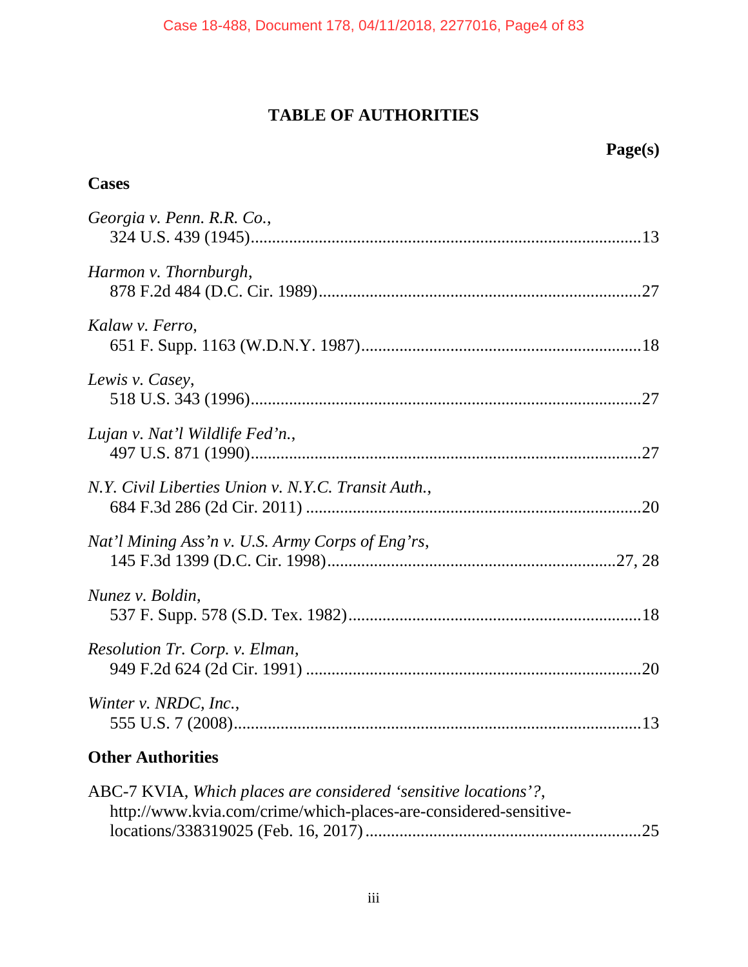# **TABLE OF AUTHORITIES**

# **Page(s)**

# **Cases**

| Georgia v. Penn. R.R. Co.,                          |  |
|-----------------------------------------------------|--|
| Harmon v. Thornburgh,                               |  |
| Kalaw v. Ferro,                                     |  |
| Lewis v. Casey,                                     |  |
| Lujan v. Nat'l Wildlife Fed'n.,                     |  |
| N.Y. Civil Liberties Union v. N.Y.C. Transit Auth., |  |
| Nat'l Mining Ass'n v. U.S. Army Corps of Eng'rs,    |  |
| Nunez v. Boldin,                                    |  |
| Resolution Tr. Corp. v. Elman,                      |  |
| Winter v. NRDC, Inc.,                               |  |

# **Other Authorities**

| ABC-7 KVIA, Which places are considered 'sensitive locations'?,  |  |
|------------------------------------------------------------------|--|
| http://www.kvia.com/crime/which-places-are-considered-sensitive- |  |
|                                                                  |  |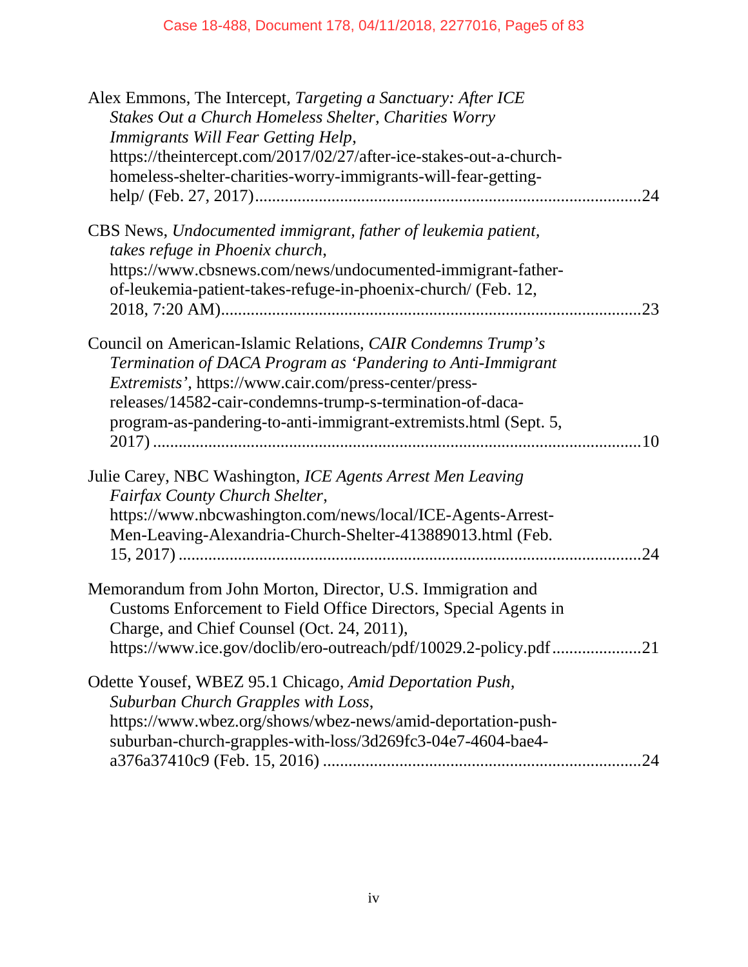| Alex Emmons, The Intercept, Targeting a Sanctuary: After ICE<br>Stakes Out a Church Homeless Shelter, Charities Worry<br>Immigrants Will Fear Getting Help,<br>https://theintercept.com/2017/02/27/after-ice-stakes-out-a-church-<br>homeless-shelter-charities-worry-immigrants-will-fear-getting-                   | 24 |
|-----------------------------------------------------------------------------------------------------------------------------------------------------------------------------------------------------------------------------------------------------------------------------------------------------------------------|----|
| CBS News, Undocumented immigrant, father of leukemia patient,<br>takes refuge in Phoenix church,<br>https://www.cbsnews.com/news/undocumented-immigrant-father-<br>of-leukemia-patient-takes-refuge-in-phoenix-church/ (Feb. 12,                                                                                      | 23 |
| Council on American-Islamic Relations, CAIR Condemns Trump's<br>Termination of DACA Program as 'Pandering to Anti-Immigrant<br>Extremists', https://www.cair.com/press-center/press-<br>releases/14582-cair-condemns-trump-s-termination-of-daca-<br>program-as-pandering-to-anti-immigrant-extremists.html (Sept. 5, |    |
| Julie Carey, NBC Washington, ICE Agents Arrest Men Leaving<br>Fairfax County Church Shelter,<br>https://www.nbcwashington.com/news/local/ICE-Agents-Arrest-<br>Men-Leaving-Alexandria-Church-Shelter-413889013.html (Feb.                                                                                             | 24 |
| Memorandum from John Morton, Director, U.S. Immigration and<br>Customs Enforcement to Field Office Directors, Special Agents in<br>Charge, and Chief Counsel (Oct. 24, 2011),<br>https://www.ice.gov/doclib/ero-outreach/pdf/10029.2-policy.pdf21                                                                     |    |
| Odette Yousef, WBEZ 95.1 Chicago, Amid Deportation Push,<br>Suburban Church Grapples with Loss,<br>https://www.wbez.org/shows/wbez-news/amid-deportation-push-<br>suburban-church-grapples-with-loss/3d269fc3-04e7-4604-bae4-                                                                                         | 24 |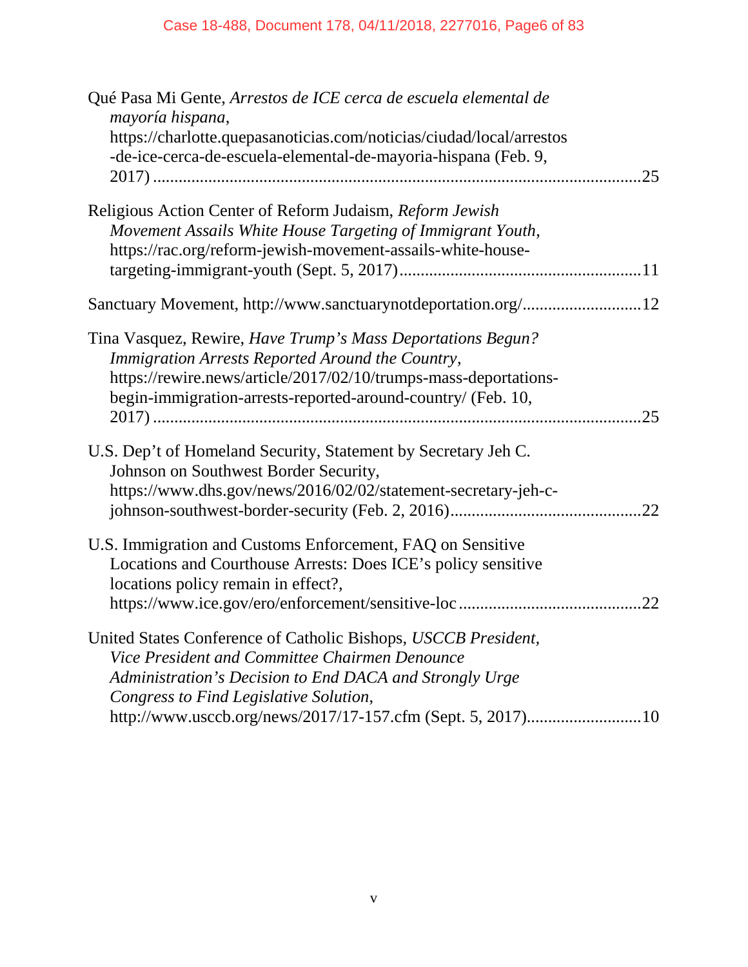| Qué Pasa Mi Gente, Arrestos de ICE cerca de escuela elemental de<br>mayoría hispana,                                                                                                  |     |
|---------------------------------------------------------------------------------------------------------------------------------------------------------------------------------------|-----|
| https://charlotte.quepasanoticias.com/noticias/ciudad/local/arrestos<br>-de-ice-cerca-de-escuela-elemental-de-mayoria-hispana (Feb. 9,                                                |     |
|                                                                                                                                                                                       |     |
| Religious Action Center of Reform Judaism, Reform Jewish<br>Movement Assails White House Targeting of Immigrant Youth,<br>https://rac.org/reform-jewish-movement-assails-white-house- |     |
|                                                                                                                                                                                       |     |
| Sanctuary Movement, http://www.sanctuarynotdeportation.org/12                                                                                                                         |     |
| Tina Vasquez, Rewire, Have Trump's Mass Deportations Begun?<br>Immigration Arrests Reported Around the Country,                                                                       |     |
| https://rewire.news/article/2017/02/10/trumps-mass-deportations-<br>begin-immigration-arrests-reported-around-country/ (Feb. 10,                                                      | 25  |
|                                                                                                                                                                                       |     |
| U.S. Dep't of Homeland Security, Statement by Secretary Jeh C.<br>Johnson on Southwest Border Security,                                                                               |     |
| https://www.dhs.gov/news/2016/02/02/statement-secretary-jeh-c-                                                                                                                        | 22  |
| U.S. Immigration and Customs Enforcement, FAQ on Sensitive                                                                                                                            |     |
| Locations and Courthouse Arrests: Does ICE's policy sensitive<br>locations policy remain in effect?,                                                                                  |     |
|                                                                                                                                                                                       | .22 |
| United States Conference of Catholic Bishops, USCCB President,                                                                                                                        |     |
| Vice President and Committee Chairmen Denounce<br>Administration's Decision to End DACA and Strongly Urge                                                                             |     |
| Congress to Find Legislative Solution,                                                                                                                                                |     |
| http://www.usccb.org/news/2017/17-157.cfm (Sept. 5, 2017)10                                                                                                                           |     |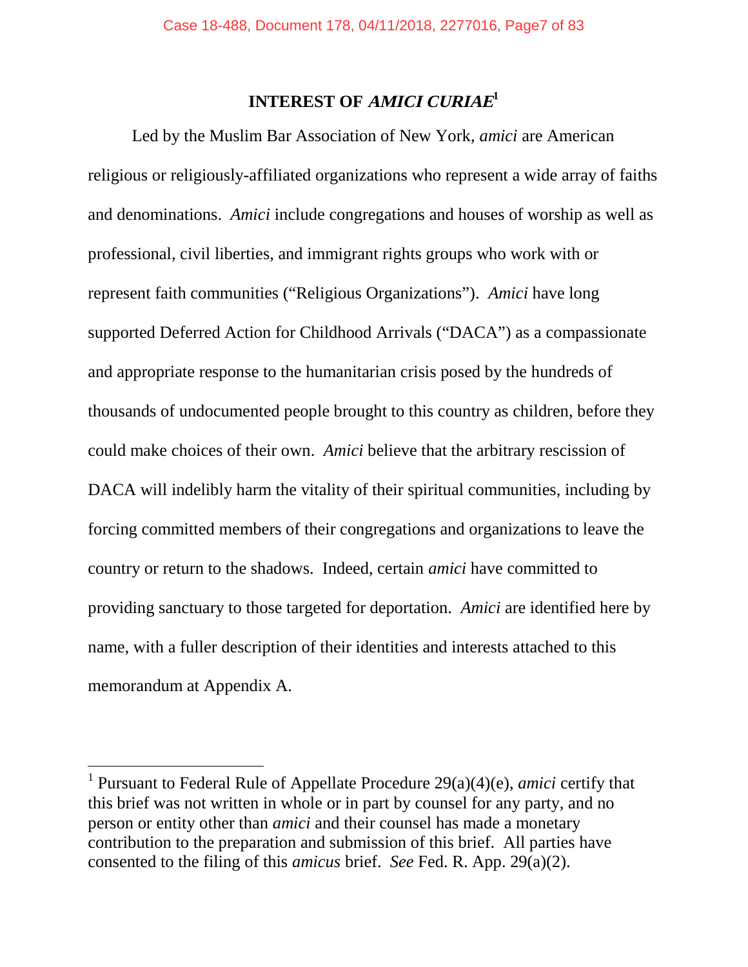# **INTEREST OF AMICI CURIAE 1**

Led by the Muslim Bar Association of New York, *amici* are American religious or religiously-affiliated organizations who represent a wide array of faiths and denominations. *Amici* include congregations and houses of worship as well as professional, civil liberties, and immigrant rights groups who work with or represent faith communities ("Religious Organizations"). *Amici* have long supported Deferred Action for Childhood Arrivals ("DACA") as a compassionate and appropriate response to the humanitarian crisis posed by the hundreds of thousands of undocumented people brought to this country as children, before they could make choices of their own. *Amici* believe that the arbitrary rescission of DACA will indelibly harm the vitality of their spiritual communities, including by forcing committed members of their congregations and organizations to leave the country or return to the shadows. Indeed, certain *amici* have committed to providing sanctuary to those targeted for deportation. *Amici* are identified here by name, with a fuller description of their identities and interests attached to this memorandum at Appendix A.

<sup>1</sup> Pursuant to Federal Rule of Appellate Procedure 29(a)(4)(e), *amici* certify that this brief was not written in whole or in part by counsel for any party, and no person or entity other than *amici* and their counsel has made a monetary contribution to the preparation and submission of this brief. All parties have consented to the filing of this *amicus* brief. *See* Fed. R. App. 29(a)(2).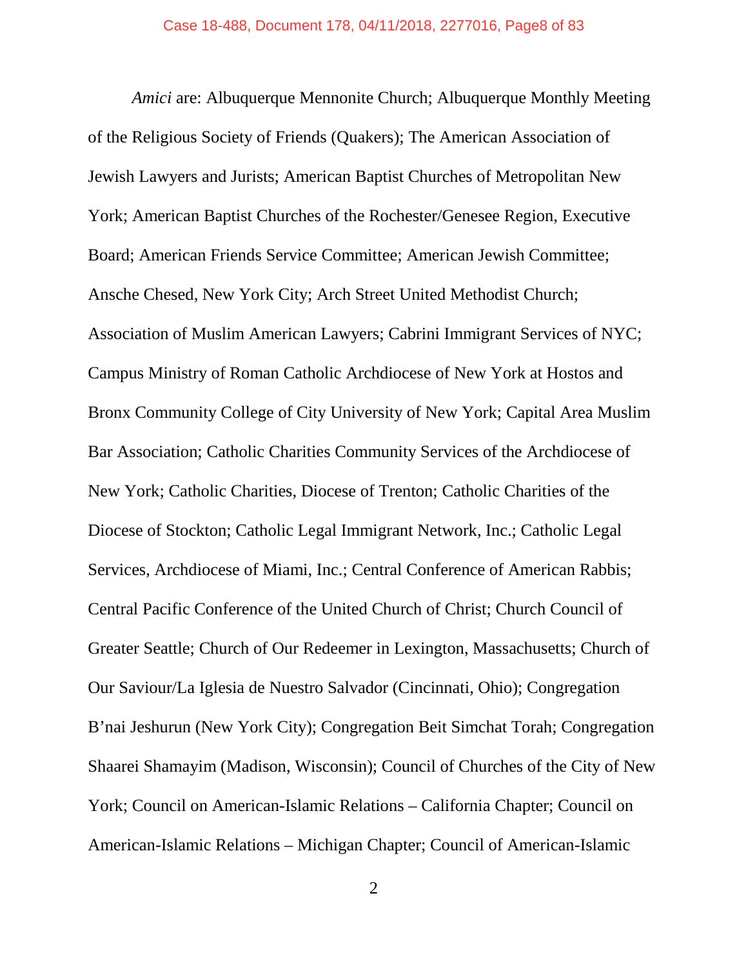*Amici* are: Albuquerque Mennonite Church; Albuquerque Monthly Meeting of the Religious Society of Friends (Quakers); The American Association of Jewish Lawyers and Jurists; American Baptist Churches of Metropolitan New York; American Baptist Churches of the Rochester/Genesee Region, Executive Board; American Friends Service Committee; American Jewish Committee; Ansche Chesed, New York City; Arch Street United Methodist Church; Association of Muslim American Lawyers; Cabrini Immigrant Services of NYC; Campus Ministry of Roman Catholic Archdiocese of New York at Hostos and Bronx Community College of City University of New York; Capital Area Muslim Bar Association; Catholic Charities Community Services of the Archdiocese of New York; Catholic Charities, Diocese of Trenton; Catholic Charities of the Diocese of Stockton; Catholic Legal Immigrant Network, Inc.; Catholic Legal Services, Archdiocese of Miami, Inc.; Central Conference of American Rabbis; Central Pacific Conference of the United Church of Christ; Church Council of Greater Seattle; Church of Our Redeemer in Lexington, Massachusetts; Church of Our Saviour/La Iglesia de Nuestro Salvador (Cincinnati, Ohio); Congregation B'nai Jeshurun (New York City); Congregation Beit Simchat Torah; Congregation Shaarei Shamayim (Madison, Wisconsin); Council of Churches of the City of New York; Council on American-Islamic Relations – California Chapter; Council on American-Islamic Relations – Michigan Chapter; Council of American-Islamic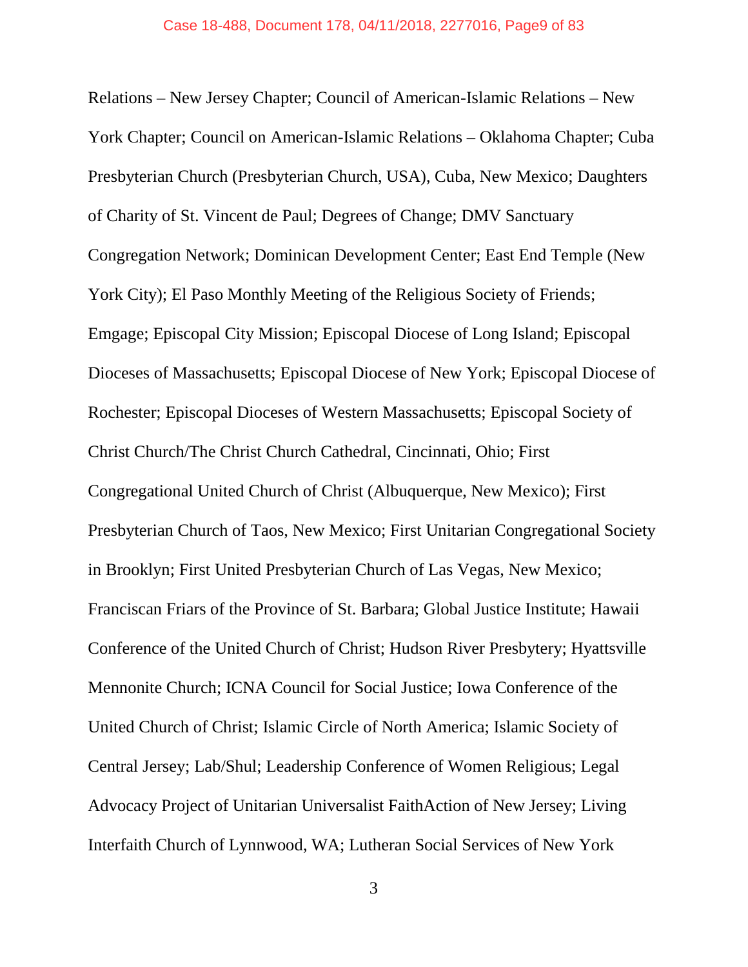Relations – New Jersey Chapter; Council of American-Islamic Relations – New York Chapter; Council on American-Islamic Relations – Oklahoma Chapter; Cuba Presbyterian Church (Presbyterian Church, USA), Cuba, New Mexico; Daughters of Charity of St. Vincent de Paul; Degrees of Change; DMV Sanctuary Congregation Network; Dominican Development Center; East End Temple (New York City); El Paso Monthly Meeting of the Religious Society of Friends; Emgage; Episcopal City Mission; Episcopal Diocese of Long Island; Episcopal Dioceses of Massachusetts; Episcopal Diocese of New York; Episcopal Diocese of Rochester; Episcopal Dioceses of Western Massachusetts; Episcopal Society of Christ Church/The Christ Church Cathedral, Cincinnati, Ohio; First Congregational United Church of Christ (Albuquerque, New Mexico); First Presbyterian Church of Taos, New Mexico; First Unitarian Congregational Society in Brooklyn; First United Presbyterian Church of Las Vegas, New Mexico; Franciscan Friars of the Province of St. Barbara; Global Justice Institute; Hawaii Conference of the United Church of Christ; Hudson River Presbytery; Hyattsville Mennonite Church; ICNA Council for Social Justice; Iowa Conference of the United Church of Christ; Islamic Circle of North America; Islamic Society of Central Jersey; Lab/Shul; Leadership Conference of Women Religious; Legal Advocacy Project of Unitarian Universalist FaithAction of New Jersey; Living Interfaith Church of Lynnwood, WA; Lutheran Social Services of New York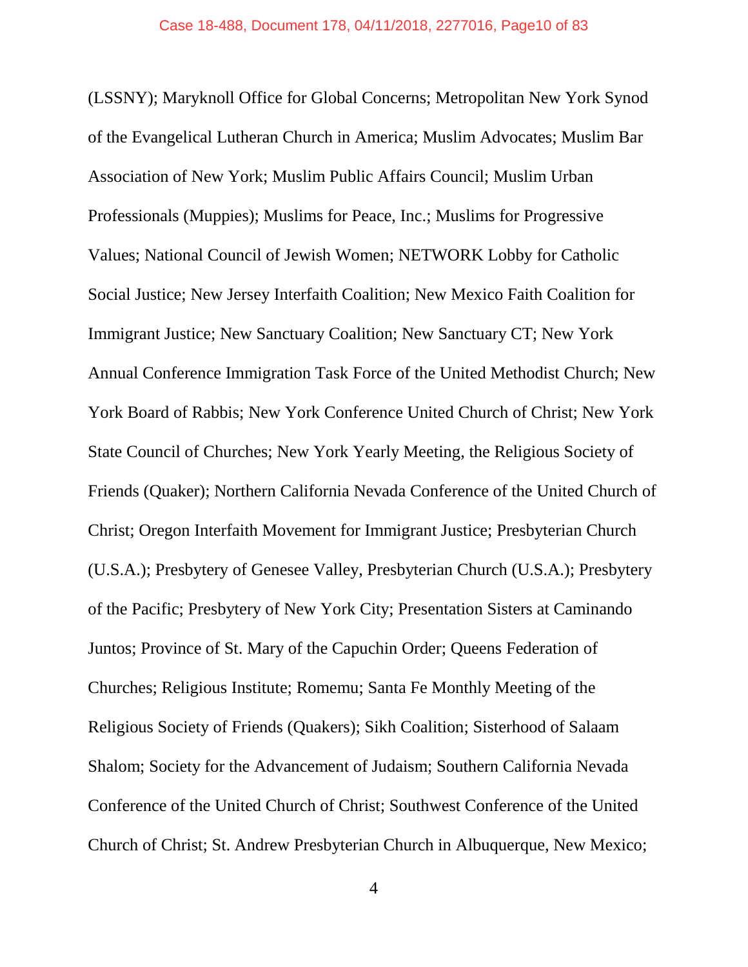(LSSNY); Maryknoll Office for Global Concerns; Metropolitan New York Synod of the Evangelical Lutheran Church in America; Muslim Advocates; Muslim Bar Association of New York; Muslim Public Affairs Council; Muslim Urban Professionals (Muppies); Muslims for Peace, Inc.; Muslims for Progressive Values; National Council of Jewish Women; NETWORK Lobby for Catholic Social Justice; New Jersey Interfaith Coalition; New Mexico Faith Coalition for Immigrant Justice; New Sanctuary Coalition; New Sanctuary CT; New York Annual Conference Immigration Task Force of the United Methodist Church; New York Board of Rabbis; New York Conference United Church of Christ; New York State Council of Churches; New York Yearly Meeting, the Religious Society of Friends (Quaker); Northern California Nevada Conference of the United Church of Christ; Oregon Interfaith Movement for Immigrant Justice; Presbyterian Church (U.S.A.); Presbytery of Genesee Valley, Presbyterian Church (U.S.A.); Presbytery of the Pacific; Presbytery of New York City; Presentation Sisters at Caminando Juntos; Province of St. Mary of the Capuchin Order; Queens Federation of Churches; Religious Institute; Romemu; Santa Fe Monthly Meeting of the Religious Society of Friends (Quakers); Sikh Coalition; Sisterhood of Salaam Shalom; Society for the Advancement of Judaism; Southern California Nevada Conference of the United Church of Christ; Southwest Conference of the United Church of Christ; St. Andrew Presbyterian Church in Albuquerque, New Mexico;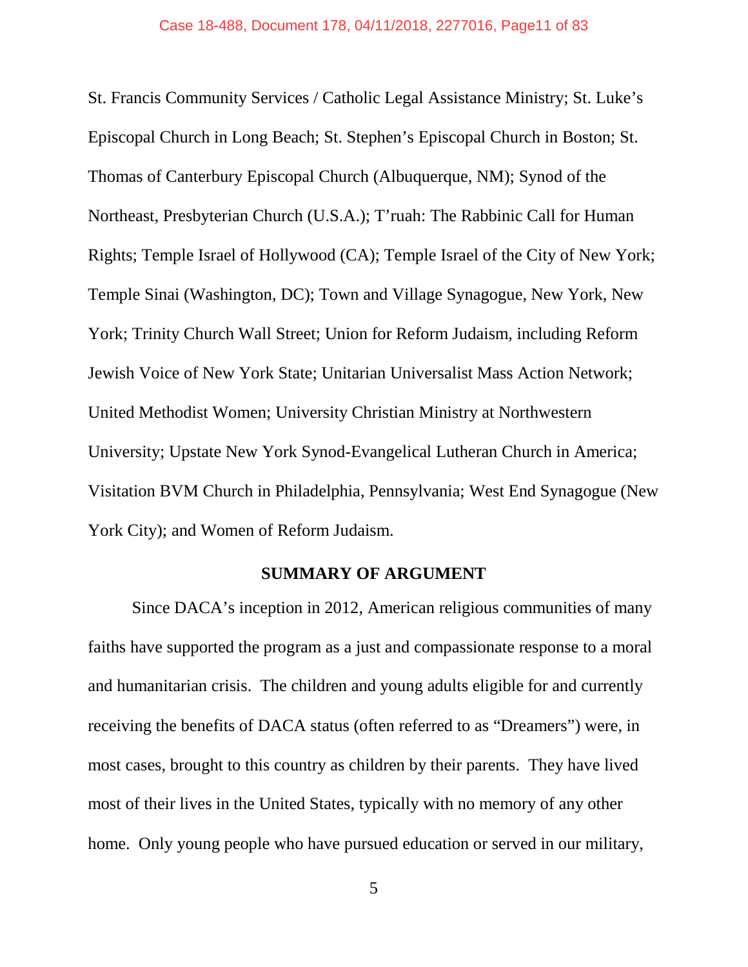St. Francis Community Services / Catholic Legal Assistance Ministry; St. Luke's Episcopal Church in Long Beach; St. Stephen's Episcopal Church in Boston; St. Thomas of Canterbury Episcopal Church (Albuquerque, NM); Synod of the Northeast, Presbyterian Church (U.S.A.); T'ruah: The Rabbinic Call for Human Rights; Temple Israel of Hollywood (CA); Temple Israel of the City of New York; Temple Sinai (Washington, DC); Town and Village Synagogue, New York, New York; Trinity Church Wall Street; Union for Reform Judaism, including Reform Jewish Voice of New York State; Unitarian Universalist Mass Action Network; United Methodist Women; University Christian Ministry at Northwestern University; Upstate New York Synod-Evangelical Lutheran Church in America; Visitation BVM Church in Philadelphia, Pennsylvania; West End Synagogue (New York City); and Women of Reform Judaism.

### **SUMMARY OF ARGUMENT**

Since DACA's inception in 2012, American religious communities of many faiths have supported the program as a just and compassionate response to a moral and humanitarian crisis. The children and young adults eligible for and currently receiving the benefits of DACA status (often referred to as "Dreamers") were, in most cases, brought to this country as children by their parents. They have lived most of their lives in the United States, typically with no memory of any other home. Only young people who have pursued education or served in our military,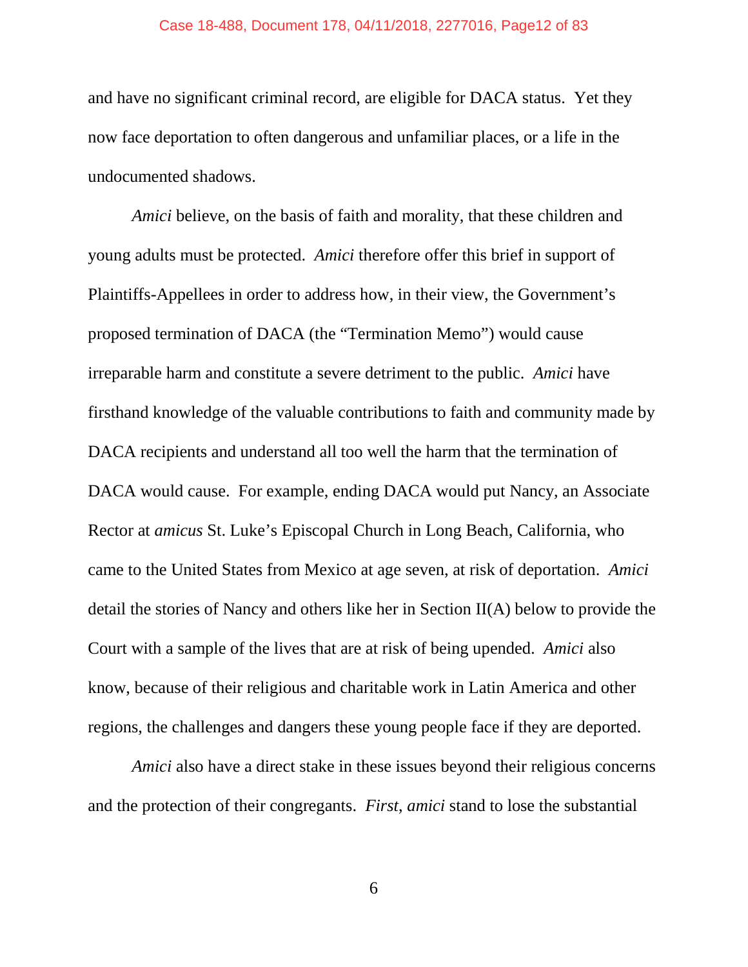#### Case 18-488, Document 178, 04/11/2018, 2277016, Page12 of 83

and have no significant criminal record, are eligible for DACA status. Yet they now face deportation to often dangerous and unfamiliar places, or a life in the undocumented shadows.

*Amici* believe, on the basis of faith and morality, that these children and young adults must be protected. *Amici* therefore offer this brief in support of Plaintiffs-Appellees in order to address how, in their view, the Government's proposed termination of DACA (the "Termination Memo") would cause irreparable harm and constitute a severe detriment to the public. *Amici* have firsthand knowledge of the valuable contributions to faith and community made by DACA recipients and understand all too well the harm that the termination of DACA would cause. For example, ending DACA would put Nancy, an Associate Rector at *amicus* St. Luke's Episcopal Church in Long Beach, California, who came to the United States from Mexico at age seven, at risk of deportation. *Amici* detail the stories of Nancy and others like her in Section II(A) below to provide the Court with a sample of the lives that are at risk of being upended. *Amici* also know, because of their religious and charitable work in Latin America and other regions, the challenges and dangers these young people face if they are deported.

*Amici* also have a direct stake in these issues beyond their religious concerns and the protection of their congregants. *First*, *amici* stand to lose the substantial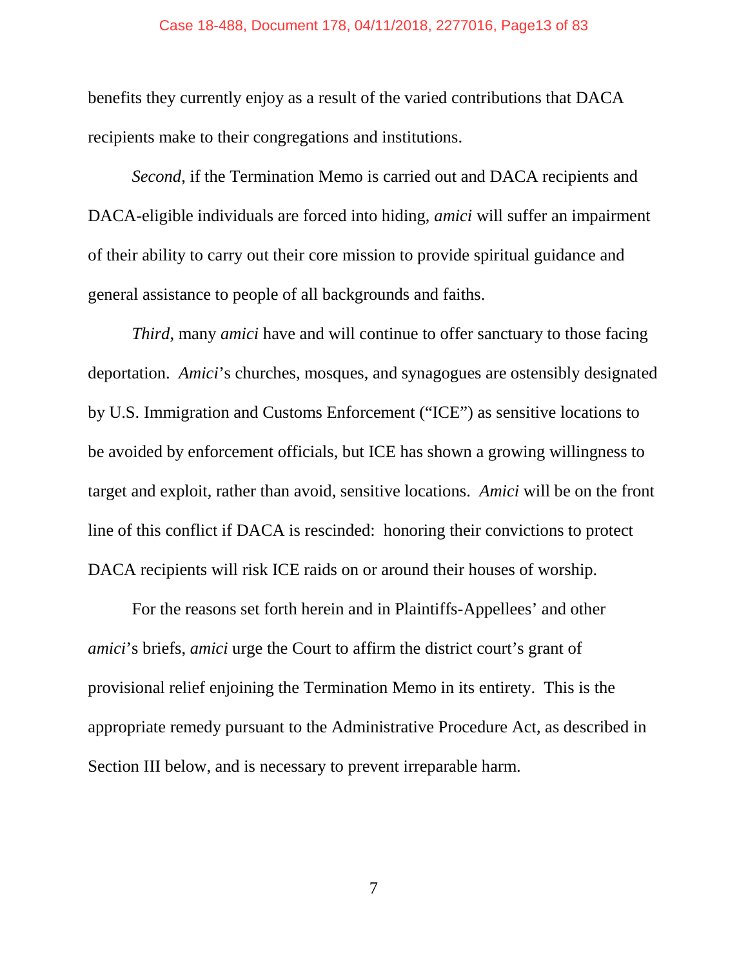#### Case 18-488, Document 178, 04/11/2018, 2277016, Page13 of 83

benefits they currently enjoy as a result of the varied contributions that DACA recipients make to their congregations and institutions.

*Second*, if the Termination Memo is carried out and DACA recipients and DACA-eligible individuals are forced into hiding, *amici* will suffer an impairment of their ability to carry out their core mission to provide spiritual guidance and general assistance to people of all backgrounds and faiths.

*Third*, many *amici* have and will continue to offer sanctuary to those facing deportation. *Amici*'s churches, mosques, and synagogues are ostensibly designated by U.S. Immigration and Customs Enforcement ("ICE") as sensitive locations to be avoided by enforcement officials, but ICE has shown a growing willingness to target and exploit, rather than avoid, sensitive locations. *Amici* will be on the front line of this conflict if DACA is rescinded: honoring their convictions to protect DACA recipients will risk ICE raids on or around their houses of worship.

For the reasons set forth herein and in Plaintiffs-Appellees' and other *amici*'s briefs, *amici* urge the Court to affirm the district court's grant of provisional relief enjoining the Termination Memo in its entirety. This is the appropriate remedy pursuant to the Administrative Procedure Act, as described in Section III below, and is necessary to prevent irreparable harm.

7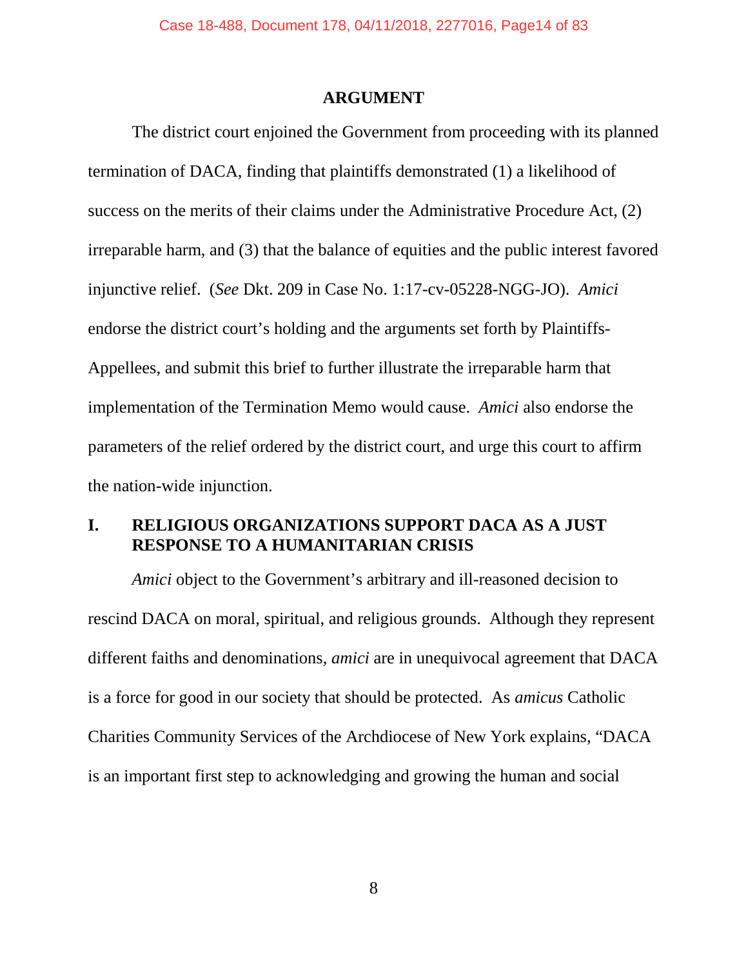#### **ARGUMENT**

The district court enjoined the Government from proceeding with its planned termination of DACA, finding that plaintiffs demonstrated (1) a likelihood of success on the merits of their claims under the Administrative Procedure Act, (2) irreparable harm, and (3) that the balance of equities and the public interest favored injunctive relief. (*See* Dkt. 209 in Case No. 1:17-cv-05228-NGG-JO). *Amici* endorse the district court's holding and the arguments set forth by Plaintiffs-Appellees, and submit this brief to further illustrate the irreparable harm that implementation of the Termination Memo would cause. *Amici* also endorse the parameters of the relief ordered by the district court, and urge this court to affirm the nation-wide injunction.

### **I. RELIGIOUS ORGANIZATIONS SUPPORT DACA AS A JUST RESPONSE TO A HUMANITARIAN CRISIS**

*Amici* object to the Government's arbitrary and ill-reasoned decision to rescind DACA on moral, spiritual, and religious grounds. Although they represent different faiths and denominations, *amici* are in unequivocal agreement that DACA is a force for good in our society that should be protected. As *amicus* Catholic Charities Community Services of the Archdiocese of New York explains, "DACA is an important first step to acknowledging and growing the human and social

8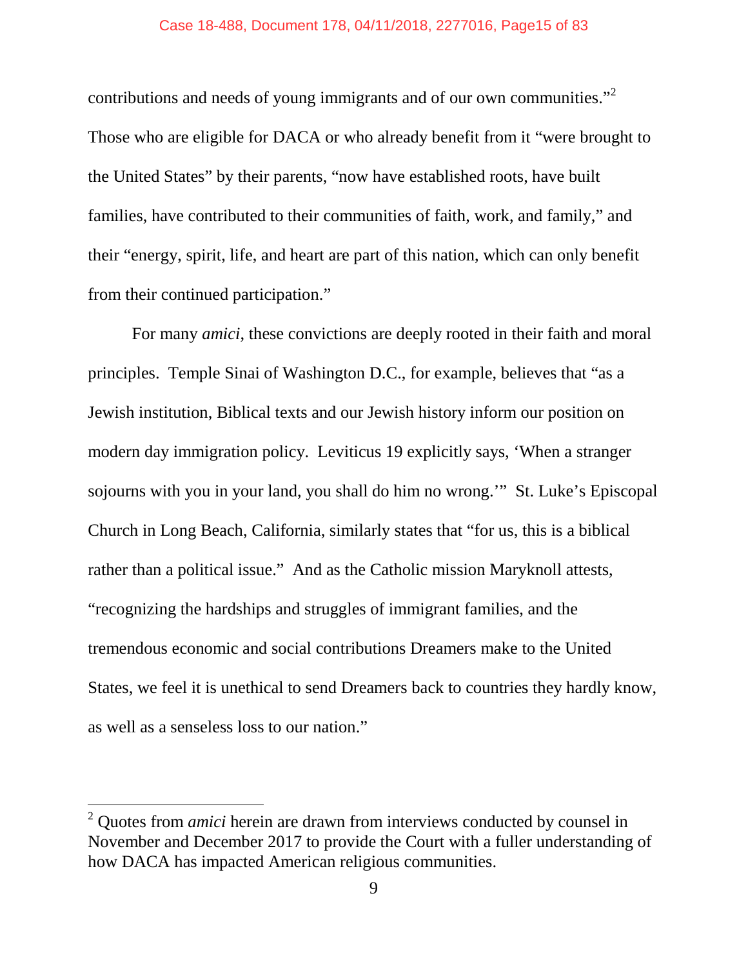contributions and needs of young immigrants and of our own communities."<sup>2</sup> Those who are eligible for DACA or who already benefit from it "were brought to the United States" by their parents, "now have established roots, have built families, have contributed to their communities of faith, work, and family," and their "energy, spirit, life, and heart are part of this nation, which can only benefit from their continued participation."

For many *amici*, these convictions are deeply rooted in their faith and moral principles. Temple Sinai of Washington D.C., for example, believes that "as a Jewish institution, Biblical texts and our Jewish history inform our position on modern day immigration policy. Leviticus 19 explicitly says, 'When a stranger sojourns with you in your land, you shall do him no wrong.'" St. Luke's Episcopal Church in Long Beach, California, similarly states that "for us, this is a biblical rather than a political issue." And as the Catholic mission Maryknoll attests, "recognizing the hardships and struggles of immigrant families, and the tremendous economic and social contributions Dreamers make to the United States, we feel it is unethical to send Dreamers back to countries they hardly know, as well as a senseless loss to our nation."

<sup>2</sup> Quotes from *amici* herein are drawn from interviews conducted by counsel in November and December 2017 to provide the Court with a fuller understanding of how DACA has impacted American religious communities.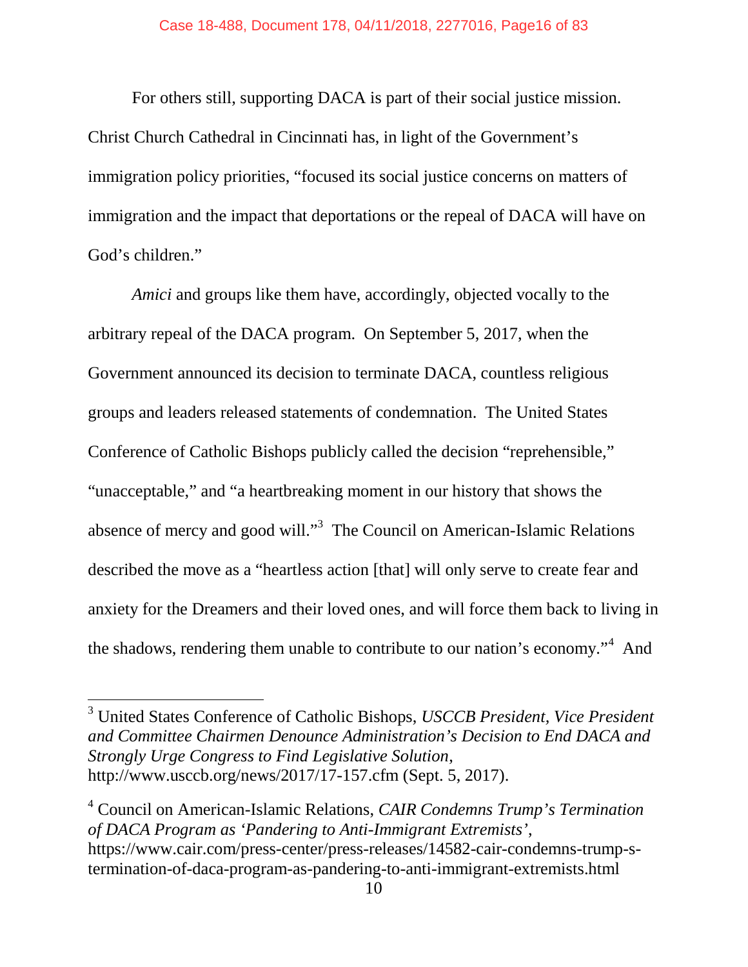For others still, supporting DACA is part of their social justice mission. Christ Church Cathedral in Cincinnati has, in light of the Government's immigration policy priorities, "focused its social justice concerns on matters of immigration and the impact that deportations or the repeal of DACA will have on God's children."

*Amici* and groups like them have, accordingly, objected vocally to the arbitrary repeal of the DACA program. On September 5, 2017, when the Government announced its decision to terminate DACA, countless religious groups and leaders released statements of condemnation. The United States Conference of Catholic Bishops publicly called the decision "reprehensible," "unacceptable," and "a heartbreaking moment in our history that shows the absence of mercy and good will."<sup>3</sup> The Council on American-Islamic Relations described the move as a "heartless action [that] will only serve to create fear and anxiety for the Dreamers and their loved ones, and will force them back to living in the shadows, rendering them unable to contribute to our nation's economy."<sup>4</sup> And

<sup>4</sup> Council on American-Islamic Relations, *CAIR Condemns Trump's Termination of DACA Program as 'Pandering to Anti-Immigrant Extremists'*, https://www.cair.com/press-center/press-releases/14582-cair-condemns-trump-stermination-of-daca-program-as-pandering-to-anti-immigrant-extremists.html

<sup>3</sup> United States Conference of Catholic Bishops, *USCCB President, Vice President and Committee Chairmen Denounce Administration's Decision to End DACA and Strongly Urge Congress to Find Legislative Solution*, http://www.usccb.org/news/2017/17-157.cfm (Sept. 5, 2017).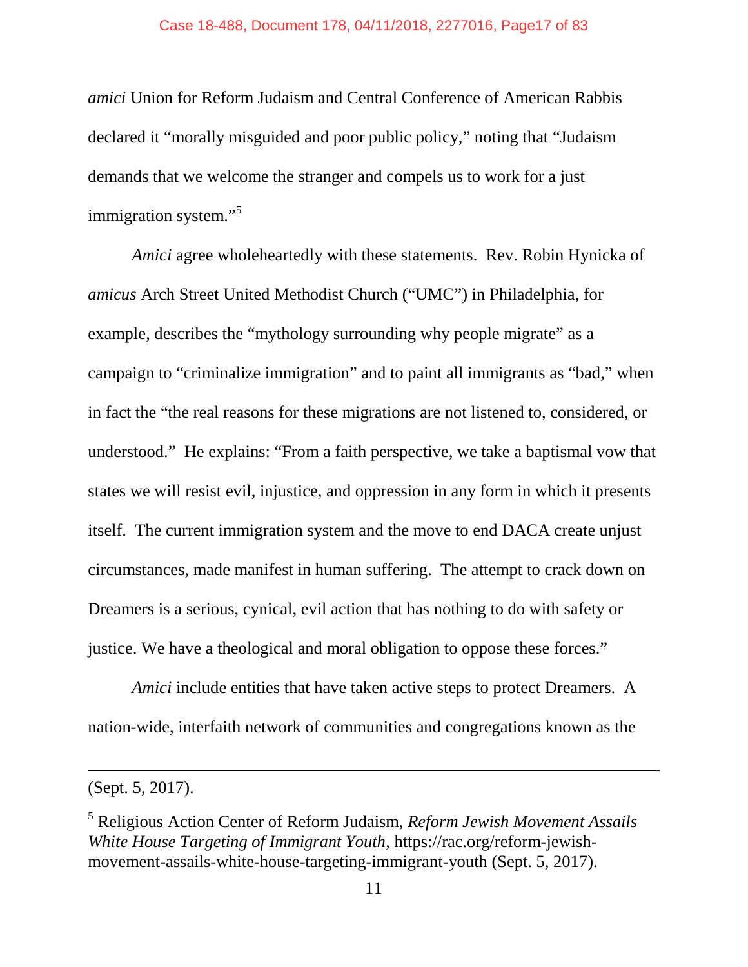*amici* Union for Reform Judaism and Central Conference of American Rabbis declared it "morally misguided and poor public policy," noting that "Judaism demands that we welcome the stranger and compels us to work for a just immigration system."<sup>5</sup>

*Amici* agree wholeheartedly with these statements. Rev. Robin Hynicka of *amicus* Arch Street United Methodist Church ("UMC") in Philadelphia, for example, describes the "mythology surrounding why people migrate" as a campaign to "criminalize immigration" and to paint all immigrants as "bad," when in fact the "the real reasons for these migrations are not listened to, considered, or understood." He explains: "From a faith perspective, we take a baptismal vow that states we will resist evil, injustice, and oppression in any form in which it presents itself. The current immigration system and the move to end DACA create unjust circumstances, made manifest in human suffering. The attempt to crack down on Dreamers is a serious, cynical, evil action that has nothing to do with safety or justice. We have a theological and moral obligation to oppose these forces."

*Amici* include entities that have taken active steps to protect Dreamers. A nation-wide, interfaith network of communities and congregations known as the

<sup>(</sup>Sept. 5, 2017).

<sup>5</sup> Religious Action Center of Reform Judaism, *Reform Jewish Movement Assails White House Targeting of Immigrant Youth*, https://rac.org/reform-jewishmovement-assails-white-house-targeting-immigrant-youth (Sept. 5, 2017).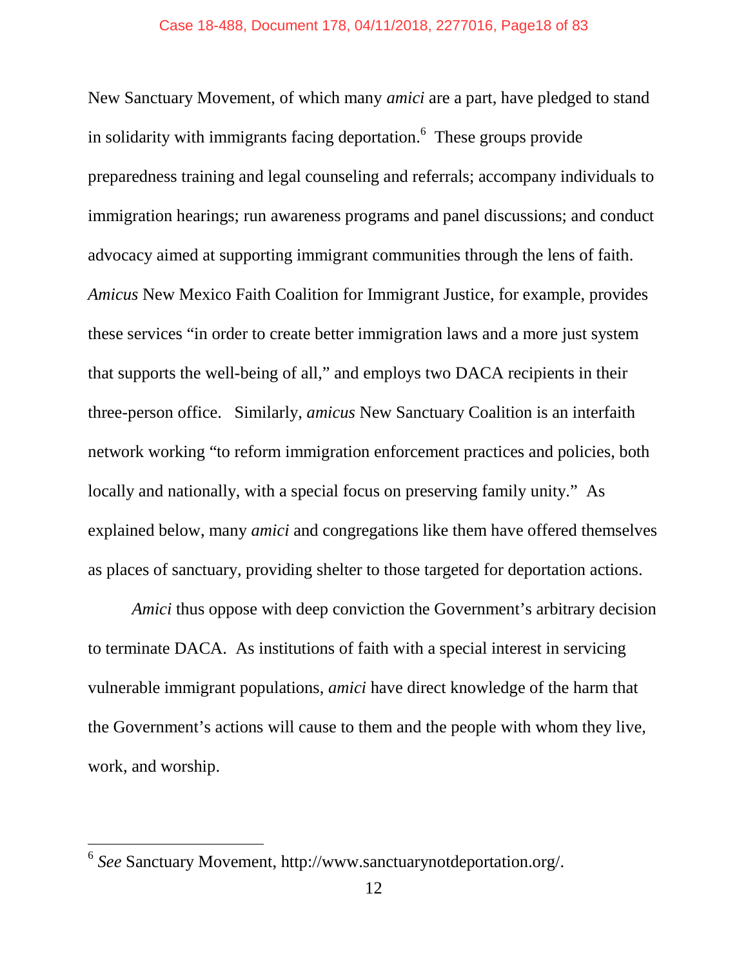New Sanctuary Movement, of which many *amici* are a part, have pledged to stand in solidarity with immigrants facing deportation.<sup>6</sup> These groups provide preparedness training and legal counseling and referrals; accompany individuals to immigration hearings; run awareness programs and panel discussions; and conduct advocacy aimed at supporting immigrant communities through the lens of faith. *Amicus* New Mexico Faith Coalition for Immigrant Justice, for example, provides these services "in order to create better immigration laws and a more just system that supports the well-being of all," and employs two DACA recipients in their three-person office. Similarly, *amicus* New Sanctuary Coalition is an interfaith network working "to reform immigration enforcement practices and policies, both locally and nationally, with a special focus on preserving family unity." As explained below, many *amici* and congregations like them have offered themselves as places of sanctuary, providing shelter to those targeted for deportation actions.

*Amici* thus oppose with deep conviction the Government's arbitrary decision to terminate DACA. As institutions of faith with a special interest in servicing vulnerable immigrant populations, *amici* have direct knowledge of the harm that the Government's actions will cause to them and the people with whom they live, work, and worship.

<sup>6</sup> *See* Sanctuary Movement, http://www.sanctuarynotdeportation.org/.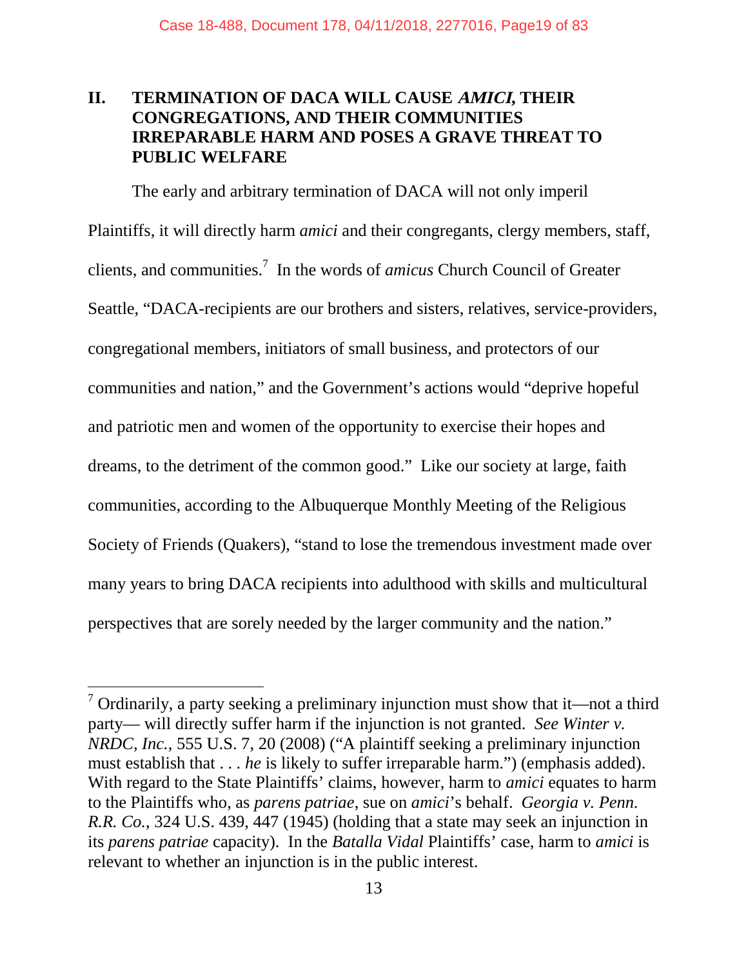### **II. TERMINATION OF DACA WILL CAUSE AMICI, THEIR CONGREGATIONS, AND THEIR COMMUNITIES IRREPARABLE HARM AND POSES A GRAVE THREAT TO PUBLIC WELFARE**

The early and arbitrary termination of DACA will not only imperil Plaintiffs, it will directly harm *amici* and their congregants, clergy members, staff, clients, and communities.<sup>7</sup> In the words of *amicus* Church Council of Greater Seattle, "DACA-recipients are our brothers and sisters, relatives, service-providers, congregational members, initiators of small business, and protectors of our communities and nation," and the Government's actions would "deprive hopeful and patriotic men and women of the opportunity to exercise their hopes and dreams, to the detriment of the common good." Like our society at large, faith communities, according to the Albuquerque Monthly Meeting of the Religious Society of Friends (Quakers), "stand to lose the tremendous investment made over many years to bring DACA recipients into adulthood with skills and multicultural perspectives that are sorely needed by the larger community and the nation."

 $<sup>7</sup>$  Ordinarily, a party seeking a preliminary injunction must show that it—not a third</sup> party— will directly suffer harm if the injunction is not granted. *See Winter v. NRDC, Inc.*, 555 U.S. 7, 20 (2008) ("A plaintiff seeking a preliminary injunction must establish that . . . *he* is likely to suffer irreparable harm.") (emphasis added). With regard to the State Plaintiffs' claims, however, harm to *amici* equates to harm to the Plaintiffs who, as *parens patriae*, sue on *amici*'s behalf. *Georgia v. Penn. R.R. Co.*, 324 U.S. 439, 447 (1945) (holding that a state may seek an injunction in its *parens patriae* capacity). In the *Batalla Vidal* Plaintiffs' case, harm to *amici* is relevant to whether an injunction is in the public interest.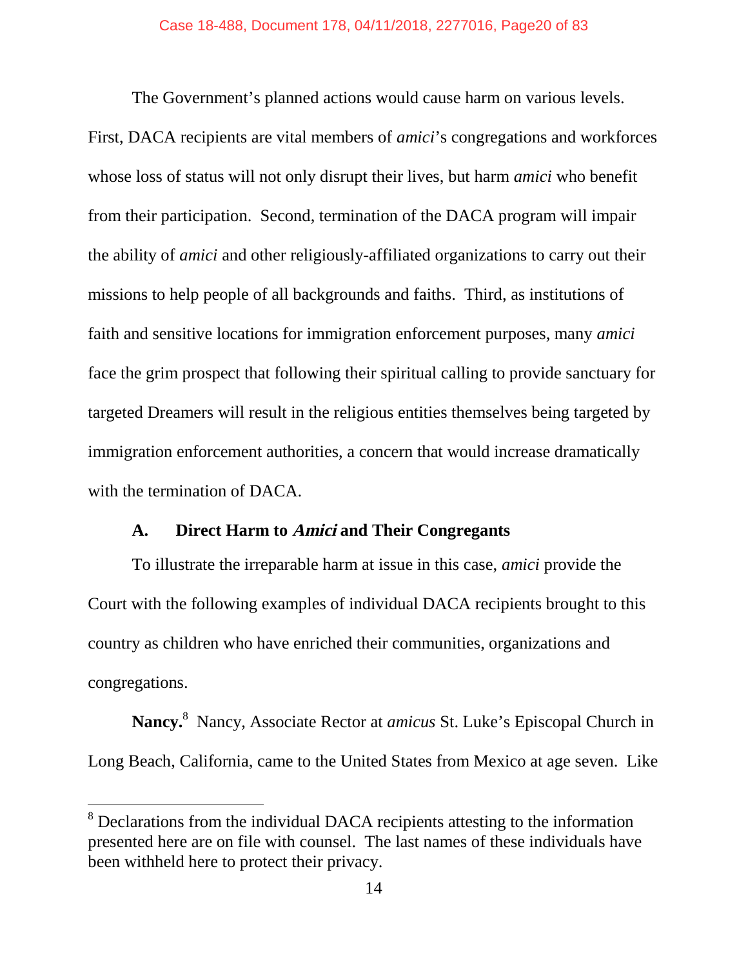The Government's planned actions would cause harm on various levels.

First, DACA recipients are vital members of *amici*'s congregations and workforces whose loss of status will not only disrupt their lives, but harm *amici* who benefit from their participation. Second, termination of the DACA program will impair the ability of *amici* and other religiously-affiliated organizations to carry out their missions to help people of all backgrounds and faiths. Third, as institutions of faith and sensitive locations for immigration enforcement purposes, many *amici* face the grim prospect that following their spiritual calling to provide sanctuary for targeted Dreamers will result in the religious entities themselves being targeted by immigration enforcement authorities, a concern that would increase dramatically with the termination of DACA.

### **A. Direct Harm to Amici and Their Congregants**

To illustrate the irreparable harm at issue in this case, *amici* provide the Court with the following examples of individual DACA recipients brought to this country as children who have enriched their communities, organizations and congregations.

**Nancy.**<sup>8</sup> Nancy, Associate Rector at *amicus* St. Luke's Episcopal Church in Long Beach, California, came to the United States from Mexico at age seven. Like

<sup>&</sup>lt;sup>8</sup> Declarations from the individual DACA recipients attesting to the information presented here are on file with counsel. The last names of these individuals have been withheld here to protect their privacy.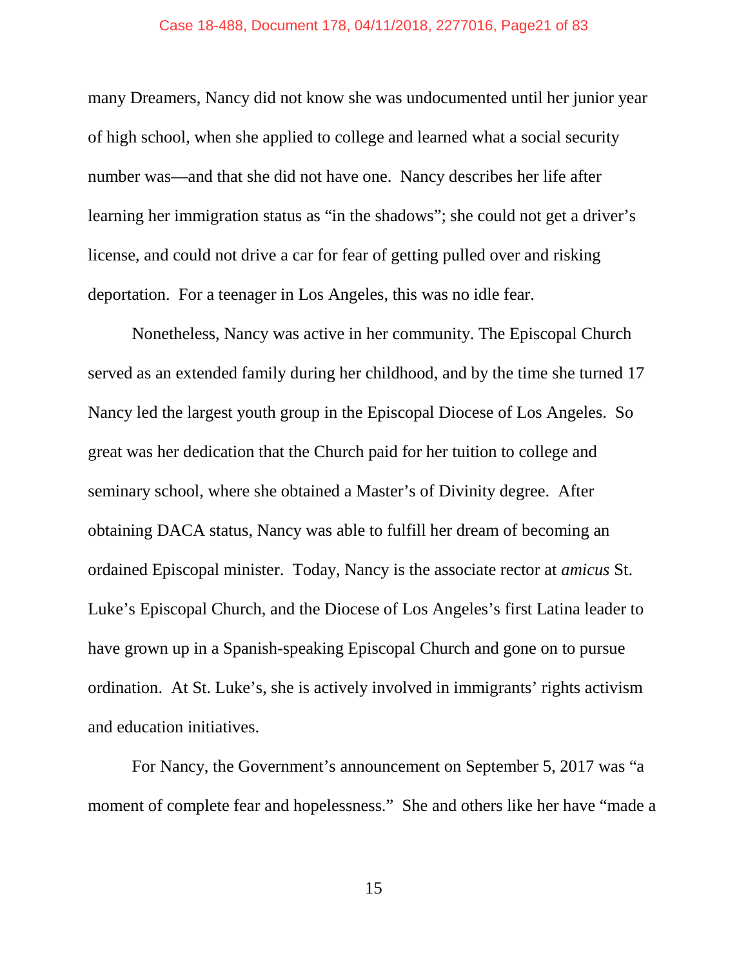#### Case 18-488, Document 178, 04/11/2018, 2277016, Page21 of 83

many Dreamers, Nancy did not know she was undocumented until her junior year of high school, when she applied to college and learned what a social security number was—and that she did not have one. Nancy describes her life after learning her immigration status as "in the shadows"; she could not get a driver's license, and could not drive a car for fear of getting pulled over and risking deportation. For a teenager in Los Angeles, this was no idle fear.

Nonetheless, Nancy was active in her community. The Episcopal Church served as an extended family during her childhood, and by the time she turned 17 Nancy led the largest youth group in the Episcopal Diocese of Los Angeles. So great was her dedication that the Church paid for her tuition to college and seminary school, where she obtained a Master's of Divinity degree. After obtaining DACA status, Nancy was able to fulfill her dream of becoming an ordained Episcopal minister. Today, Nancy is the associate rector at *amicus* St. Luke's Episcopal Church, and the Diocese of Los Angeles's first Latina leader to have grown up in a Spanish-speaking Episcopal Church and gone on to pursue ordination. At St. Luke's, she is actively involved in immigrants' rights activism and education initiatives.

For Nancy, the Government's announcement on September 5, 2017 was "a moment of complete fear and hopelessness." She and others like her have "made a

15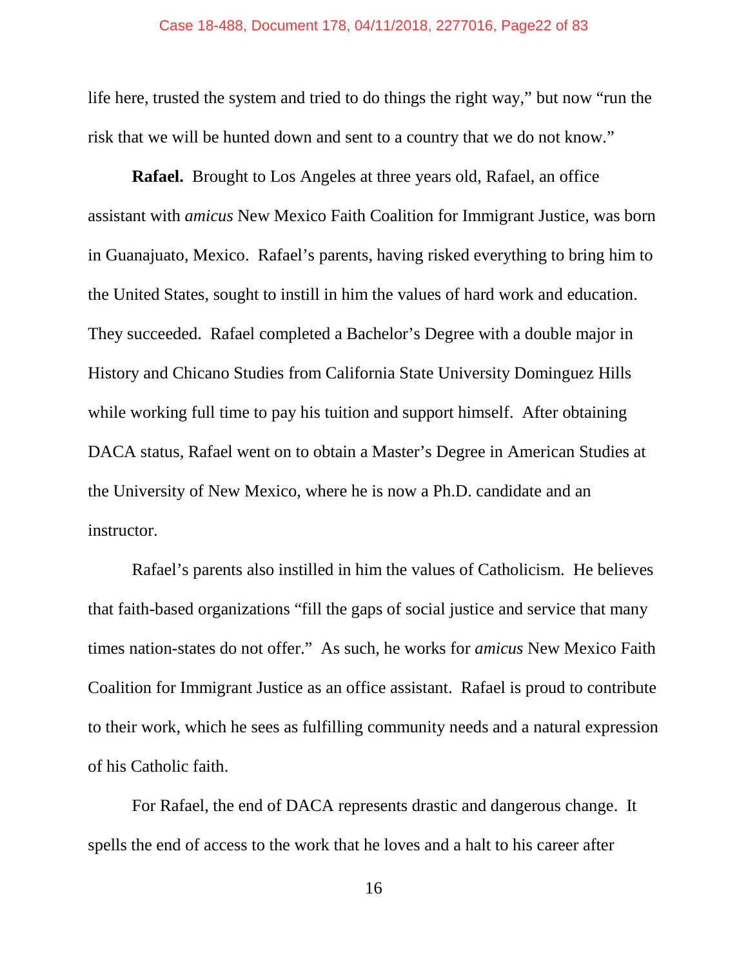life here, trusted the system and tried to do things the right way," but now "run the risk that we will be hunted down and sent to a country that we do not know."

**Rafael.** Brought to Los Angeles at three years old, Rafael, an office assistant with *amicus* New Mexico Faith Coalition for Immigrant Justice, was born in Guanajuato, Mexico. Rafael's parents, having risked everything to bring him to the United States, sought to instill in him the values of hard work and education. They succeeded. Rafael completed a Bachelor's Degree with a double major in History and Chicano Studies from California State University Dominguez Hills while working full time to pay his tuition and support himself. After obtaining DACA status, Rafael went on to obtain a Master's Degree in American Studies at the University of New Mexico, where he is now a Ph.D. candidate and an instructor.

Rafael's parents also instilled in him the values of Catholicism. He believes that faith-based organizations "fill the gaps of social justice and service that many times nation-states do not offer." As such, he works for *amicus* New Mexico Faith Coalition for Immigrant Justice as an office assistant. Rafael is proud to contribute to their work, which he sees as fulfilling community needs and a natural expression of his Catholic faith.

For Rafael, the end of DACA represents drastic and dangerous change. It spells the end of access to the work that he loves and a halt to his career after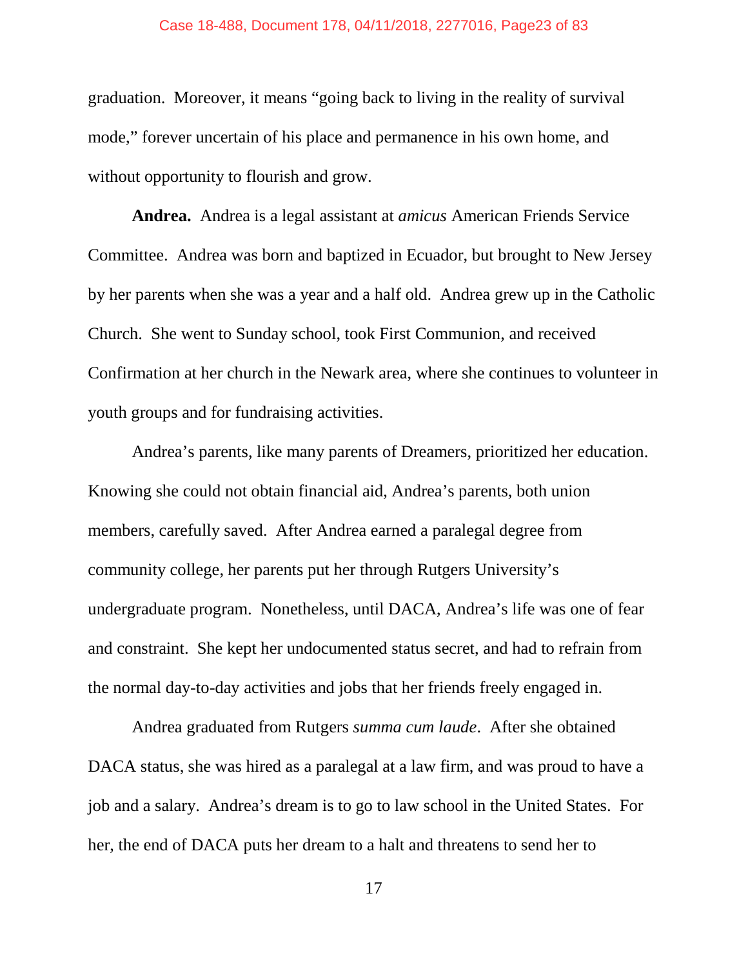#### Case 18-488, Document 178, 04/11/2018, 2277016, Page23 of 83

graduation. Moreover, it means "going back to living in the reality of survival mode," forever uncertain of his place and permanence in his own home, and without opportunity to flourish and grow.

**Andrea.** Andrea is a legal assistant at *amicus* American Friends Service Committee. Andrea was born and baptized in Ecuador, but brought to New Jersey by her parents when she was a year and a half old. Andrea grew up in the Catholic Church. She went to Sunday school, took First Communion, and received Confirmation at her church in the Newark area, where she continues to volunteer in youth groups and for fundraising activities.

Andrea's parents, like many parents of Dreamers, prioritized her education. Knowing she could not obtain financial aid, Andrea's parents, both union members, carefully saved. After Andrea earned a paralegal degree from community college, her parents put her through Rutgers University's undergraduate program. Nonetheless, until DACA, Andrea's life was one of fear and constraint. She kept her undocumented status secret, and had to refrain from the normal day-to-day activities and jobs that her friends freely engaged in.

Andrea graduated from Rutgers *summa cum laude*. After she obtained DACA status, she was hired as a paralegal at a law firm, and was proud to have a job and a salary. Andrea's dream is to go to law school in the United States. For her, the end of DACA puts her dream to a halt and threatens to send her to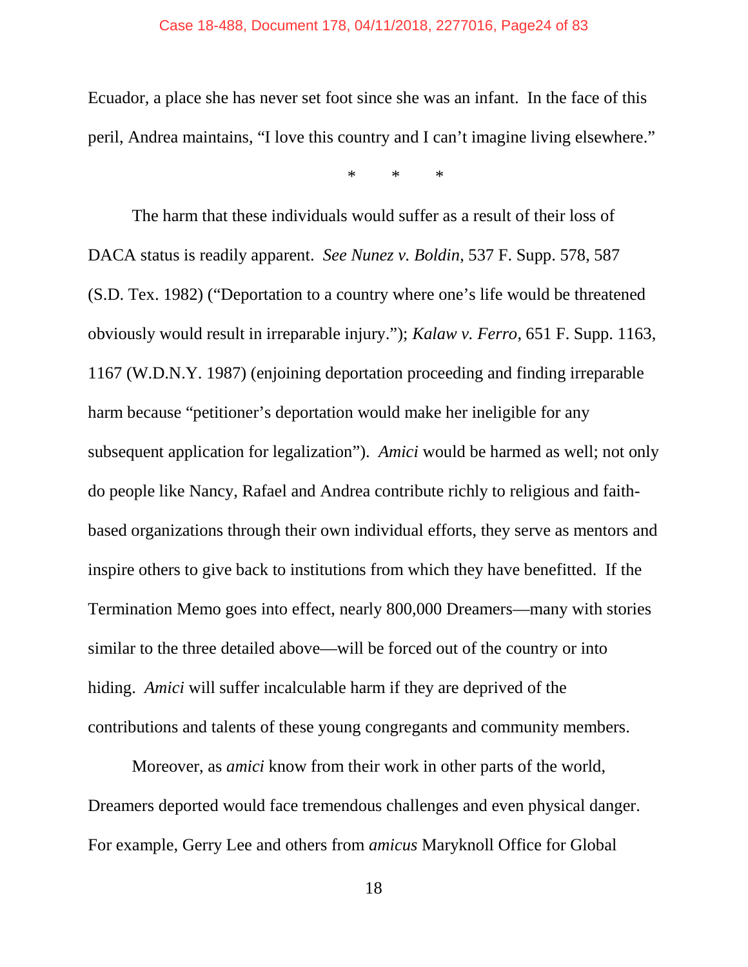#### Case 18-488, Document 178, 04/11/2018, 2277016, Page24 of 83

Ecuador, a place she has never set foot since she was an infant. In the face of this peril, Andrea maintains, "I love this country and I can't imagine living elsewhere."

\* \* \*

The harm that these individuals would suffer as a result of their loss of DACA status is readily apparent. *See Nunez v. Boldin*, 537 F. Supp. 578, 587 (S.D. Tex. 1982) ("Deportation to a country where one's life would be threatened obviously would result in irreparable injury."); *Kalaw v. Ferro*, 651 F. Supp. 1163, 1167 (W.D.N.Y. 1987) (enjoining deportation proceeding and finding irreparable harm because "petitioner's deportation would make her ineligible for any subsequent application for legalization"). *Amici* would be harmed as well; not only do people like Nancy, Rafael and Andrea contribute richly to religious and faithbased organizations through their own individual efforts, they serve as mentors and inspire others to give back to institutions from which they have benefitted. If the Termination Memo goes into effect, nearly 800,000 Dreamers—many with stories similar to the three detailed above—will be forced out of the country or into hiding. *Amici* will suffer incalculable harm if they are deprived of the contributions and talents of these young congregants and community members.

Moreover, as *amici* know from their work in other parts of the world, Dreamers deported would face tremendous challenges and even physical danger. For example, Gerry Lee and others from *amicus* Maryknoll Office for Global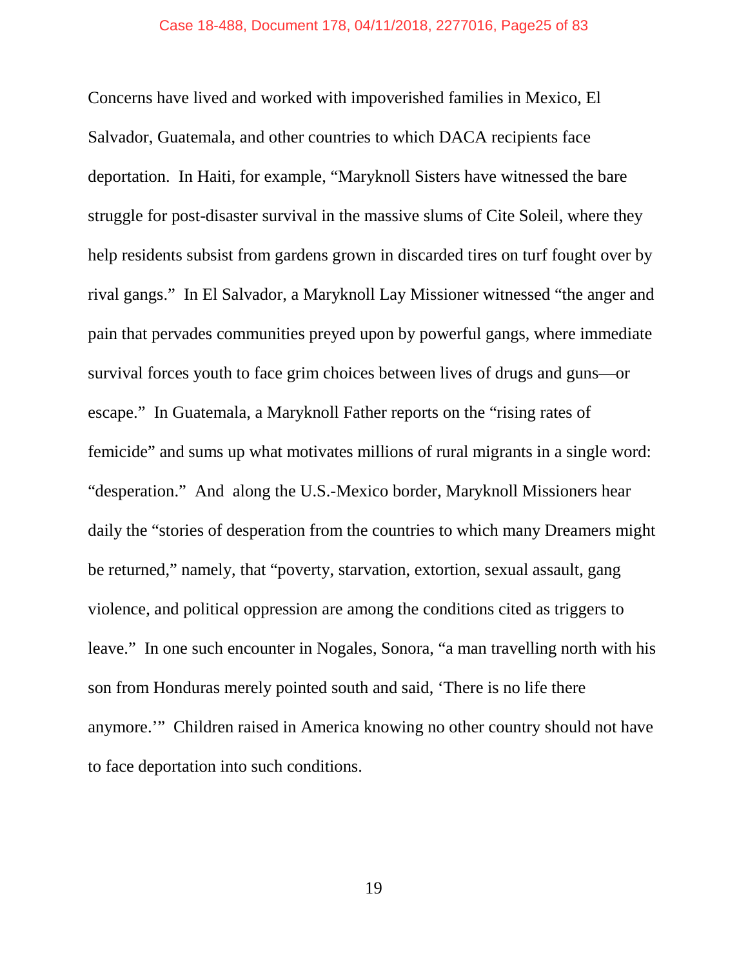Concerns have lived and worked with impoverished families in Mexico, El Salvador, Guatemala, and other countries to which DACA recipients face deportation. In Haiti, for example, "Maryknoll Sisters have witnessed the bare struggle for post-disaster survival in the massive slums of Cite Soleil, where they help residents subsist from gardens grown in discarded tires on turf fought over by rival gangs." In El Salvador, a Maryknoll Lay Missioner witnessed "the anger and pain that pervades communities preyed upon by powerful gangs, where immediate survival forces youth to face grim choices between lives of drugs and guns—or escape." In Guatemala, a Maryknoll Father reports on the "rising rates of femicide" and sums up what motivates millions of rural migrants in a single word: "desperation." And along the U.S.-Mexico border, Maryknoll Missioners hear daily the "stories of desperation from the countries to which many Dreamers might be returned," namely, that "poverty, starvation, extortion, sexual assault, gang violence, and political oppression are among the conditions cited as triggers to leave." In one such encounter in Nogales, Sonora, "a man travelling north with his son from Honduras merely pointed south and said, 'There is no life there anymore.'" Children raised in America knowing no other country should not have to face deportation into such conditions.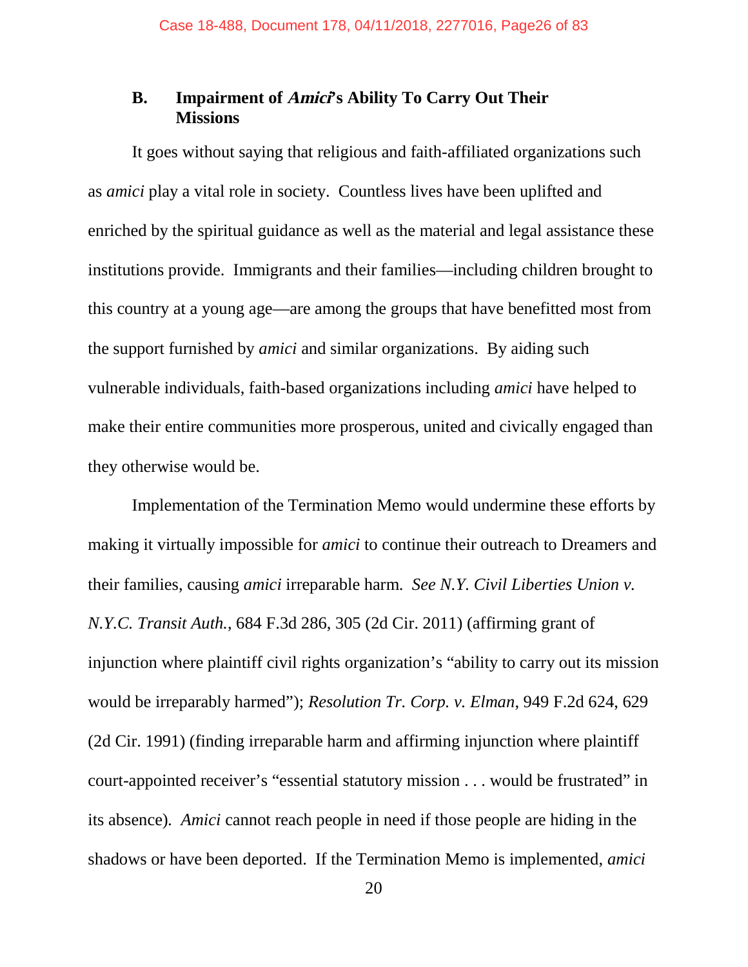### **B. Impairment of Amici's Ability To Carry Out Their Missions**

It goes without saying that religious and faith-affiliated organizations such as *amici* play a vital role in society. Countless lives have been uplifted and enriched by the spiritual guidance as well as the material and legal assistance these institutions provide. Immigrants and their families—including children brought to this country at a young age—are among the groups that have benefitted most from the support furnished by *amici* and similar organizations. By aiding such vulnerable individuals, faith-based organizations including *amici* have helped to make their entire communities more prosperous, united and civically engaged than they otherwise would be.

Implementation of the Termination Memo would undermine these efforts by making it virtually impossible for *amici* to continue their outreach to Dreamers and their families, causing *amici* irreparable harm. *See N.Y. Civil Liberties Union v. N.Y.C. Transit Auth.*, 684 F.3d 286, 305 (2d Cir. 2011) (affirming grant of injunction where plaintiff civil rights organization's "ability to carry out its mission would be irreparably harmed"); *Resolution Tr. Corp. v. Elman*, 949 F.2d 624, 629 (2d Cir. 1991) (finding irreparable harm and affirming injunction where plaintiff court-appointed receiver's "essential statutory mission . . . would be frustrated" in its absence)*. Amici* cannot reach people in need if those people are hiding in the shadows or have been deported. If the Termination Memo is implemented, *amici*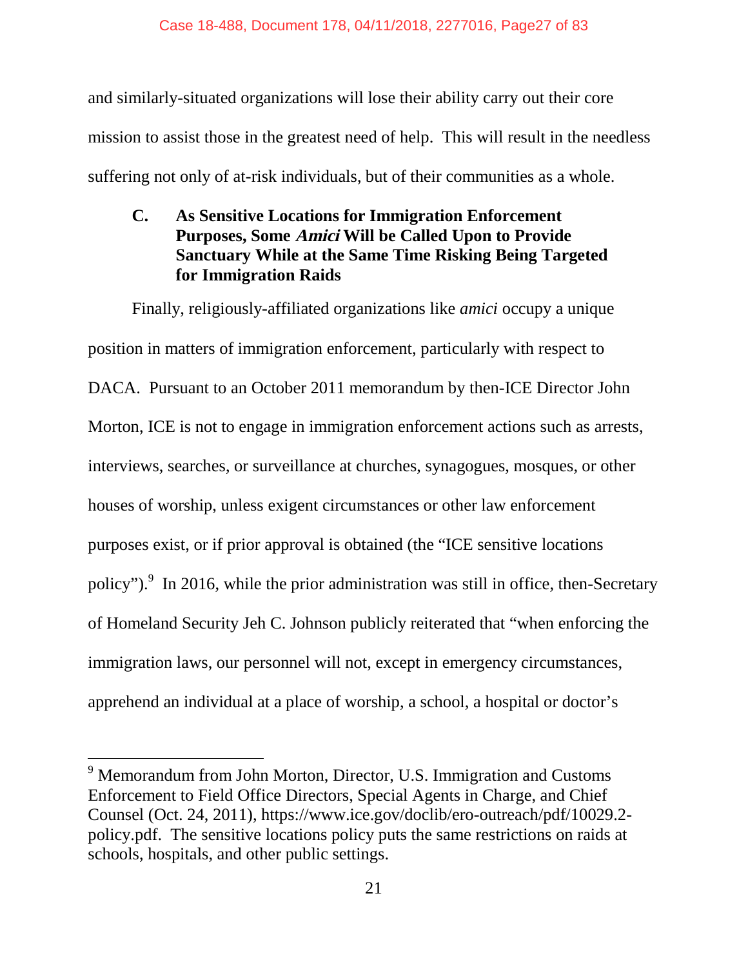and similarly-situated organizations will lose their ability carry out their core mission to assist those in the greatest need of help. This will result in the needless suffering not only of at-risk individuals, but of their communities as a whole.

### **C. As Sensitive Locations for Immigration Enforcement Purposes, Some Amici Will be Called Upon to Provide Sanctuary While at the Same Time Risking Being Targeted for Immigration Raids**

Finally, religiously-affiliated organizations like *amici* occupy a unique position in matters of immigration enforcement, particularly with respect to DACA. Pursuant to an October 2011 memorandum by then-ICE Director John Morton, ICE is not to engage in immigration enforcement actions such as arrests, interviews, searches, or surveillance at churches, synagogues, mosques, or other houses of worship, unless exigent circumstances or other law enforcement purposes exist, or if prior approval is obtained (the "ICE sensitive locations policy"). In 2016, while the prior administration was still in office, then-Secretary of Homeland Security Jeh C. Johnson publicly reiterated that "when enforcing the immigration laws, our personnel will not, except in emergency circumstances, apprehend an individual at a place of worship, a school, a hospital or doctor's

<sup>&</sup>lt;sup>9</sup> Memorandum from John Morton, Director, U.S. Immigration and Customs Enforcement to Field Office Directors, Special Agents in Charge, and Chief Counsel (Oct. 24, 2011), https://www.ice.gov/doclib/ero-outreach/pdf/10029.2 policy.pdf. The sensitive locations policy puts the same restrictions on raids at schools, hospitals, and other public settings.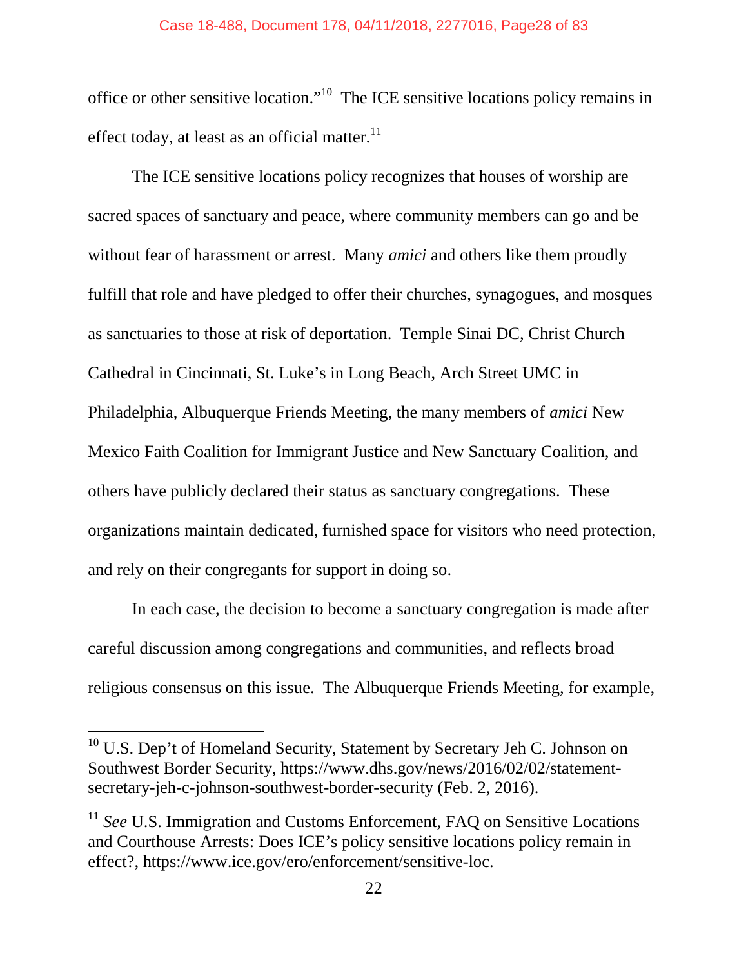office or other sensitive location."<sup>10</sup> The ICE sensitive locations policy remains in effect today, at least as an official matter. $^{11}$ 

The ICE sensitive locations policy recognizes that houses of worship are sacred spaces of sanctuary and peace, where community members can go and be without fear of harassment or arrest. Many *amici* and others like them proudly fulfill that role and have pledged to offer their churches, synagogues, and mosques as sanctuaries to those at risk of deportation. Temple Sinai DC, Christ Church Cathedral in Cincinnati, St. Luke's in Long Beach, Arch Street UMC in Philadelphia, Albuquerque Friends Meeting, the many members of *amici* New Mexico Faith Coalition for Immigrant Justice and New Sanctuary Coalition, and others have publicly declared their status as sanctuary congregations. These organizations maintain dedicated, furnished space for visitors who need protection, and rely on their congregants for support in doing so.

In each case, the decision to become a sanctuary congregation is made after careful discussion among congregations and communities, and reflects broad religious consensus on this issue. The Albuquerque Friends Meeting, for example,

 $10$  U.S. Dep't of Homeland Security, Statement by Secretary Jeh C. Johnson on Southwest Border Security, https://www.dhs.gov/news/2016/02/02/statementsecretary-jeh-c-johnson-southwest-border-security (Feb. 2, 2016).

<sup>&</sup>lt;sup>11</sup> *See* U.S. Immigration and Customs Enforcement, FAQ on Sensitive Locations and Courthouse Arrests: Does ICE's policy sensitive locations policy remain in effect?, https://www.ice.gov/ero/enforcement/sensitive-loc.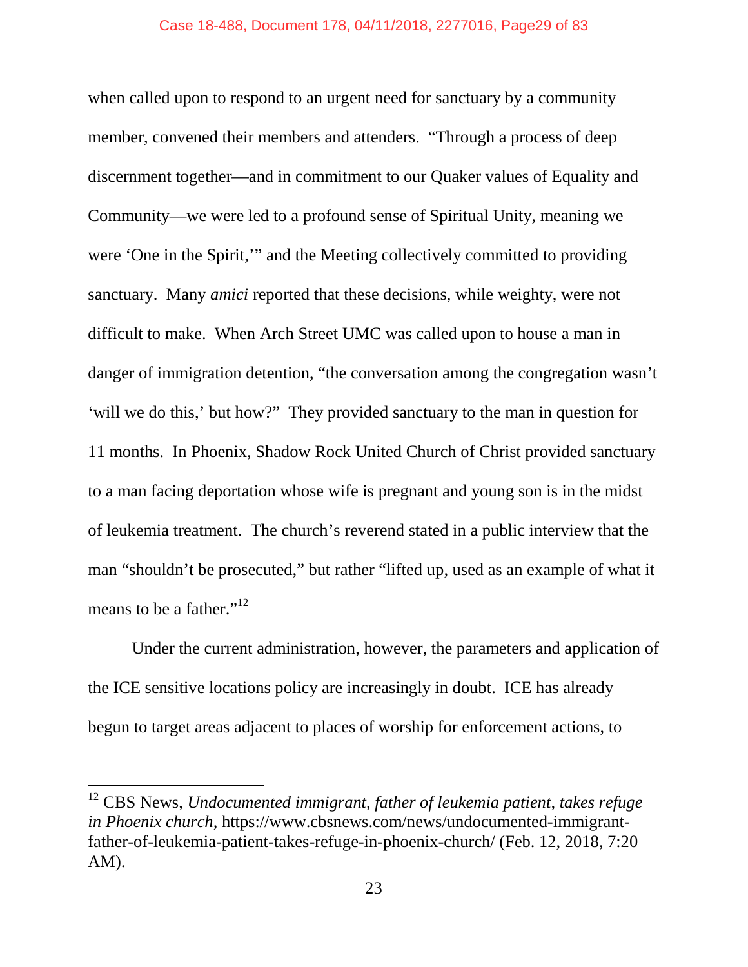when called upon to respond to an urgent need for sanctuary by a community member, convened their members and attenders. "Through a process of deep discernment together—and in commitment to our Quaker values of Equality and Community—we were led to a profound sense of Spiritual Unity, meaning we were 'One in the Spirit,'" and the Meeting collectively committed to providing sanctuary. Many *amici* reported that these decisions, while weighty, were not difficult to make. When Arch Street UMC was called upon to house a man in danger of immigration detention, "the conversation among the congregation wasn't 'will we do this,' but how?" They provided sanctuary to the man in question for 11 months. In Phoenix, Shadow Rock United Church of Christ provided sanctuary to a man facing deportation whose wife is pregnant and young son is in the midst of leukemia treatment. The church's reverend stated in a public interview that the man "shouldn't be prosecuted," but rather "lifted up, used as an example of what it means to be a father."<sup>12</sup>

Under the current administration, however, the parameters and application of the ICE sensitive locations policy are increasingly in doubt. ICE has already begun to target areas adjacent to places of worship for enforcement actions, to

<sup>12</sup> CBS News, *Undocumented immigrant, father of leukemia patient, takes refuge in Phoenix church*, https://www.cbsnews.com/news/undocumented-immigrantfather-of-leukemia-patient-takes-refuge-in-phoenix-church/ (Feb. 12, 2018, 7:20 AM).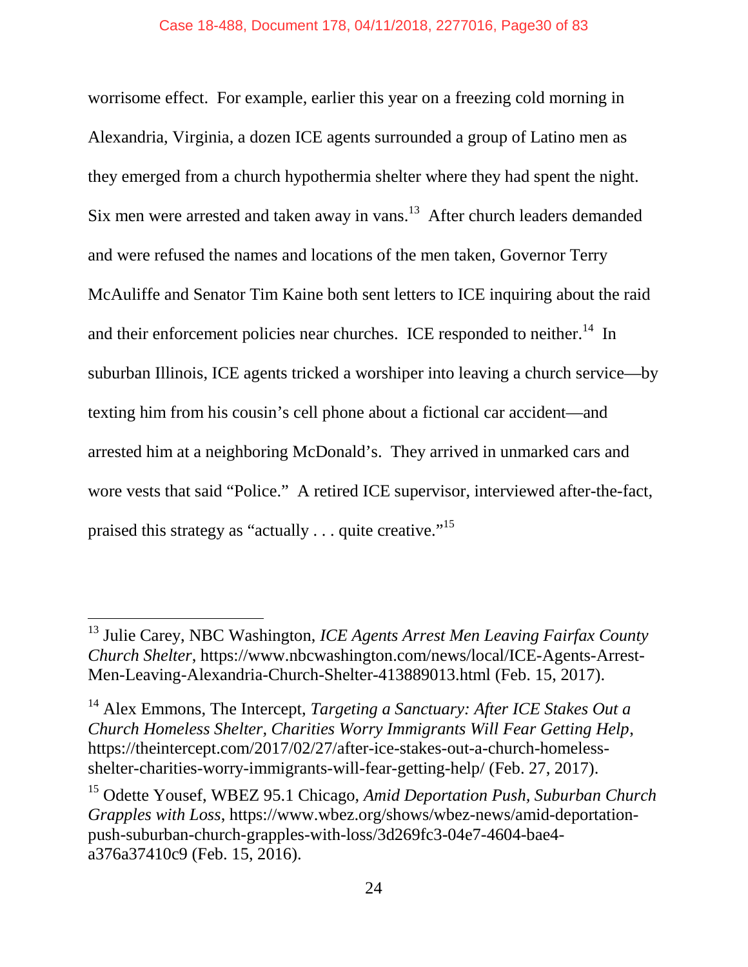worrisome effect. For example, earlier this year on a freezing cold morning in Alexandria, Virginia, a dozen ICE agents surrounded a group of Latino men as they emerged from a church hypothermia shelter where they had spent the night. Six men were arrested and taken away in vans.<sup>13</sup> After church leaders demanded and were refused the names and locations of the men taken, Governor Terry McAuliffe and Senator Tim Kaine both sent letters to ICE inquiring about the raid and their enforcement policies near churches. ICE responded to neither.<sup>14</sup> In suburban Illinois, ICE agents tricked a worshiper into leaving a church service—by texting him from his cousin's cell phone about a fictional car accident—and arrested him at a neighboring McDonald's. They arrived in unmarked cars and wore vests that said "Police." A retired ICE supervisor, interviewed after-the-fact, praised this strategy as "actually . . . quite creative."<sup>15</sup>

<sup>13</sup> Julie Carey, NBC Washington, *ICE Agents Arrest Men Leaving Fairfax County Church Shelter*, https://www.nbcwashington.com/news/local/ICE-Agents-Arrest-Men-Leaving-Alexandria-Church-Shelter-413889013.html (Feb. 15, 2017).

<sup>14</sup> Alex Emmons, The Intercept, *Targeting a Sanctuary: After ICE Stakes Out a Church Homeless Shelter, Charities Worry Immigrants Will Fear Getting Help*, https://theintercept.com/2017/02/27/after-ice-stakes-out-a-church-homelessshelter-charities-worry-immigrants-will-fear-getting-help/ (Feb. 27, 2017).

<sup>15</sup> Odette Yousef, WBEZ 95.1 Chicago, *Amid Deportation Push, Suburban Church Grapples with Loss*, https://www.wbez.org/shows/wbez-news/amid-deportationpush-suburban-church-grapples-with-loss/3d269fc3-04e7-4604-bae4 a376a37410c9 (Feb. 15, 2016).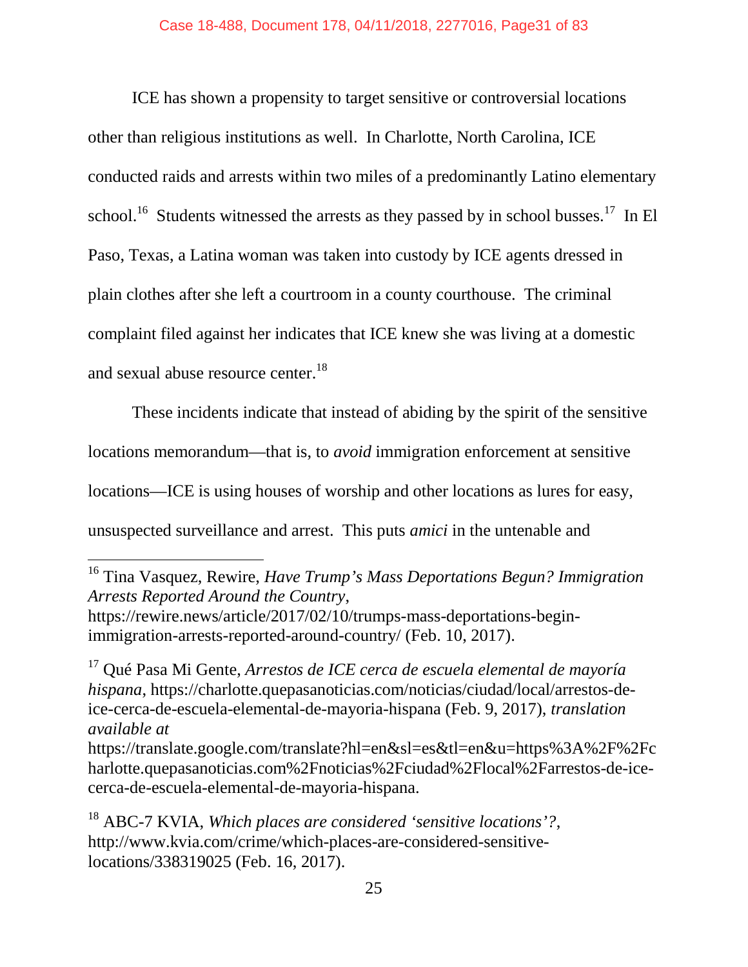ICE has shown a propensity to target sensitive or controversial locations other than religious institutions as well. In Charlotte, North Carolina, ICE conducted raids and arrests within two miles of a predominantly Latino elementary school.<sup>16</sup> Students witnessed the arrests as they passed by in school busses.<sup>17</sup> In El Paso, Texas, a Latina woman was taken into custody by ICE agents dressed in plain clothes after she left a courtroom in a county courthouse. The criminal complaint filed against her indicates that ICE knew she was living at a domestic and sexual abuse resource center.<sup>18</sup>

These incidents indicate that instead of abiding by the spirit of the sensitive locations memorandum—that is, to *avoid* immigration enforcement at sensitive locations—ICE is using houses of worship and other locations as lures for easy, unsuspected surveillance and arrest. This puts *amici* in the untenable and

<sup>16</sup> Tina Vasquez, Rewire, *Have Trump's Mass Deportations Begun? Immigration Arrests Reported Around the Country*, https://rewire.news/article/2017/02/10/trumps-mass-deportations-beginimmigration-arrests-reported-around-country/ (Feb. 10, 2017).

<sup>17</sup> Qué Pasa Mi Gente, *Arrestos de ICE cerca de escuela elemental de mayoría hispana*, https://charlotte.quepasanoticias.com/noticias/ciudad/local/arrestos-deice-cerca-de-escuela-elemental-de-mayoria-hispana (Feb. 9, 2017), *translation available at*

https://translate.google.com/translate?hl=en&sl=es&tl=en&u=https%3A%2F%2Fc harlotte.quepasanoticias.com%2Fnoticias%2Fciudad%2Flocal%2Farrestos-de-icecerca-de-escuela-elemental-de-mayoria-hispana.

<sup>18</sup> ABC-7 KVIA, *Which places are considered 'sensitive locations'?*, http://www.kvia.com/crime/which-places-are-considered-sensitivelocations/338319025 (Feb. 16, 2017).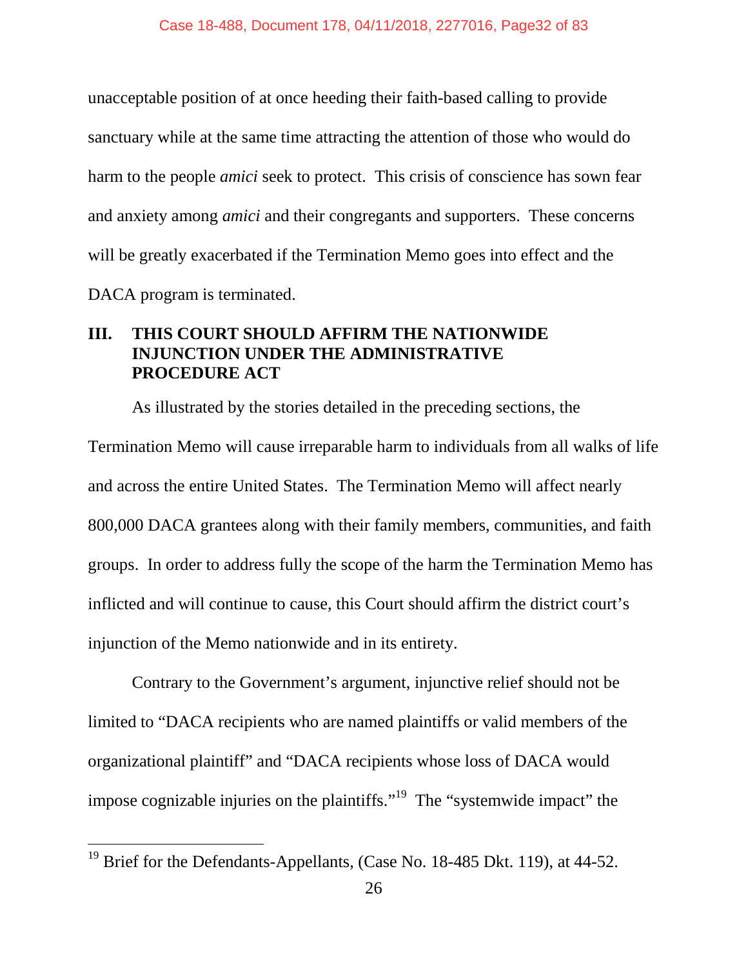unacceptable position of at once heeding their faith-based calling to provide sanctuary while at the same time attracting the attention of those who would do harm to the people *amici* seek to protect. This crisis of conscience has sown fear and anxiety among *amici* and their congregants and supporters. These concerns will be greatly exacerbated if the Termination Memo goes into effect and the DACA program is terminated.

### **III. THIS COURT SHOULD AFFIRM THE NATIONWIDE INJUNCTION UNDER THE ADMINISTRATIVE PROCEDURE ACT**

As illustrated by the stories detailed in the preceding sections, the Termination Memo will cause irreparable harm to individuals from all walks of life and across the entire United States. The Termination Memo will affect nearly 800,000 DACA grantees along with their family members, communities, and faith groups. In order to address fully the scope of the harm the Termination Memo has inflicted and will continue to cause, this Court should affirm the district court's injunction of the Memo nationwide and in its entirety.

Contrary to the Government's argument, injunctive relief should not be limited to "DACA recipients who are named plaintiffs or valid members of the organizational plaintiff" and "DACA recipients whose loss of DACA would impose cognizable injuries on the plaintiffs."<sup>19</sup> The "systemwide impact" the

<sup>&</sup>lt;sup>19</sup> Brief for the Defendants-Appellants, (Case No. 18-485 Dkt. 119), at 44-52.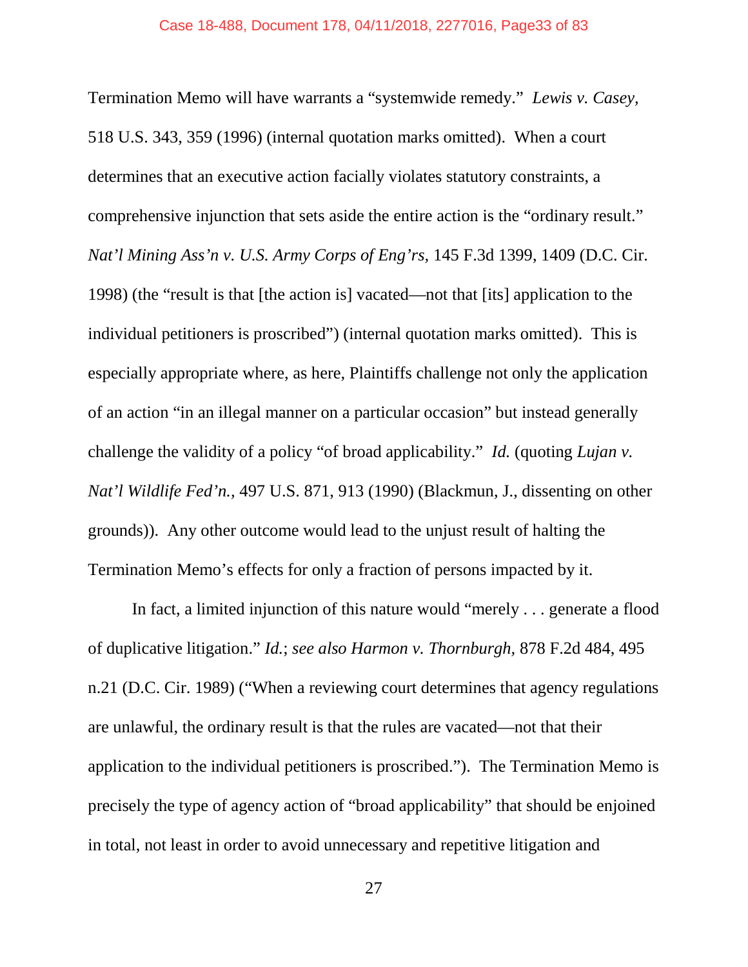Termination Memo will have warrants a "systemwide remedy." *Lewis v. Casey,* 518 U.S. 343, 359 (1996) (internal quotation marks omitted). When a court determines that an executive action facially violates statutory constraints, a comprehensive injunction that sets aside the entire action is the "ordinary result." *Nat'l Mining Ass'n v. U.S. Army Corps of Eng'rs,* 145 F.3d 1399, 1409 (D.C. Cir. 1998) (the "result is that [the action is] vacated—not that [its] application to the individual petitioners is proscribed") (internal quotation marks omitted). This is especially appropriate where, as here, Plaintiffs challenge not only the application of an action "in an illegal manner on a particular occasion" but instead generally challenge the validity of a policy "of broad applicability." *Id.* (quoting *Lujan v. Nat'l Wildlife Fed'n.,* 497 U.S. 871, 913 (1990) (Blackmun, J., dissenting on other grounds)). Any other outcome would lead to the unjust result of halting the Termination Memo's effects for only a fraction of persons impacted by it.

In fact, a limited injunction of this nature would "merely . . . generate a flood of duplicative litigation." *Id.*; *see also Harmon v. Thornburgh,* 878 F.2d 484, 495 n.21 (D.C. Cir. 1989) ("When a reviewing court determines that agency regulations are unlawful, the ordinary result is that the rules are vacated—not that their application to the individual petitioners is proscribed."). The Termination Memo is precisely the type of agency action of "broad applicability" that should be enjoined in total, not least in order to avoid unnecessary and repetitive litigation and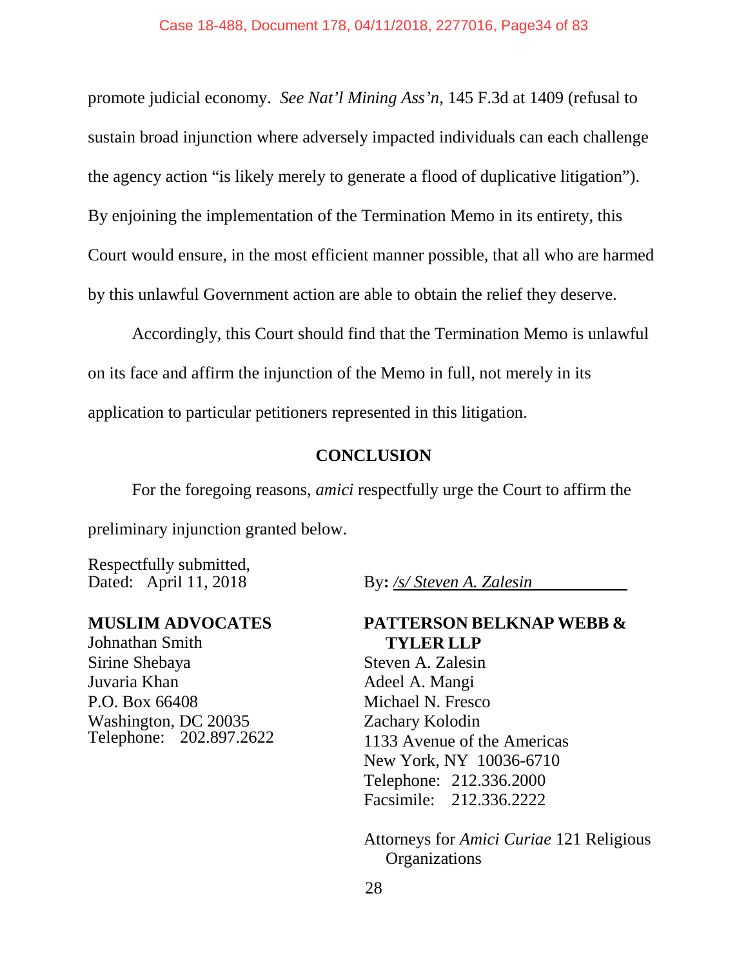promote judicial economy. *See Nat'l Mining Ass'n*, 145 F.3d at 1409 (refusal to sustain broad injunction where adversely impacted individuals can each challenge the agency action "is likely merely to generate a flood of duplicative litigation"). By enjoining the implementation of the Termination Memo in its entirety, this Court would ensure, in the most efficient manner possible, that all who are harmed by this unlawful Government action are able to obtain the relief they deserve.

Accordingly, this Court should find that the Termination Memo is unlawful on its face and affirm the injunction of the Memo in full, not merely in its application to particular petitioners represented in this litigation.

### **CONCLUSION**

For the foregoing reasons, *amici* respectfully urge the Court to affirm the preliminary injunction granted below.

Respectfully submitted, Dated: April 11, 2018 By**:** */s/ Steven A. Zalesin*

#### **MUSLIM ADVOCATES**

Johnathan Smith Sirine Shebaya Juvaria Khan P.O. Box 66408 Washington, DC 20035 Telephone: 202.897.2622

### **PATTERSON BELKNAP WEBB & TYLER LLP**

Steven A. Zalesin Adeel A. Mangi Michael N. Fresco Zachary Kolodin 1133 Avenue of the Americas New York, NY 10036-6710 Telephone: 212.336.2000 Facsimile: 212.336.2222

Attorneys for *Amici Curiae* 121 Religious **Organizations**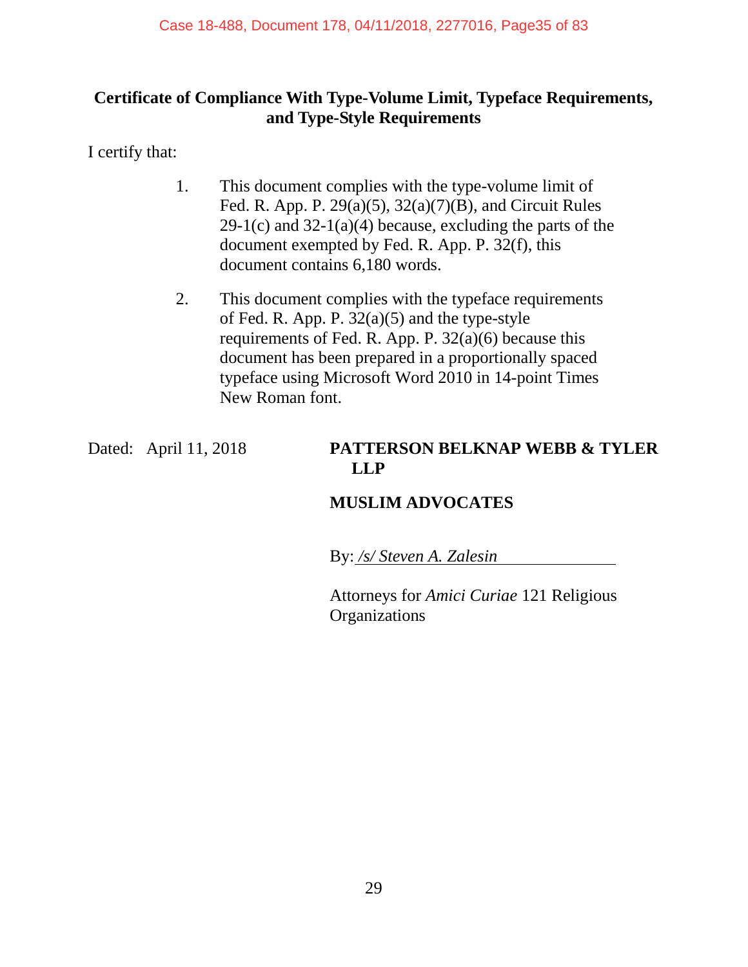# **Certificate of Compliance With Type-Volume Limit, Typeface Requirements, and Type-Style Requirements**

I certify that:

- 1. This document complies with the type-volume limit of Fed. R. App. P. 29(a)(5), 32(a)(7)(B), and Circuit Rules  $29-1(c)$  and  $32-1(a)(4)$  because, excluding the parts of the document exempted by Fed. R. App. P. 32(f), this document contains 6,180 words.
- 2. This document complies with the typeface requirements of Fed. R. App. P.  $32(a)(5)$  and the type-style requirements of Fed. R. App. P. 32(a)(6) because this document has been prepared in a proportionally spaced typeface using Microsoft Word 2010 in 14-point Times New Roman font.

### Dated: April 11, 2018 **PATTERSON BELKNAP WEBB & TYLER LLP**

# **MUSLIM ADVOCATES**

By: */s/ Steven A. Zalesin*

Attorneys for *Amici Curiae* 121 Religious **Organizations**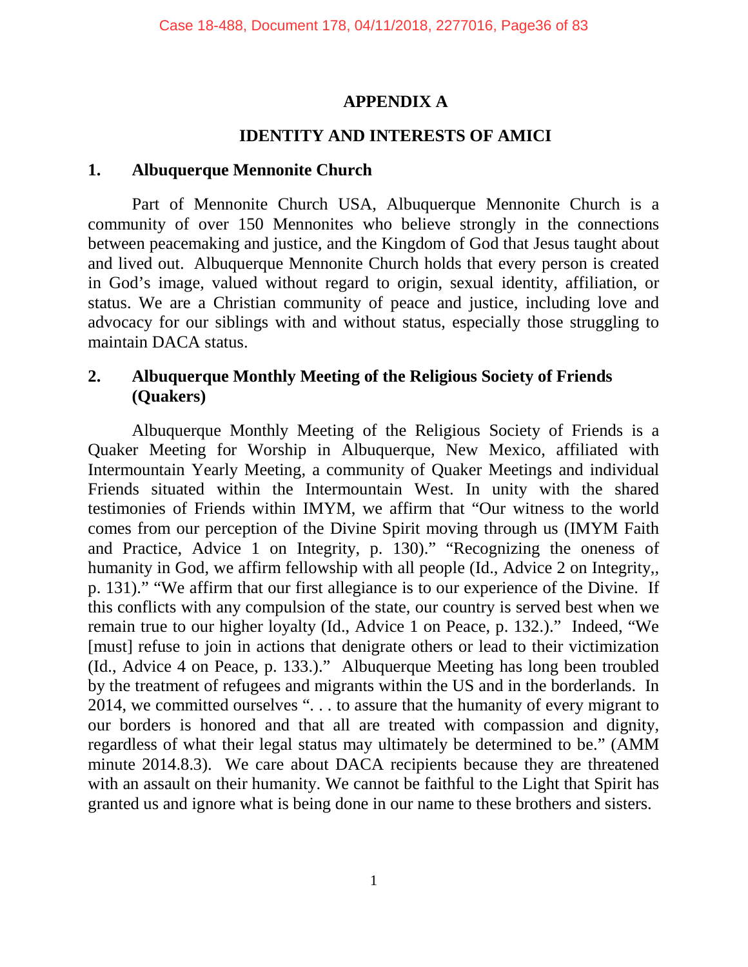### **APPENDIX A**

# **IDENTITY AND INTERESTS OF AMICI**

### **1. Albuquerque Mennonite Church**

Part of Mennonite Church USA, Albuquerque Mennonite Church is a community of over 150 Mennonites who believe strongly in the connections between peacemaking and justice, and the Kingdom of God that Jesus taught about and lived out. Albuquerque Mennonite Church holds that every person is created in God's image, valued without regard to origin, sexual identity, affiliation, or status. We are a Christian community of peace and justice, including love and advocacy for our siblings with and without status, especially those struggling to maintain DACA status.

### **2. Albuquerque Monthly Meeting of the Religious Society of Friends (Quakers)**

Albuquerque Monthly Meeting of the Religious Society of Friends is a Quaker Meeting for Worship in Albuquerque, New Mexico, affiliated with Intermountain Yearly Meeting, a community of Quaker Meetings and individual Friends situated within the Intermountain West. In unity with the shared testimonies of Friends within IMYM, we affirm that "Our witness to the world comes from our perception of the Divine Spirit moving through us (IMYM Faith and Practice, Advice 1 on Integrity, p. 130)." "Recognizing the oneness of humanity in God, we affirm fellowship with all people (Id., Advice 2 on Integrity,, p. 131)." "We affirm that our first allegiance is to our experience of the Divine. If this conflicts with any compulsion of the state, our country is served best when we remain true to our higher loyalty (Id., Advice 1 on Peace, p. 132.)." Indeed, "We [must] refuse to join in actions that denigrate others or lead to their victimization (Id., Advice 4 on Peace, p. 133.)." Albuquerque Meeting has long been troubled by the treatment of refugees and migrants within the US and in the borderlands. In 2014, we committed ourselves ". . . to assure that the humanity of every migrant to our borders is honored and that all are treated with compassion and dignity, regardless of what their legal status may ultimately be determined to be." (AMM minute 2014.8.3). We care about DACA recipients because they are threatened with an assault on their humanity. We cannot be faithful to the Light that Spirit has granted us and ignore what is being done in our name to these brothers and sisters.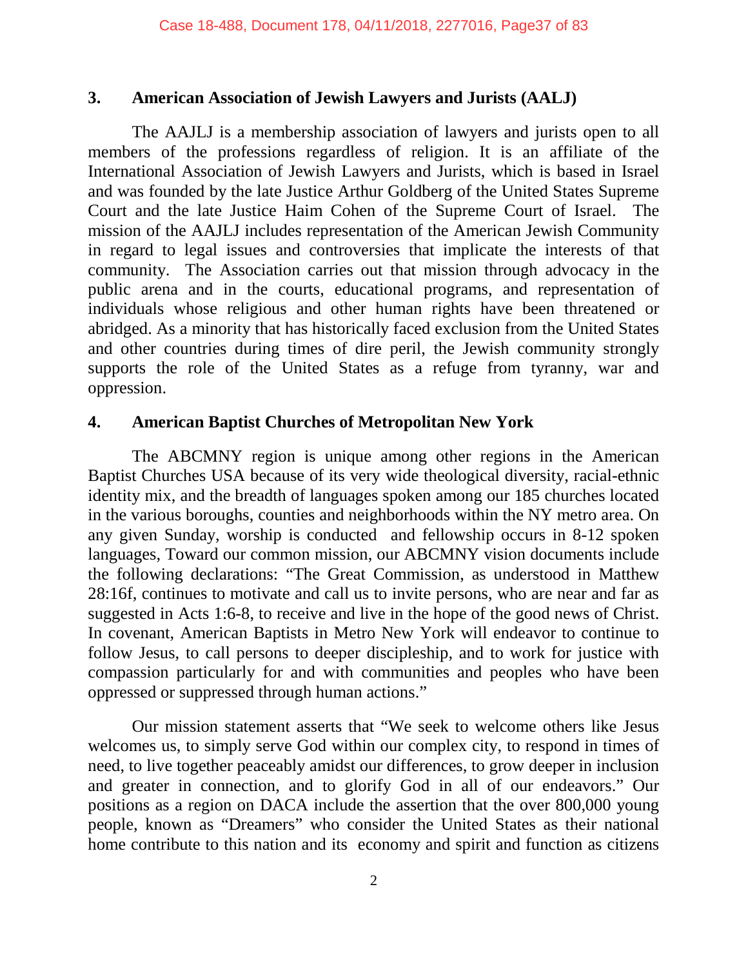### **3. American Association of Jewish Lawyers and Jurists (AALJ)**

The AAJLJ is a membership association of lawyers and jurists open to all members of the professions regardless of religion. It is an affiliate of the International Association of Jewish Lawyers and Jurists, which is based in Israel and was founded by the late Justice Arthur Goldberg of the United States Supreme Court and the late Justice Haim Cohen of the Supreme Court of Israel. The mission of the AAJLJ includes representation of the American Jewish Community in regard to legal issues and controversies that implicate the interests of that community. The Association carries out that mission through advocacy in the public arena and in the courts, educational programs, and representation of individuals whose religious and other human rights have been threatened or abridged. As a minority that has historically faced exclusion from the United States and other countries during times of dire peril, the Jewish community strongly supports the role of the United States as a refuge from tyranny, war and oppression.

# **4. American Baptist Churches of Metropolitan New York**

The ABCMNY region is unique among other regions in the American Baptist Churches USA because of its very wide theological diversity, racial-ethnic identity mix, and the breadth of languages spoken among our 185 churches located in the various boroughs, counties and neighborhoods within the NY metro area. On any given Sunday, worship is conducted and fellowship occurs in 8-12 spoken languages, Toward our common mission, our ABCMNY vision documents include the following declarations: "The Great Commission, as understood in Matthew 28:16f, continues to motivate and call us to invite persons, who are near and far as suggested in Acts 1:6-8, to receive and live in the hope of the good news of Christ. In covenant, American Baptists in Metro New York will endeavor to continue to follow Jesus, to call persons to deeper discipleship, and to work for justice with compassion particularly for and with communities and peoples who have been oppressed or suppressed through human actions."

Our mission statement asserts that "We seek to welcome others like Jesus welcomes us, to simply serve God within our complex city, to respond in times of need, to live together peaceably amidst our differences, to grow deeper in inclusion and greater in connection, and to glorify God in all of our endeavors." Our positions as a region on DACA include the assertion that the over 800,000 young people, known as "Dreamers" who consider the United States as their national home contribute to this nation and its economy and spirit and function as citizens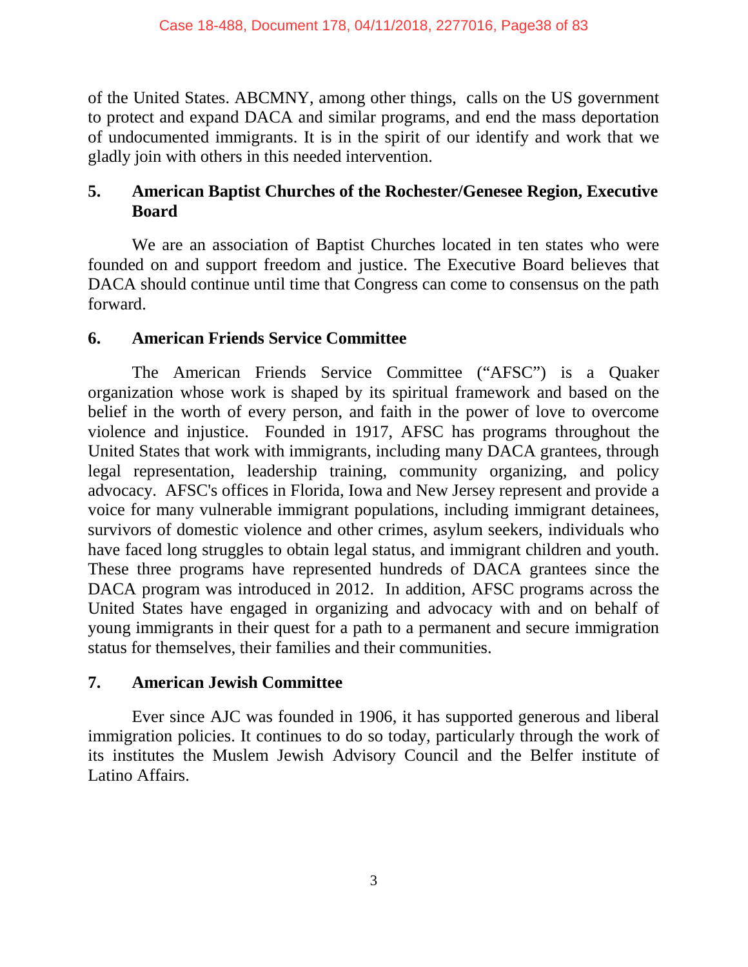of the United States. ABCMNY, among other things, calls on the US government to protect and expand DACA and similar programs, and end the mass deportation of undocumented immigrants. It is in the spirit of our identify and work that we gladly join with others in this needed intervention.

# **5. American Baptist Churches of the Rochester/Genesee Region, Executive Board**

We are an association of Baptist Churches located in ten states who were founded on and support freedom and justice. The Executive Board believes that DACA should continue until time that Congress can come to consensus on the path forward.

### **6. American Friends Service Committee**

The American Friends Service Committee ("AFSC") is a Quaker organization whose work is shaped by its spiritual framework and based on the belief in the worth of every person, and faith in the power of love to overcome violence and injustice. Founded in 1917, AFSC has programs throughout the United States that work with immigrants, including many DACA grantees, through legal representation, leadership training, community organizing, and policy advocacy. AFSC's offices in Florida, Iowa and New Jersey represent and provide a voice for many vulnerable immigrant populations, including immigrant detainees, survivors of domestic violence and other crimes, asylum seekers, individuals who have faced long struggles to obtain legal status, and immigrant children and youth. These three programs have represented hundreds of DACA grantees since the DACA program was introduced in 2012. In addition, AFSC programs across the United States have engaged in organizing and advocacy with and on behalf of young immigrants in their quest for a path to a permanent and secure immigration status for themselves, their families and their communities.

# **7. American Jewish Committee**

Ever since AJC was founded in 1906, it has supported generous and liberal immigration policies. It continues to do so today, particularly through the work of its institutes the Muslem Jewish Advisory Council and the Belfer institute of Latino Affairs.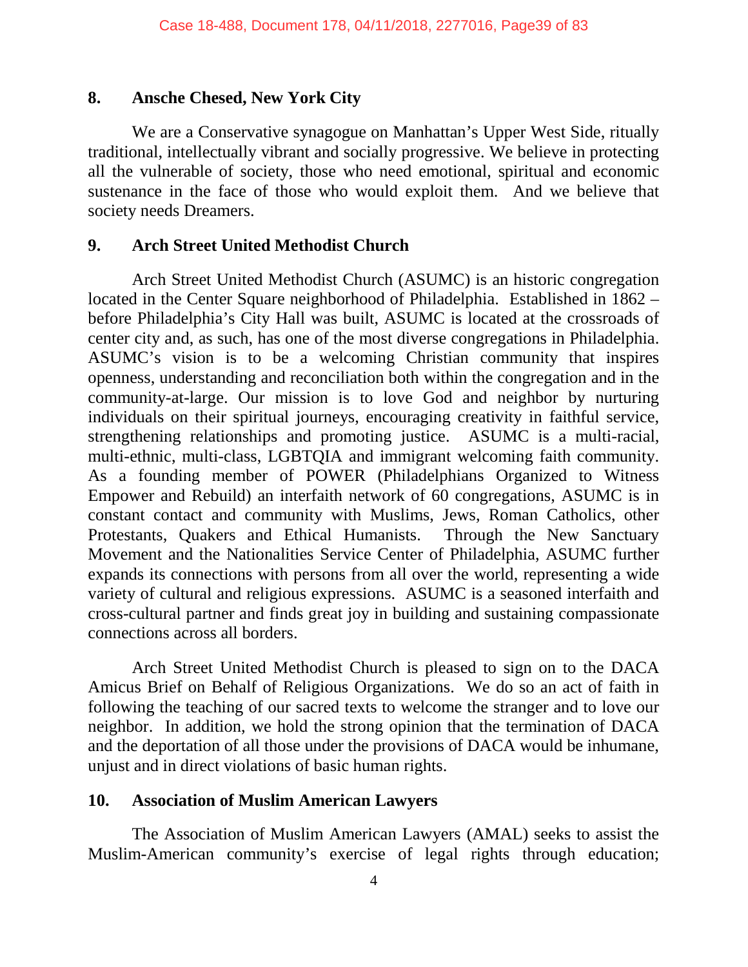#### **8. Ansche Chesed, New York City**

We are a Conservative synagogue on Manhattan's Upper West Side, ritually traditional, intellectually vibrant and socially progressive. We believe in protecting all the vulnerable of society, those who need emotional, spiritual and economic sustenance in the face of those who would exploit them. And we believe that society needs Dreamers.

#### **9. Arch Street United Methodist Church**

Arch Street United Methodist Church (ASUMC) is an historic congregation located in the Center Square neighborhood of Philadelphia. Established in 1862 – before Philadelphia's City Hall was built, ASUMC is located at the crossroads of center city and, as such, has one of the most diverse congregations in Philadelphia. ASUMC's vision is to be a welcoming Christian community that inspires openness, understanding and reconciliation both within the congregation and in the community-at-large. Our mission is to love God and neighbor by nurturing individuals on their spiritual journeys, encouraging creativity in faithful service, strengthening relationships and promoting justice. ASUMC is a multi-racial, multi-ethnic, multi-class, LGBTQIA and immigrant welcoming faith community. As a founding member of POWER (Philadelphians Organized to Witness Empower and Rebuild) an interfaith network of 60 congregations, ASUMC is in constant contact and community with Muslims, Jews, Roman Catholics, other Protestants, Quakers and Ethical Humanists. Through the New Sanctuary Movement and the Nationalities Service Center of Philadelphia, ASUMC further expands its connections with persons from all over the world, representing a wide variety of cultural and religious expressions. ASUMC is a seasoned interfaith and cross-cultural partner and finds great joy in building and sustaining compassionate connections across all borders.

Arch Street United Methodist Church is pleased to sign on to the DACA Amicus Brief on Behalf of Religious Organizations. We do so an act of faith in following the teaching of our sacred texts to welcome the stranger and to love our neighbor. In addition, we hold the strong opinion that the termination of DACA and the deportation of all those under the provisions of DACA would be inhumane, unjust and in direct violations of basic human rights.

### **10. Association of Muslim American Lawyers**

The Association of Muslim American Lawyers (AMAL) seeks to assist the Muslim-American community's exercise of legal rights through education;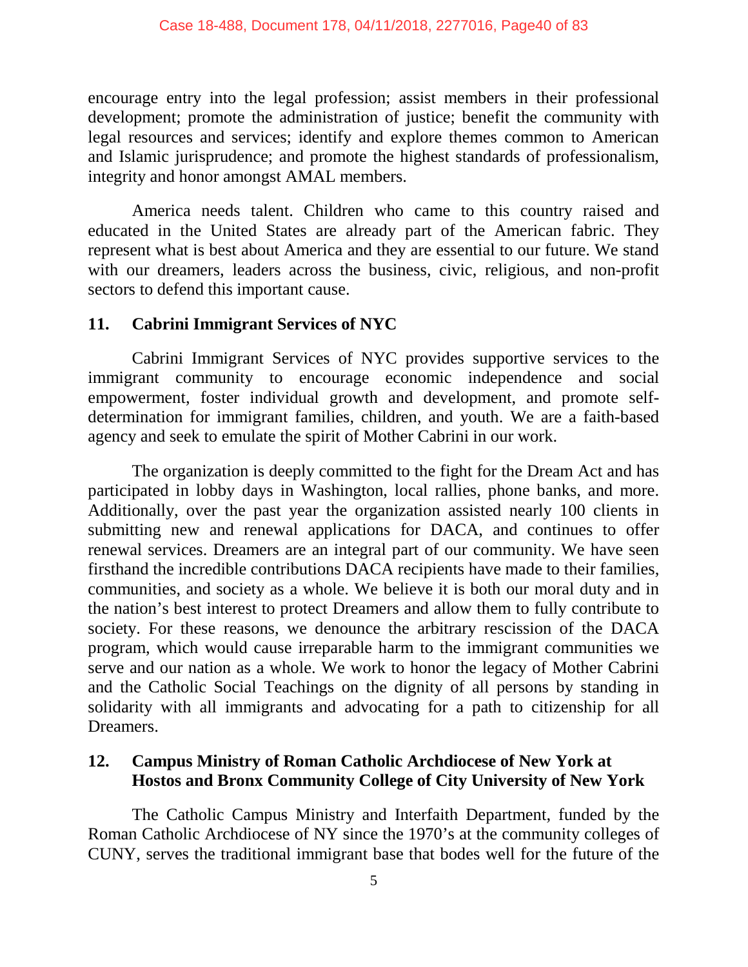encourage entry into the legal profession; assist members in their professional development; promote the administration of justice; benefit the community with legal resources and services; identify and explore themes common to American and Islamic jurisprudence; and promote the highest standards of professionalism, integrity and honor amongst AMAL members.

America needs talent. Children who came to this country raised and educated in the United States are already part of the American fabric. They represent what is best about America and they are essential to our future. We stand with our dreamers, leaders across the business, civic, religious, and non-profit sectors to defend this important cause.

### **11. Cabrini Immigrant Services of NYC**

Cabrini Immigrant Services of NYC provides supportive services to the immigrant community to encourage economic independence and social empowerment, foster individual growth and development, and promote selfdetermination for immigrant families, children, and youth. We are a faith-based agency and seek to emulate the spirit of Mother Cabrini in our work.

The organization is deeply committed to the fight for the Dream Act and has participated in lobby days in Washington, local rallies, phone banks, and more. Additionally, over the past year the organization assisted nearly 100 clients in submitting new and renewal applications for DACA, and continues to offer renewal services. Dreamers are an integral part of our community. We have seen firsthand the incredible contributions DACA recipients have made to their families, communities, and society as a whole. We believe it is both our moral duty and in the nation's best interest to protect Dreamers and allow them to fully contribute to society. For these reasons, we denounce the arbitrary rescission of the DACA program, which would cause irreparable harm to the immigrant communities we serve and our nation as a whole. We work to honor the legacy of Mother Cabrini and the Catholic Social Teachings on the dignity of all persons by standing in solidarity with all immigrants and advocating for a path to citizenship for all Dreamers.

### **12. Campus Ministry of Roman Catholic Archdiocese of New York at Hostos and Bronx Community College of City University of New York**

The Catholic Campus Ministry and Interfaith Department, funded by the Roman Catholic Archdiocese of NY since the 1970's at the community colleges of CUNY, serves the traditional immigrant base that bodes well for the future of the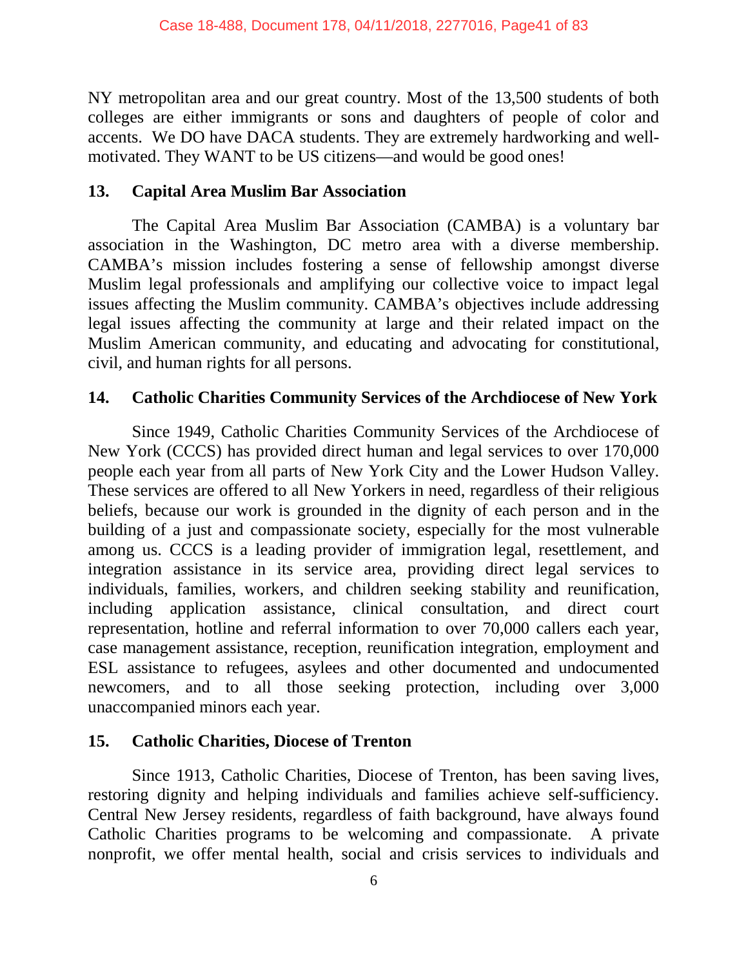NY metropolitan area and our great country. Most of the 13,500 students of both colleges are either immigrants or sons and daughters of people of color and accents. We DO have DACA students. They are extremely hardworking and wellmotivated. They WANT to be US citizens—and would be good ones!

### **13. Capital Area Muslim Bar Association**

The Capital Area Muslim Bar Association (CAMBA) is a voluntary bar association in the Washington, DC metro area with a diverse membership. CAMBA's mission includes fostering a sense of fellowship amongst diverse Muslim legal professionals and amplifying our collective voice to impact legal issues affecting the Muslim community. CAMBA's objectives include addressing legal issues affecting the community at large and their related impact on the Muslim American community, and educating and advocating for constitutional, civil, and human rights for all persons.

# **14. Catholic Charities Community Services of the Archdiocese of New York**

Since 1949, Catholic Charities Community Services of the Archdiocese of New York (CCCS) has provided direct human and legal services to over 170,000 people each year from all parts of New York City and the Lower Hudson Valley. These services are offered to all New Yorkers in need, regardless of their religious beliefs, because our work is grounded in the dignity of each person and in the building of a just and compassionate society, especially for the most vulnerable among us. CCCS is a leading provider of immigration legal, resettlement, and integration assistance in its service area, providing direct legal services to individuals, families, workers, and children seeking stability and reunification, including application assistance, clinical consultation, and direct court representation, hotline and referral information to over 70,000 callers each year, case management assistance, reception, reunification integration, employment and ESL assistance to refugees, asylees and other documented and undocumented newcomers, and to all those seeking protection, including over 3,000 unaccompanied minors each year.

### **15. Catholic Charities, Diocese of Trenton**

Since 1913, Catholic Charities, Diocese of Trenton, has been saving lives, restoring dignity and helping individuals and families achieve self-sufficiency. Central New Jersey residents, regardless of faith background, have always found Catholic Charities programs to be welcoming and compassionate. A private nonprofit, we offer mental health, social and crisis services to individuals and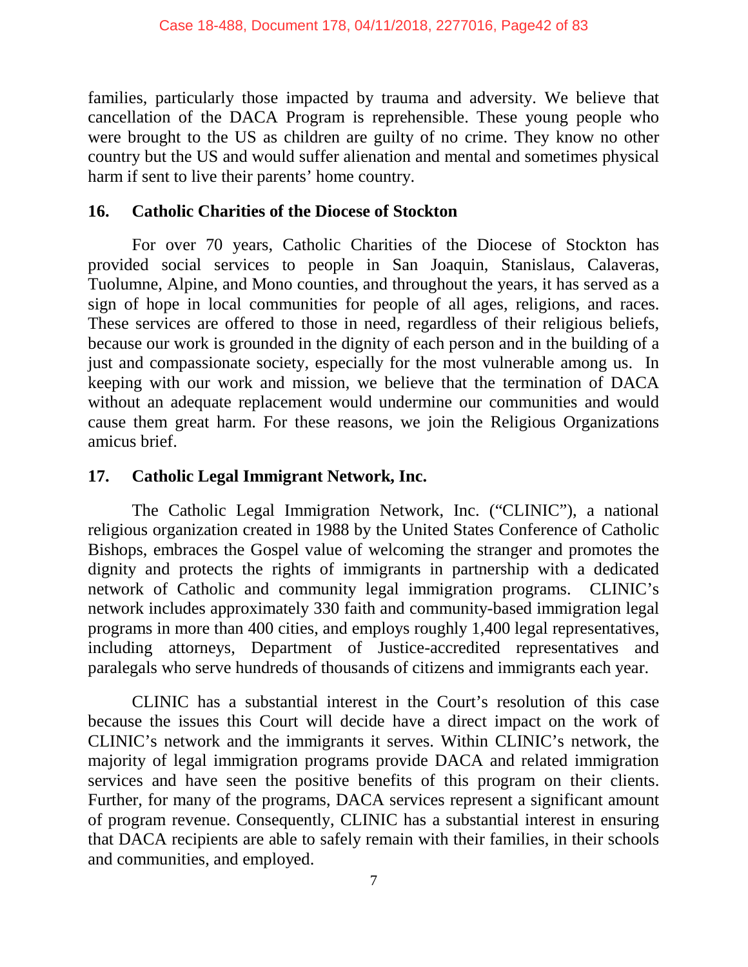families, particularly those impacted by trauma and adversity. We believe that cancellation of the DACA Program is reprehensible. These young people who were brought to the US as children are guilty of no crime. They know no other country but the US and would suffer alienation and mental and sometimes physical harm if sent to live their parents' home country.

### **16. Catholic Charities of the Diocese of Stockton**

For over 70 years, Catholic Charities of the Diocese of Stockton has provided social services to people in San Joaquin, Stanislaus, Calaveras, Tuolumne, Alpine, and Mono counties, and throughout the years, it has served as a sign of hope in local communities for people of all ages, religions, and races. These services are offered to those in need, regardless of their religious beliefs, because our work is grounded in the dignity of each person and in the building of a just and compassionate society, especially for the most vulnerable among us. In keeping with our work and mission, we believe that the termination of DACA without an adequate replacement would undermine our communities and would cause them great harm. For these reasons, we join the Religious Organizations amicus brief.

### **17. Catholic Legal Immigrant Network, Inc.**

The Catholic Legal Immigration Network, Inc. ("CLINIC"), a national religious organization created in 1988 by the United States Conference of Catholic Bishops, embraces the Gospel value of welcoming the stranger and promotes the dignity and protects the rights of immigrants in partnership with a dedicated network of Catholic and community legal immigration programs. CLINIC's network includes approximately 330 faith and community-based immigration legal programs in more than 400 cities, and employs roughly 1,400 legal representatives, including attorneys, Department of Justice-accredited representatives and paralegals who serve hundreds of thousands of citizens and immigrants each year.

CLINIC has a substantial interest in the Court's resolution of this case because the issues this Court will decide have a direct impact on the work of CLINIC's network and the immigrants it serves. Within CLINIC's network, the majority of legal immigration programs provide DACA and related immigration services and have seen the positive benefits of this program on their clients. Further, for many of the programs, DACA services represent a significant amount of program revenue. Consequently, CLINIC has a substantial interest in ensuring that DACA recipients are able to safely remain with their families, in their schools and communities, and employed.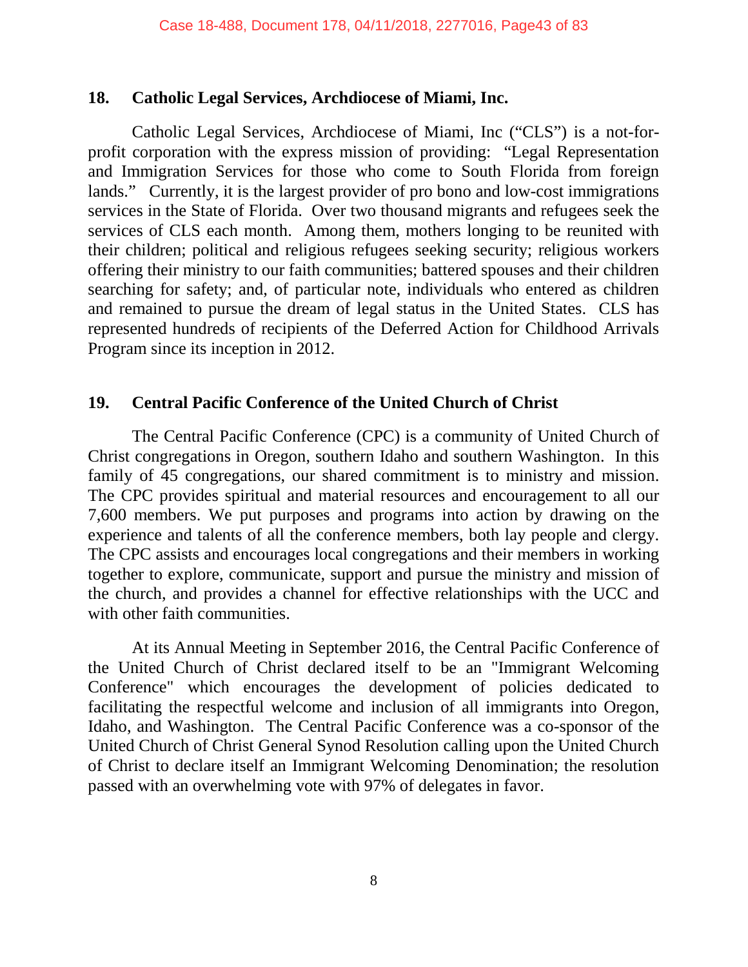#### **18. Catholic Legal Services, Archdiocese of Miami, Inc.**

Catholic Legal Services, Archdiocese of Miami, Inc ("CLS") is a not-forprofit corporation with the express mission of providing: "Legal Representation and Immigration Services for those who come to South Florida from foreign lands." Currently, it is the largest provider of pro bono and low-cost immigrations services in the State of Florida. Over two thousand migrants and refugees seek the services of CLS each month. Among them, mothers longing to be reunited with their children; political and religious refugees seeking security; religious workers offering their ministry to our faith communities; battered spouses and their children searching for safety; and, of particular note, individuals who entered as children and remained to pursue the dream of legal status in the United States. CLS has represented hundreds of recipients of the Deferred Action for Childhood Arrivals Program since its inception in 2012.

#### **19. Central Pacific Conference of the United Church of Christ**

The Central Pacific Conference (CPC) is a community of United Church of Christ congregations in Oregon, southern Idaho and southern Washington. In this family of 45 congregations, our shared commitment is to ministry and mission. The CPC provides spiritual and material resources and encouragement to all our 7,600 members. We put purposes and programs into action by drawing on the experience and talents of all the conference members, both lay people and clergy. The CPC assists and encourages local congregations and their members in working together to explore, communicate, support and pursue the ministry and mission of the church, and provides a channel for effective relationships with the UCC and with other faith communities.

At its Annual Meeting in September 2016, the Central Pacific Conference of the United Church of Christ declared itself to be an "Immigrant Welcoming Conference" which encourages the development of policies dedicated to facilitating the respectful welcome and inclusion of all immigrants into Oregon, Idaho, and Washington. The Central Pacific Conference was a co-sponsor of the United Church of Christ General Synod Resolution calling upon the United Church of Christ to declare itself an Immigrant Welcoming Denomination; the resolution passed with an overwhelming vote with 97% of delegates in favor.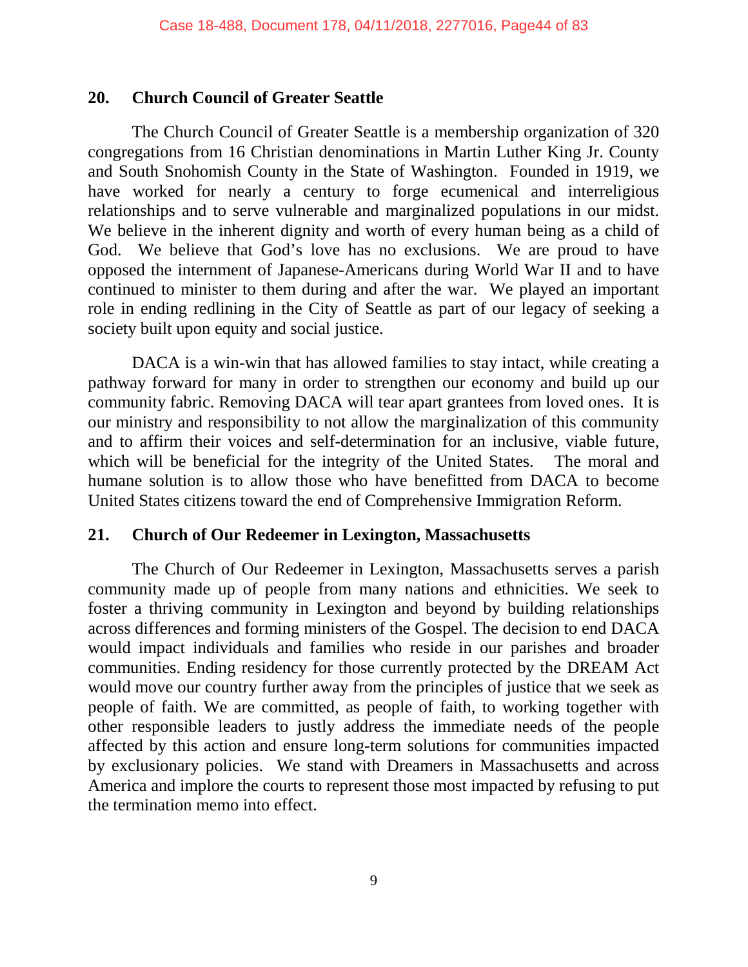#### **20. Church Council of Greater Seattle**

The Church Council of Greater Seattle is a membership organization of 320 congregations from 16 Christian denominations in Martin Luther King Jr. County and South Snohomish County in the State of Washington. Founded in 1919, we have worked for nearly a century to forge ecumenical and interreligious relationships and to serve vulnerable and marginalized populations in our midst. We believe in the inherent dignity and worth of every human being as a child of God. We believe that God's love has no exclusions. We are proud to have opposed the internment of Japanese-Americans during World War II and to have continued to minister to them during and after the war. We played an important role in ending redlining in the City of Seattle as part of our legacy of seeking a society built upon equity and social justice.

DACA is a win-win that has allowed families to stay intact, while creating a pathway forward for many in order to strengthen our economy and build up our community fabric. Removing DACA will tear apart grantees from loved ones. It is our ministry and responsibility to not allow the marginalization of this community and to affirm their voices and self-determination for an inclusive, viable future, which will be beneficial for the integrity of the United States. The moral and humane solution is to allow those who have benefitted from DACA to become United States citizens toward the end of Comprehensive Immigration Reform.

#### **21. Church of Our Redeemer in Lexington, Massachusetts**

The Church of Our Redeemer in Lexington, Massachusetts serves a parish community made up of people from many nations and ethnicities. We seek to foster a thriving community in Lexington and beyond by building relationships across differences and forming ministers of the Gospel. The decision to end DACA would impact individuals and families who reside in our parishes and broader communities. Ending residency for those currently protected by the DREAM Act would move our country further away from the principles of justice that we seek as people of faith. We are committed, as people of faith, to working together with other responsible leaders to justly address the immediate needs of the people affected by this action and ensure long-term solutions for communities impacted by exclusionary policies. We stand with Dreamers in Massachusetts and across America and implore the courts to represent those most impacted by refusing to put the termination memo into effect.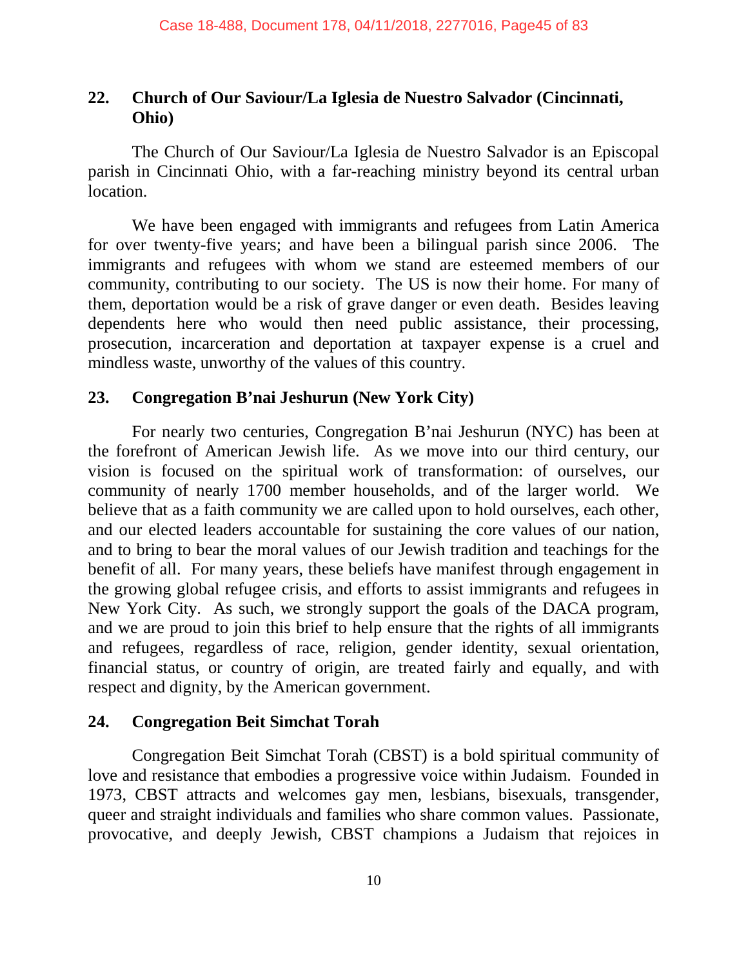# **22. Church of Our Saviour/La Iglesia de Nuestro Salvador (Cincinnati, Ohio)**

The Church of Our Saviour/La Iglesia de Nuestro Salvador is an Episcopal parish in Cincinnati Ohio, with a far-reaching ministry beyond its central urban location.

We have been engaged with immigrants and refugees from Latin America for over twenty-five years; and have been a bilingual parish since 2006. The immigrants and refugees with whom we stand are esteemed members of our community, contributing to our society. The US is now their home. For many of them, deportation would be a risk of grave danger or even death. Besides leaving dependents here who would then need public assistance, their processing, prosecution, incarceration and deportation at taxpayer expense is a cruel and mindless waste, unworthy of the values of this country.

# **23. Congregation B'nai Jeshurun (New York City)**

For nearly two centuries, Congregation B'nai Jeshurun (NYC) has been at the forefront of American Jewish life. As we move into our third century, our vision is focused on the spiritual work of transformation: of ourselves, our community of nearly 1700 member households, and of the larger world. We believe that as a faith community we are called upon to hold ourselves, each other, and our elected leaders accountable for sustaining the core values of our nation, and to bring to bear the moral values of our Jewish tradition and teachings for the benefit of all. For many years, these beliefs have manifest through engagement in the growing global refugee crisis, and efforts to assist immigrants and refugees in New York City. As such, we strongly support the goals of the DACA program, and we are proud to join this brief to help ensure that the rights of all immigrants and refugees, regardless of race, religion, gender identity, sexual orientation, financial status, or country of origin, are treated fairly and equally, and with respect and dignity, by the American government.

### **24. Congregation Beit Simchat Torah**

Congregation Beit Simchat Torah (CBST) is a bold spiritual community of love and resistance that embodies a progressive voice within Judaism. Founded in 1973, CBST attracts and welcomes gay men, lesbians, bisexuals, transgender, queer and straight individuals and families who share common values. Passionate, provocative, and deeply Jewish, CBST champions a Judaism that rejoices in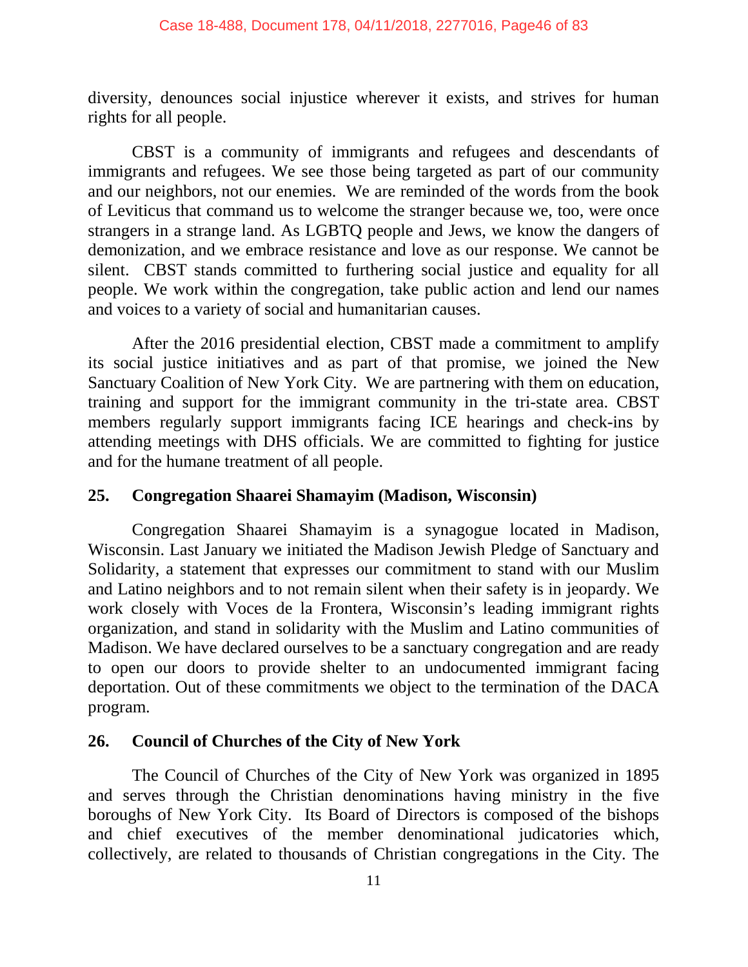diversity, denounces social injustice wherever it exists, and strives for human rights for all people.

CBST is a community of immigrants and refugees and descendants of immigrants and refugees. We see those being targeted as part of our community and our neighbors, not our enemies. We are reminded of the words from the book of Leviticus that command us to welcome the stranger because we, too, were once strangers in a strange land. As LGBTQ people and Jews, we know the dangers of demonization, and we embrace resistance and love as our response. We cannot be silent. CBST stands committed to furthering social justice and equality for all people. We work within the congregation, take public action and lend our names and voices to a variety of social and humanitarian causes.

After the 2016 presidential election, CBST made a commitment to amplify its social justice initiatives and as part of that promise, we joined the New Sanctuary Coalition of New York City. We are partnering with them on education, training and support for the immigrant community in the tri-state area. CBST members regularly support immigrants facing ICE hearings and check-ins by attending meetings with DHS officials. We are committed to fighting for justice and for the humane treatment of all people.

# **25. Congregation Shaarei Shamayim (Madison, Wisconsin)**

Congregation Shaarei Shamayim is a synagogue located in Madison, Wisconsin. Last January we initiated the Madison Jewish Pledge of Sanctuary and Solidarity, a statement that expresses our commitment to stand with our Muslim and Latino neighbors and to not remain silent when their safety is in jeopardy. We work closely with Voces de la Frontera, Wisconsin's leading immigrant rights organization, and stand in solidarity with the Muslim and Latino communities of Madison. We have declared ourselves to be a sanctuary congregation and are ready to open our doors to provide shelter to an undocumented immigrant facing deportation. Out of these commitments we object to the termination of the DACA program.

### **26. Council of Churches of the City of New York**

The Council of Churches of the City of New York was organized in 1895 and serves through the Christian denominations having ministry in the five boroughs of New York City. Its Board of Directors is composed of the bishops and chief executives of the member denominational judicatories which, collectively, are related to thousands of Christian congregations in the City. The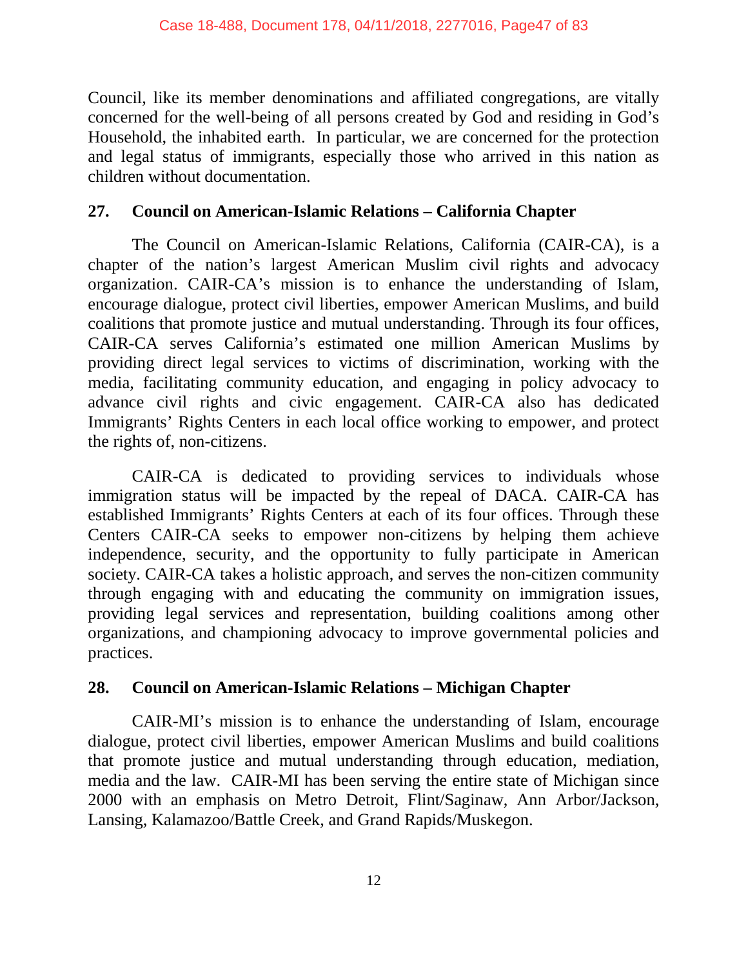Council, like its member denominations and affiliated congregations, are vitally concerned for the well-being of all persons created by God and residing in God's Household, the inhabited earth. In particular, we are concerned for the protection and legal status of immigrants, especially those who arrived in this nation as children without documentation.

#### **27. Council on American-Islamic Relations – California Chapter**

The Council on American-Islamic Relations, California (CAIR-CA), is a chapter of the nation's largest American Muslim civil rights and advocacy organization. CAIR-CA's mission is to enhance the understanding of Islam, encourage dialogue, protect civil liberties, empower American Muslims, and build coalitions that promote justice and mutual understanding. Through its four offices, CAIR-CA serves California's estimated one million American Muslims by providing direct legal services to victims of discrimination, working with the media, facilitating community education, and engaging in policy advocacy to advance civil rights and civic engagement. CAIR-CA also has dedicated Immigrants' Rights Centers in each local office working to empower, and protect the rights of, non-citizens.

CAIR-CA is dedicated to providing services to individuals whose immigration status will be impacted by the repeal of DACA. CAIR-CA has established Immigrants' Rights Centers at each of its four offices. Through these Centers CAIR-CA seeks to empower non-citizens by helping them achieve independence, security, and the opportunity to fully participate in American society. CAIR-CA takes a holistic approach, and serves the non-citizen community through engaging with and educating the community on immigration issues, providing legal services and representation, building coalitions among other organizations, and championing advocacy to improve governmental policies and practices.

### **28. Council on American-Islamic Relations – Michigan Chapter**

CAIR-MI's mission is to enhance the understanding of Islam, encourage dialogue, protect civil liberties, empower American Muslims and build coalitions that promote justice and mutual understanding through education, mediation, media and the law. CAIR-MI has been serving the entire state of Michigan since 2000 with an emphasis on Metro Detroit, Flint/Saginaw, Ann Arbor/Jackson, Lansing, Kalamazoo/Battle Creek, and Grand Rapids/Muskegon.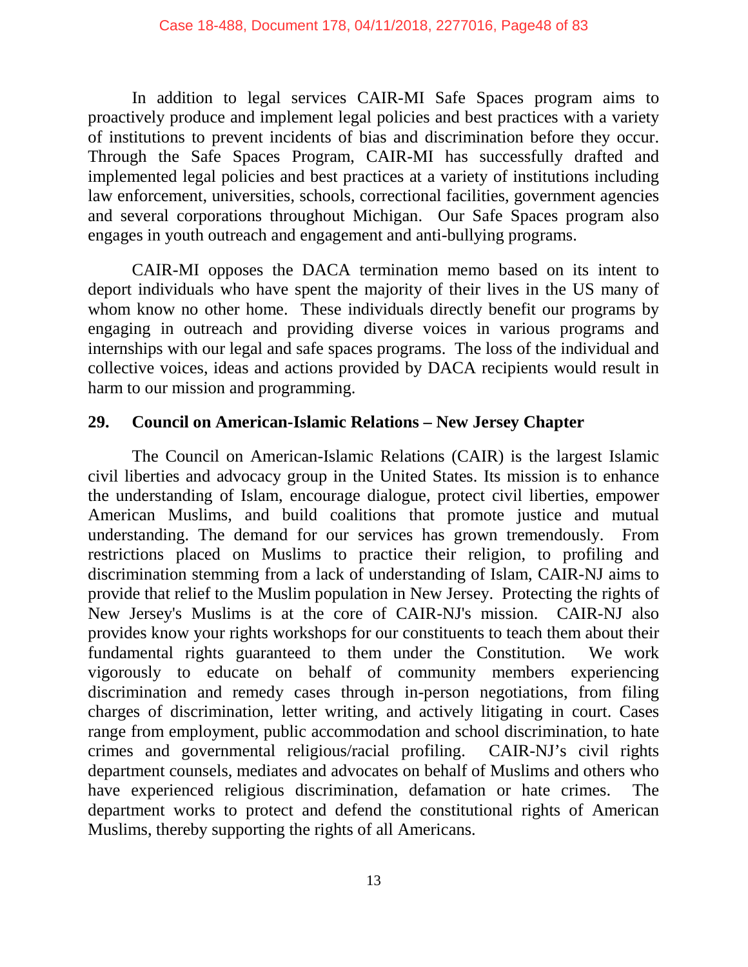In addition to legal services CAIR-MI Safe Spaces program aims to proactively produce and implement legal policies and best practices with a variety of institutions to prevent incidents of bias and discrimination before they occur. Through the Safe Spaces Program, CAIR-MI has successfully drafted and implemented legal policies and best practices at a variety of institutions including law enforcement, universities, schools, correctional facilities, government agencies and several corporations throughout Michigan. Our Safe Spaces program also engages in youth outreach and engagement and anti-bullying programs.

CAIR-MI opposes the DACA termination memo based on its intent to deport individuals who have spent the majority of their lives in the US many of whom know no other home. These individuals directly benefit our programs by engaging in outreach and providing diverse voices in various programs and internships with our legal and safe spaces programs. The loss of the individual and collective voices, ideas and actions provided by DACA recipients would result in harm to our mission and programming.

### **29. Council on American-Islamic Relations – New Jersey Chapter**

The Council on American-Islamic Relations (CAIR) is the largest Islamic civil liberties and advocacy group in the United States. Its mission is to enhance the understanding of Islam, encourage dialogue, protect civil liberties, empower American Muslims, and build coalitions that promote justice and mutual understanding. The demand for our services has grown tremendously. From restrictions placed on Muslims to practice their religion, to profiling and discrimination stemming from a lack of understanding of Islam, CAIR-NJ aims to provide that relief to the Muslim population in New Jersey. Protecting the rights of New Jersey's Muslims is at the core of CAIR-NJ's mission. CAIR-NJ also provides know your rights workshops for our constituents to teach them about their fundamental rights guaranteed to them under the Constitution. We work vigorously to educate on behalf of community members experiencing discrimination and remedy cases through in-person negotiations, from filing charges of discrimination, letter writing, and actively litigating in court. Cases range from employment, public accommodation and school discrimination, to hate crimes and governmental religious/racial profiling. CAIR-NJ's civil rights department counsels, mediates and advocates on behalf of Muslims and others who have experienced religious discrimination, defamation or hate crimes. The department works to protect and defend the constitutional rights of American Muslims, thereby supporting the rights of all Americans.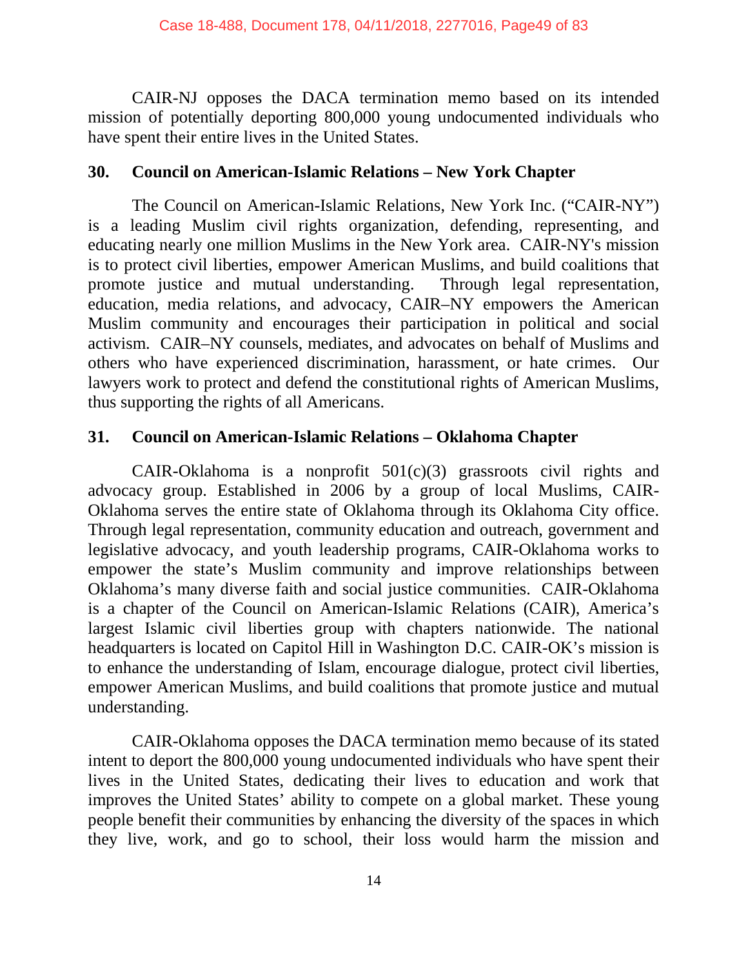CAIR-NJ opposes the DACA termination memo based on its intended mission of potentially deporting 800,000 young undocumented individuals who have spent their entire lives in the United States.

### **30. Council on American-Islamic Relations – New York Chapter**

The Council on American-Islamic Relations, New York Inc. ("CAIR-NY") is a leading Muslim civil rights organization, defending, representing, and educating nearly one million Muslims in the New York area. CAIR-NY's mission is to protect civil liberties, empower American Muslims, and build coalitions that promote justice and mutual understanding. Through legal representation, education, media relations, and advocacy, CAIR–NY empowers the American Muslim community and encourages their participation in political and social activism. CAIR–NY counsels, mediates, and advocates on behalf of Muslims and others who have experienced discrimination, harassment, or hate crimes. Our lawyers work to protect and defend the constitutional rights of American Muslims, thus supporting the rights of all Americans.

### **31. Council on American-Islamic Relations – Oklahoma Chapter**

CAIR-Oklahoma is a nonprofit  $501(c)(3)$  grassroots civil rights and advocacy group. Established in 2006 by a group of local Muslims, CAIR-Oklahoma serves the entire state of Oklahoma through its Oklahoma City office. Through legal representation, community education and outreach, government and legislative advocacy, and youth leadership programs, CAIR-Oklahoma works to empower the state's Muslim community and improve relationships between Oklahoma's many diverse faith and social justice communities. CAIR-Oklahoma is a chapter of the Council on American-Islamic Relations (CAIR), America's largest Islamic civil liberties group with chapters nationwide. The national headquarters is located on Capitol Hill in Washington D.C. CAIR-OK's mission is to enhance the understanding of Islam, encourage dialogue, protect civil liberties, empower American Muslims, and build coalitions that promote justice and mutual understanding.

CAIR-Oklahoma opposes the DACA termination memo because of its stated intent to deport the 800,000 young undocumented individuals who have spent their lives in the United States, dedicating their lives to education and work that improves the United States' ability to compete on a global market. These young people benefit their communities by enhancing the diversity of the spaces in which they live, work, and go to school, their loss would harm the mission and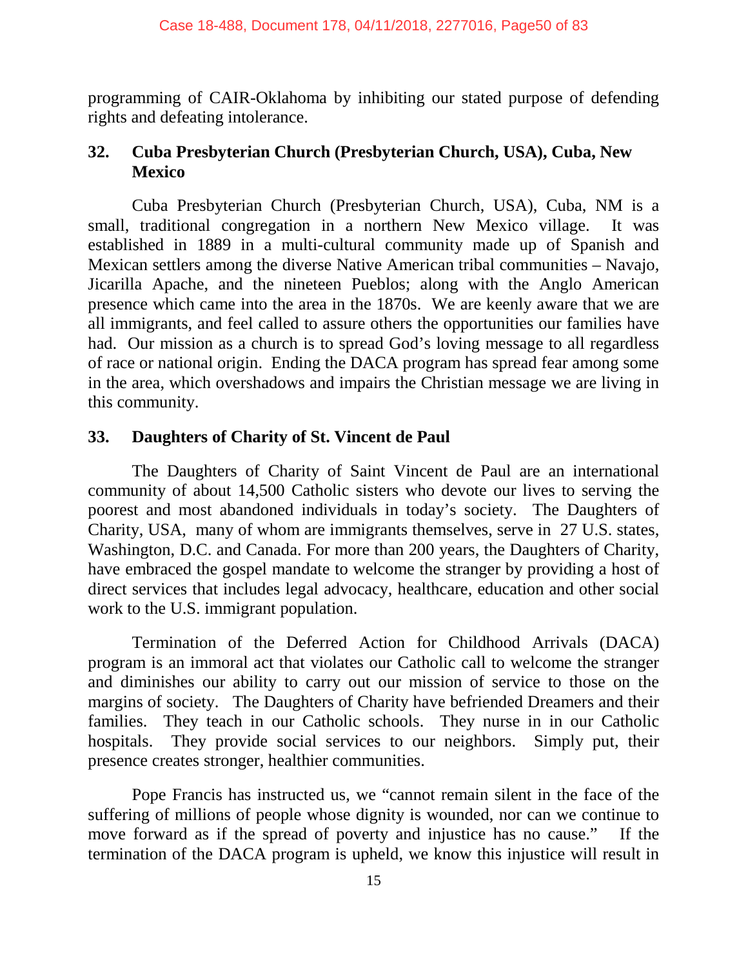programming of CAIR-Oklahoma by inhibiting our stated purpose of defending rights and defeating intolerance.

### **32. Cuba Presbyterian Church (Presbyterian Church, USA), Cuba, New Mexico**

Cuba Presbyterian Church (Presbyterian Church, USA), Cuba, NM is a small, traditional congregation in a northern New Mexico village. It was established in 1889 in a multi-cultural community made up of Spanish and Mexican settlers among the diverse Native American tribal communities – Navajo, Jicarilla Apache, and the nineteen Pueblos; along with the Anglo American presence which came into the area in the 1870s. We are keenly aware that we are all immigrants, and feel called to assure others the opportunities our families have had. Our mission as a church is to spread God's loving message to all regardless of race or national origin. Ending the DACA program has spread fear among some in the area, which overshadows and impairs the Christian message we are living in this community.

### **33. Daughters of Charity of St. Vincent de Paul**

The Daughters of Charity of Saint Vincent de Paul are an international community of about 14,500 Catholic sisters who devote our lives to serving the poorest and most abandoned individuals in today's society. The Daughters of Charity, USA, many of whom are immigrants themselves, serve in 27 U.S. states, Washington, D.C. and Canada. For more than 200 years, the Daughters of Charity, have embraced the gospel mandate to welcome the stranger by providing a host of direct services that includes legal advocacy, healthcare, education and other social work to the U.S. immigrant population.

Termination of the Deferred Action for Childhood Arrivals (DACA) program is an immoral act that violates our Catholic call to welcome the stranger and diminishes our ability to carry out our mission of service to those on the margins of society. The Daughters of Charity have befriended Dreamers and their families. They teach in our Catholic schools. They nurse in in our Catholic hospitals. They provide social services to our neighbors. Simply put, their presence creates stronger, healthier communities.

Pope Francis has instructed us, we "cannot remain silent in the face of the suffering of millions of people whose dignity is wounded, nor can we continue to move forward as if the spread of poverty and injustice has no cause." If the termination of the DACA program is upheld, we know this injustice will result in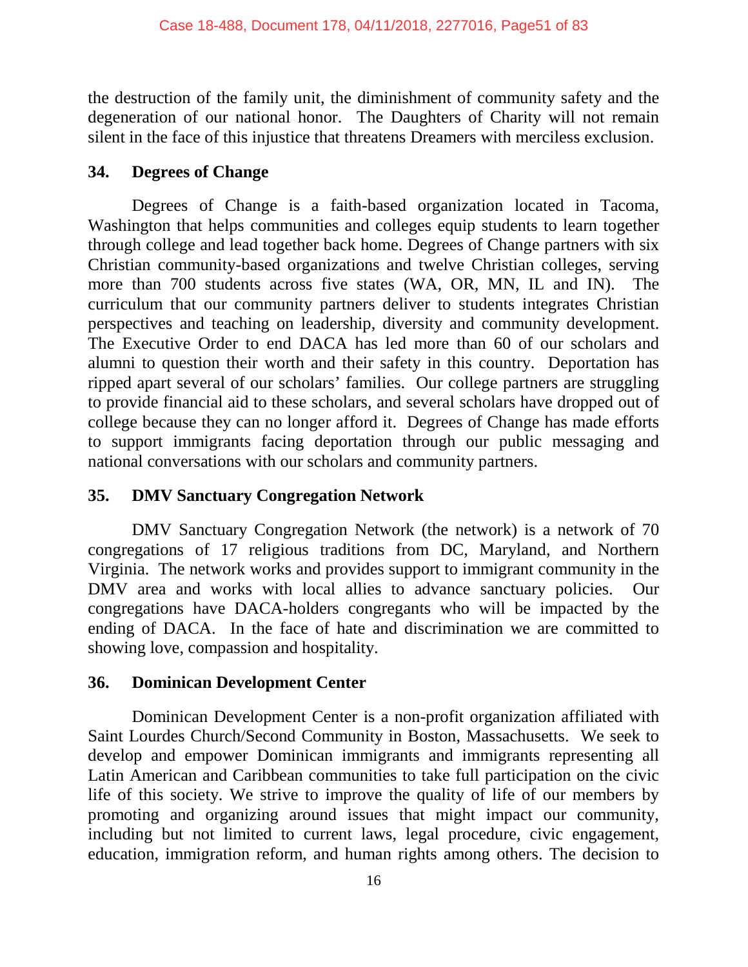the destruction of the family unit, the diminishment of community safety and the degeneration of our national honor. The Daughters of Charity will not remain silent in the face of this injustice that threatens Dreamers with merciless exclusion.

# **34. Degrees of Change**

Degrees of Change is a faith-based organization located in Tacoma, Washington that helps communities and colleges equip students to learn together through college and lead together back home. Degrees of Change partners with six Christian community-based organizations and twelve Christian colleges, serving more than 700 students across five states (WA, OR, MN, IL and IN). The curriculum that our community partners deliver to students integrates Christian perspectives and teaching on leadership, diversity and community development. The Executive Order to end DACA has led more than 60 of our scholars and alumni to question their worth and their safety in this country. Deportation has ripped apart several of our scholars' families. Our college partners are struggling to provide financial aid to these scholars, and several scholars have dropped out of college because they can no longer afford it. Degrees of Change has made efforts to support immigrants facing deportation through our public messaging and national conversations with our scholars and community partners.

# **35. DMV Sanctuary Congregation Network**

DMV Sanctuary Congregation Network (the network) is a network of 70 congregations of 17 religious traditions from DC, Maryland, and Northern Virginia. The network works and provides support to immigrant community in the DMV area and works with local allies to advance sanctuary policies. Our congregations have DACA-holders congregants who will be impacted by the ending of DACA. In the face of hate and discrimination we are committed to showing love, compassion and hospitality.

# **36. Dominican Development Center**

Dominican Development Center is a non-profit organization affiliated with Saint Lourdes Church/Second Community in Boston, Massachusetts. We seek to develop and empower Dominican immigrants and immigrants representing all Latin American and Caribbean communities to take full participation on the civic life of this society. We strive to improve the quality of life of our members by promoting and organizing around issues that might impact our community, including but not limited to current laws, legal procedure, civic engagement, education, immigration reform, and human rights among others. The decision to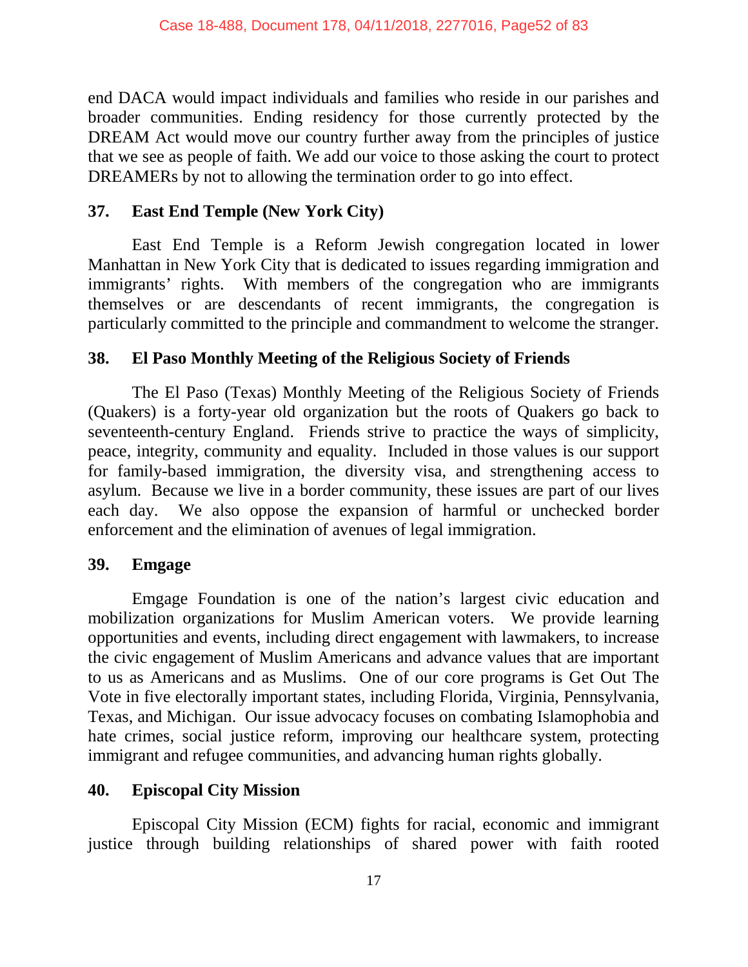end DACA would impact individuals and families who reside in our parishes and broader communities. Ending residency for those currently protected by the DREAM Act would move our country further away from the principles of justice that we see as people of faith. We add our voice to those asking the court to protect DREAMERs by not to allowing the termination order to go into effect.

#### **37. East End Temple (New York City)**

East End Temple is a Reform Jewish congregation located in lower Manhattan in New York City that is dedicated to issues regarding immigration and immigrants' rights. With members of the congregation who are immigrants themselves or are descendants of recent immigrants, the congregation is particularly committed to the principle and commandment to welcome the stranger.

### **38. El Paso Monthly Meeting of the Religious Society of Friends**

The El Paso (Texas) Monthly Meeting of the Religious Society of Friends (Quakers) is a forty-year old organization but the roots of Quakers go back to seventeenth-century England. Friends strive to practice the ways of simplicity, peace, integrity, community and equality. Included in those values is our support for family-based immigration, the diversity visa, and strengthening access to asylum. Because we live in a border community, these issues are part of our lives each day. We also oppose the expansion of harmful or unchecked border enforcement and the elimination of avenues of legal immigration.

### **39. Emgage**

Emgage Foundation is one of the nation's largest civic education and mobilization organizations for Muslim American voters. We provide learning opportunities and events, including direct engagement with lawmakers, to increase the civic engagement of Muslim Americans and advance values that are important to us as Americans and as Muslims. One of our core programs is Get Out The Vote in five electorally important states, including Florida, Virginia, Pennsylvania, Texas, and Michigan. Our issue advocacy focuses on combating Islamophobia and hate crimes, social justice reform, improving our healthcare system, protecting immigrant and refugee communities, and advancing human rights globally.

### **40. Episcopal City Mission**

Episcopal City Mission (ECM) fights for racial, economic and immigrant justice through building relationships of shared power with faith rooted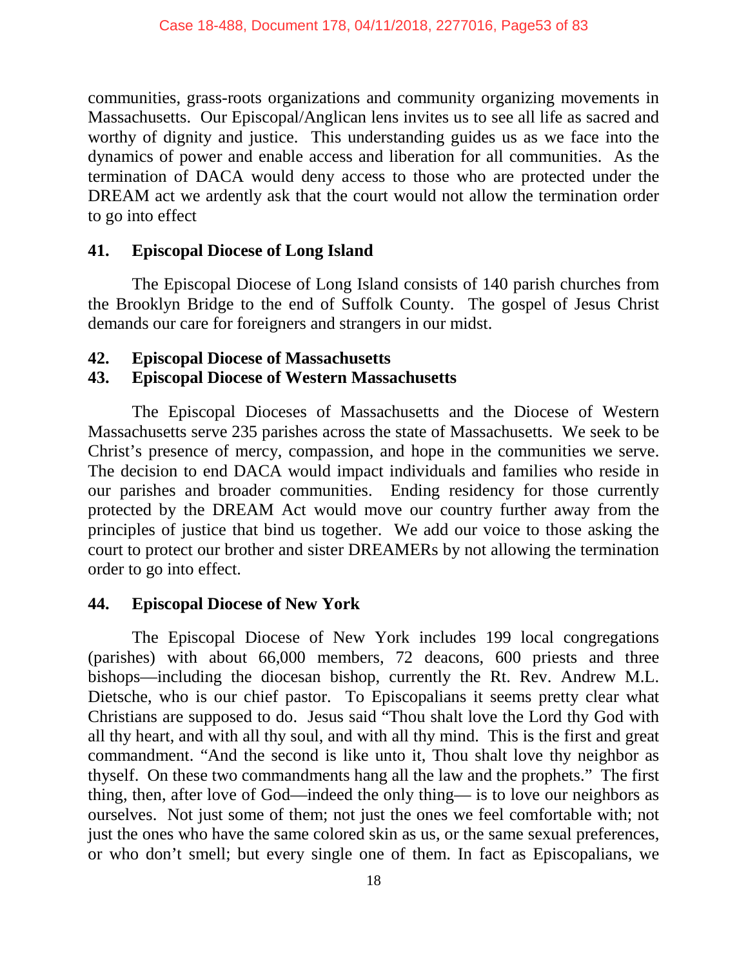communities, grass-roots organizations and community organizing movements in Massachusetts. Our Episcopal/Anglican lens invites us to see all life as sacred and worthy of dignity and justice. This understanding guides us as we face into the dynamics of power and enable access and liberation for all communities. As the termination of DACA would deny access to those who are protected under the DREAM act we ardently ask that the court would not allow the termination order to go into effect

### **41. Episcopal Diocese of Long Island**

The Episcopal Diocese of Long Island consists of 140 parish churches from the Brooklyn Bridge to the end of Suffolk County. The gospel of Jesus Christ demands our care for foreigners and strangers in our midst.

### **42. Episcopal Diocese of Massachusetts**

# **43. Episcopal Diocese of Western Massachusetts**

The Episcopal Dioceses of Massachusetts and the Diocese of Western Massachusetts serve 235 parishes across the state of Massachusetts. We seek to be Christ's presence of mercy, compassion, and hope in the communities we serve. The decision to end DACA would impact individuals and families who reside in our parishes and broader communities. Ending residency for those currently protected by the DREAM Act would move our country further away from the principles of justice that bind us together. We add our voice to those asking the court to protect our brother and sister DREAMERs by not allowing the termination order to go into effect.

# **44. Episcopal Diocese of New York**

The Episcopal Diocese of New York includes 199 local congregations (parishes) with about 66,000 members, 72 deacons, 600 priests and three bishops—including the diocesan bishop, currently the Rt. Rev. Andrew M.L. Dietsche, who is our chief pastor. To Episcopalians it seems pretty clear what Christians are supposed to do. Jesus said "Thou shalt love the Lord thy God with all thy heart, and with all thy soul, and with all thy mind. This is the first and great commandment. "And the second is like unto it, Thou shalt love thy neighbor as thyself. On these two commandments hang all the law and the prophets." The first thing, then, after love of God—indeed the only thing— is to love our neighbors as ourselves. Not just some of them; not just the ones we feel comfortable with; not just the ones who have the same colored skin as us, or the same sexual preferences, or who don't smell; but every single one of them. In fact as Episcopalians, we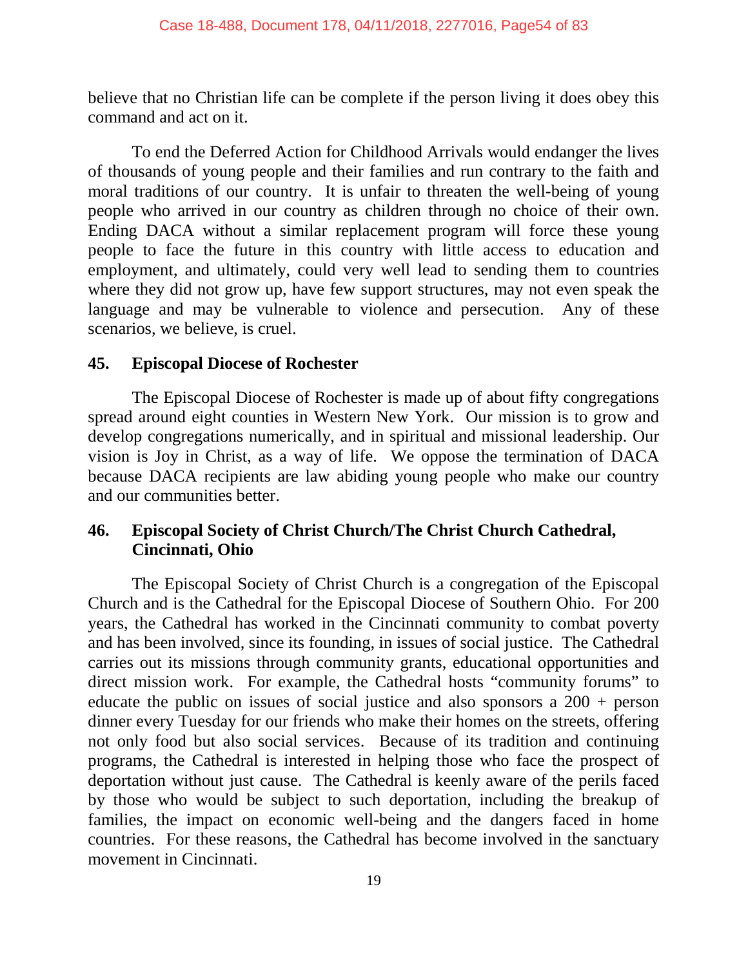believe that no Christian life can be complete if the person living it does obey this command and act on it.

To end the Deferred Action for Childhood Arrivals would endanger the lives of thousands of young people and their families and run contrary to the faith and moral traditions of our country. It is unfair to threaten the well-being of young people who arrived in our country as children through no choice of their own. Ending DACA without a similar replacement program will force these young people to face the future in this country with little access to education and employment, and ultimately, could very well lead to sending them to countries where they did not grow up, have few support structures, may not even speak the language and may be vulnerable to violence and persecution. Any of these scenarios, we believe, is cruel.

### **45. Episcopal Diocese of Rochester**

The Episcopal Diocese of Rochester is made up of about fifty congregations spread around eight counties in Western New York. Our mission is to grow and develop congregations numerically, and in spiritual and missional leadership. Our vision is Joy in Christ, as a way of life. We oppose the termination of DACA because DACA recipients are law abiding young people who make our country and our communities better.

# **46. Episcopal Society of Christ Church/The Christ Church Cathedral, Cincinnati, Ohio**

The Episcopal Society of Christ Church is a congregation of the Episcopal Church and is the Cathedral for the Episcopal Diocese of Southern Ohio. For 200 years, the Cathedral has worked in the Cincinnati community to combat poverty and has been involved, since its founding, in issues of social justice. The Cathedral carries out its missions through community grants, educational opportunities and direct mission work. For example, the Cathedral hosts "community forums" to educate the public on issues of social justice and also sponsors a 200 + person dinner every Tuesday for our friends who make their homes on the streets, offering not only food but also social services. Because of its tradition and continuing programs, the Cathedral is interested in helping those who face the prospect of deportation without just cause. The Cathedral is keenly aware of the perils faced by those who would be subject to such deportation, including the breakup of families, the impact on economic well-being and the dangers faced in home countries. For these reasons, the Cathedral has become involved in the sanctuary movement in Cincinnati.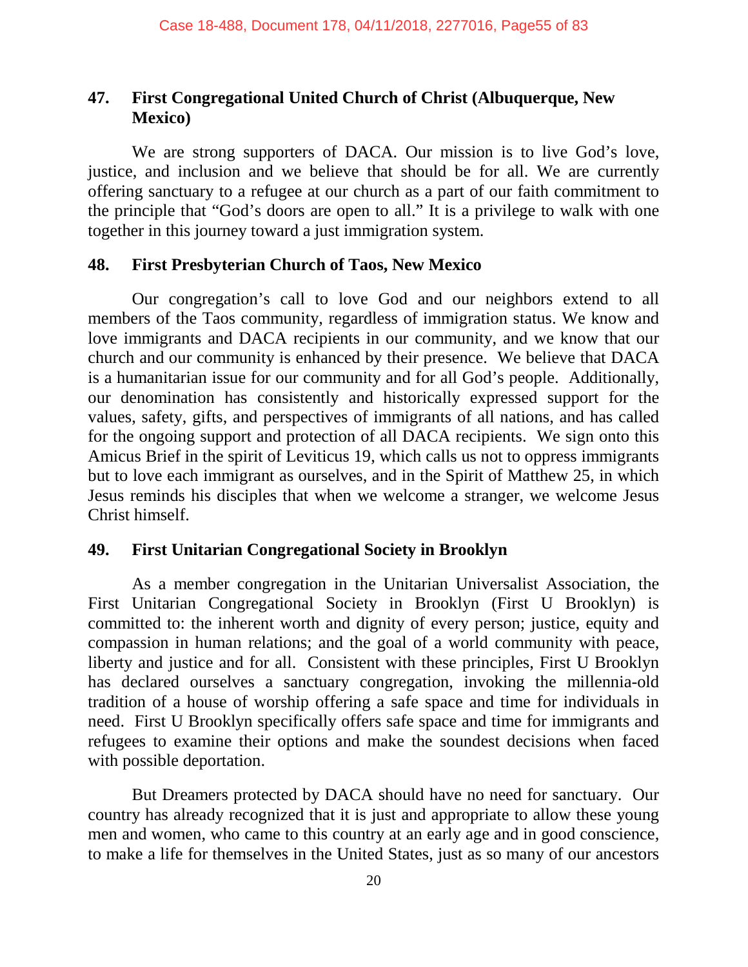### **47. First Congregational United Church of Christ (Albuquerque, New Mexico)**

We are strong supporters of DACA. Our mission is to live God's love, justice, and inclusion and we believe that should be for all. We are currently offering sanctuary to a refugee at our church as a part of our faith commitment to the principle that "God's doors are open to all." It is a privilege to walk with one together in this journey toward a just immigration system.

#### **48. First Presbyterian Church of Taos, New Mexico**

Our congregation's call to love God and our neighbors extend to all members of the Taos community, regardless of immigration status. We know and love immigrants and DACA recipients in our community, and we know that our church and our community is enhanced by their presence. We believe that DACA is a humanitarian issue for our community and for all God's people. Additionally, our denomination has consistently and historically expressed support for the values, safety, gifts, and perspectives of immigrants of all nations, and has called for the ongoing support and protection of all DACA recipients. We sign onto this Amicus Brief in the spirit of Leviticus 19, which calls us not to oppress immigrants but to love each immigrant as ourselves, and in the Spirit of Matthew 25, in which Jesus reminds his disciples that when we welcome a stranger, we welcome Jesus Christ himself.

### **49. First Unitarian Congregational Society in Brooklyn**

As a member congregation in the Unitarian Universalist Association, the First Unitarian Congregational Society in Brooklyn (First U Brooklyn) is committed to: the inherent worth and dignity of every person; justice, equity and compassion in human relations; and the goal of a world community with peace, liberty and justice and for all. Consistent with these principles, First U Brooklyn has declared ourselves a sanctuary congregation, invoking the millennia-old tradition of a house of worship offering a safe space and time for individuals in need. First U Brooklyn specifically offers safe space and time for immigrants and refugees to examine their options and make the soundest decisions when faced with possible deportation.

But Dreamers protected by DACA should have no need for sanctuary. Our country has already recognized that it is just and appropriate to allow these young men and women, who came to this country at an early age and in good conscience, to make a life for themselves in the United States, just as so many of our ancestors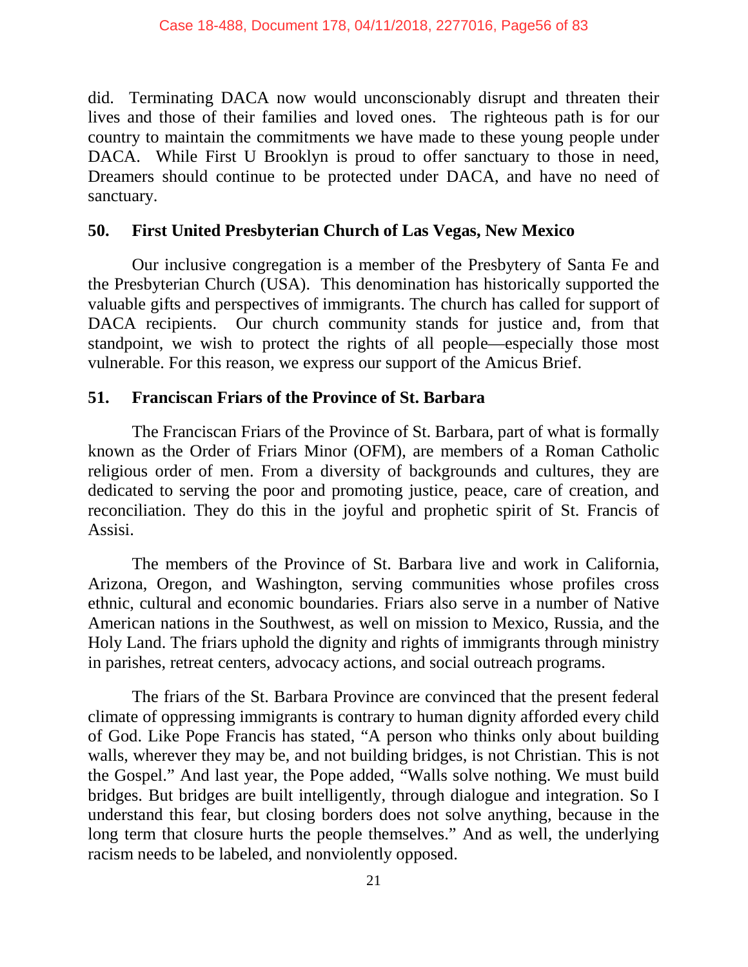did. Terminating DACA now would unconscionably disrupt and threaten their lives and those of their families and loved ones. The righteous path is for our country to maintain the commitments we have made to these young people under DACA. While First U Brooklyn is proud to offer sanctuary to those in need, Dreamers should continue to be protected under DACA, and have no need of sanctuary.

### **50. First United Presbyterian Church of Las Vegas, New Mexico**

Our inclusive congregation is a member of the Presbytery of Santa Fe and the Presbyterian Church (USA). This denomination has historically supported the valuable gifts and perspectives of immigrants. The church has called for support of DACA recipients. Our church community stands for justice and, from that standpoint, we wish to protect the rights of all people—especially those most vulnerable. For this reason, we express our support of the Amicus Brief.

### **51. Franciscan Friars of the Province of St. Barbara**

The Franciscan Friars of the Province of St. Barbara, part of what is formally known as the Order of Friars Minor (OFM), are members of a Roman Catholic religious order of men. From a diversity of backgrounds and cultures, they are dedicated to serving the poor and promoting justice, peace, care of creation, and reconciliation. They do this in the joyful and prophetic spirit of St. Francis of Assisi.

The members of the Province of St. Barbara live and work in California, Arizona, Oregon, and Washington, serving communities whose profiles cross ethnic, cultural and economic boundaries. Friars also serve in a number of Native American nations in the Southwest, as well on mission to Mexico, Russia, and the Holy Land. The friars uphold the dignity and rights of immigrants through ministry in parishes, retreat centers, advocacy actions, and social outreach programs.

The friars of the St. Barbara Province are convinced that the present federal climate of oppressing immigrants is contrary to human dignity afforded every child of God. Like Pope Francis has stated, "A person who thinks only about building walls, wherever they may be, and not building bridges, is not Christian. This is not the Gospel." And last year, the Pope added, "Walls solve nothing. We must build bridges. But bridges are built intelligently, through dialogue and integration. So I understand this fear, but closing borders does not solve anything, because in the long term that closure hurts the people themselves." And as well, the underlying racism needs to be labeled, and nonviolently opposed.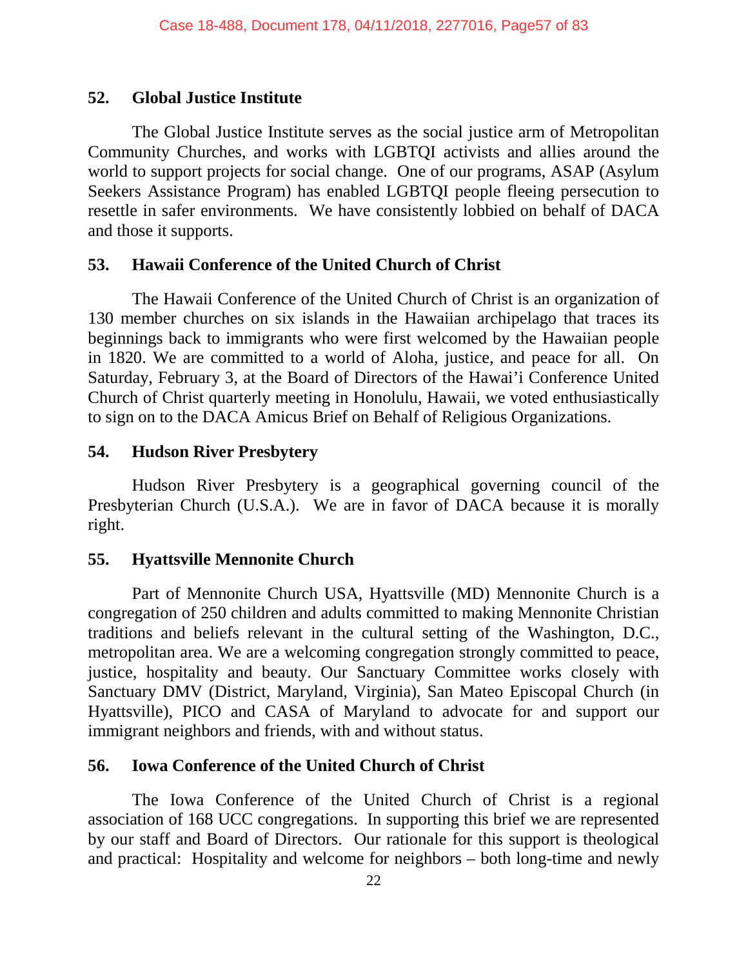### **52. Global Justice Institute**

The Global Justice Institute serves as the social justice arm of Metropolitan Community Churches, and works with LGBTQI activists and allies around the world to support projects for social change. One of our programs, ASAP (Asylum Seekers Assistance Program) has enabled LGBTQI people fleeing persecution to resettle in safer environments. We have consistently lobbied on behalf of DACA and those it supports.

### **53. Hawaii Conference of the United Church of Christ**

The Hawaii Conference of the United Church of Christ is an organization of 130 member churches on six islands in the Hawaiian archipelago that traces its beginnings back to immigrants who were first welcomed by the Hawaiian people in 1820. We are committed to a world of Aloha, justice, and peace for all. On Saturday, February 3, at the Board of Directors of the Hawai'i Conference United Church of Christ quarterly meeting in Honolulu, Hawaii, we voted enthusiastically to sign on to the DACA Amicus Brief on Behalf of Religious Organizations.

# **54. Hudson River Presbytery**

Hudson River Presbytery is a geographical governing council of the Presbyterian Church (U.S.A.). We are in favor of DACA because it is morally right.

# **55. Hyattsville Mennonite Church**

Part of Mennonite Church USA, Hyattsville (MD) Mennonite Church is a congregation of 250 children and adults committed to making Mennonite Christian traditions and beliefs relevant in the cultural setting of the Washington, D.C., metropolitan area. We are a welcoming congregation strongly committed to peace, justice, hospitality and beauty. Our Sanctuary Committee works closely with Sanctuary DMV (District, Maryland, Virginia), San Mateo Episcopal Church (in Hyattsville), PICO and CASA of Maryland to advocate for and support our immigrant neighbors and friends, with and without status.

# **56. Iowa Conference of the United Church of Christ**

The Iowa Conference of the United Church of Christ is a regional association of 168 UCC congregations. In supporting this brief we are represented by our staff and Board of Directors. Our rationale for this support is theological and practical: Hospitality and welcome for neighbors – both long-time and newly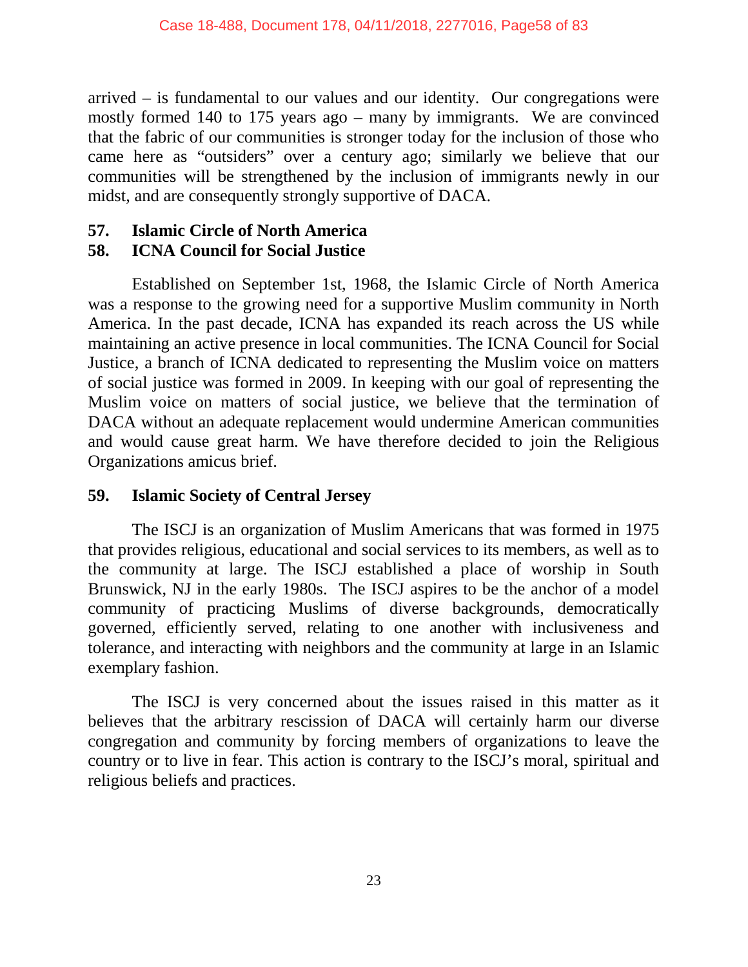arrived – is fundamental to our values and our identity. Our congregations were mostly formed 140 to 175 years ago – many by immigrants. We are convinced that the fabric of our communities is stronger today for the inclusion of those who came here as "outsiders" over a century ago; similarly we believe that our communities will be strengthened by the inclusion of immigrants newly in our midst, and are consequently strongly supportive of DACA.

### **57. Islamic Circle of North America**

# **58. ICNA Council for Social Justice**

Established on September 1st, 1968, the Islamic Circle of North America was a response to the growing need for a supportive Muslim community in North America. In the past decade, ICNA has expanded its reach across the US while maintaining an active presence in local communities. The ICNA Council for Social Justice, a branch of ICNA dedicated to representing the Muslim voice on matters of social justice was formed in 2009. In keeping with our goal of representing the Muslim voice on matters of social justice, we believe that the termination of DACA without an adequate replacement would undermine American communities and would cause great harm. We have therefore decided to join the Religious Organizations amicus brief.

### **59. Islamic Society of Central Jersey**

The ISCJ is an organization of Muslim Americans that was formed in 1975 that provides religious, educational and social services to its members, as well as to the community at large. The ISCJ established a place of worship in South Brunswick, NJ in the early 1980s. The ISCJ aspires to be the anchor of a model community of practicing Muslims of diverse backgrounds, democratically governed, efficiently served, relating to one another with inclusiveness and tolerance, and interacting with neighbors and the community at large in an Islamic exemplary fashion.

The ISCJ is very concerned about the issues raised in this matter as it believes that the arbitrary rescission of DACA will certainly harm our diverse congregation and community by forcing members of organizations to leave the country or to live in fear. This action is contrary to the ISCJ's moral, spiritual and religious beliefs and practices.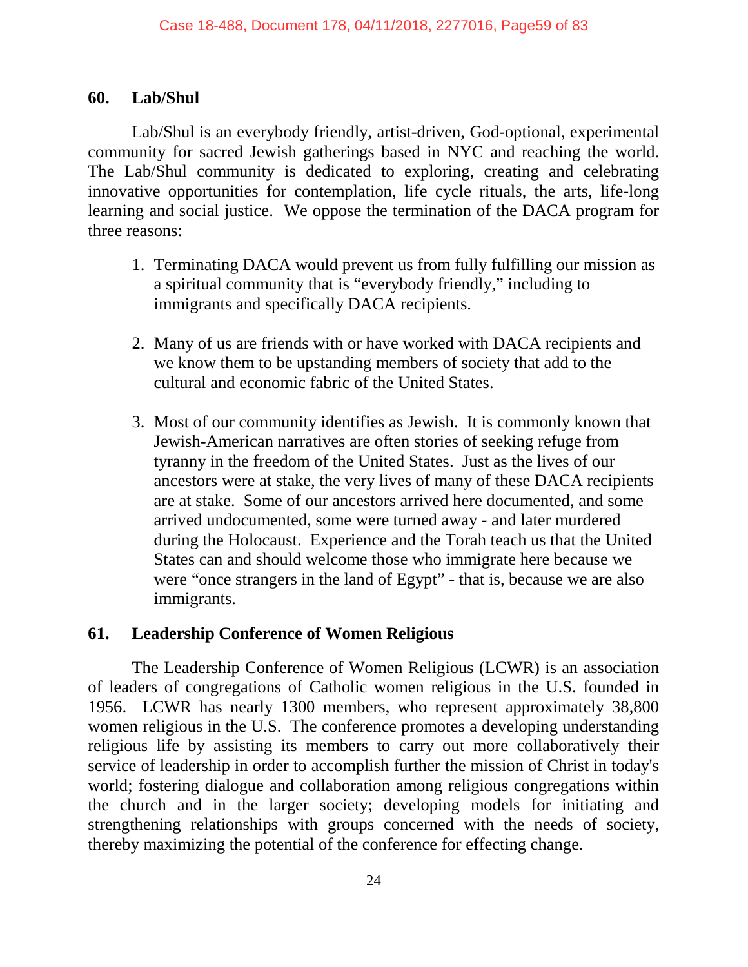### **60. Lab/Shul**

Lab/Shul is an everybody friendly, artist-driven, God-optional, experimental community for sacred Jewish gatherings based in NYC and reaching the world. The Lab/Shul community is dedicated to exploring, creating and celebrating innovative opportunities for contemplation, life cycle rituals, the arts, life-long learning and social justice. We oppose the termination of the DACA program for three reasons:

- 1. Terminating DACA would prevent us from fully fulfilling our mission as a spiritual community that is "everybody friendly," including to immigrants and specifically DACA recipients.
- 2. Many of us are friends with or have worked with DACA recipients and we know them to be upstanding members of society that add to the cultural and economic fabric of the United States.
- 3. Most of our community identifies as Jewish. It is commonly known that Jewish-American narratives are often stories of seeking refuge from tyranny in the freedom of the United States. Just as the lives of our ancestors were at stake, the very lives of many of these DACA recipients are at stake. Some of our ancestors arrived here documented, and some arrived undocumented, some were turned away - and later murdered during the Holocaust. Experience and the Torah teach us that the United States can and should welcome those who immigrate here because we were "once strangers in the land of Egypt" - that is, because we are also immigrants.

### **61. Leadership Conference of Women Religious**

The Leadership Conference of Women Religious (LCWR) is an association of leaders of congregations of Catholic women religious in the U.S. founded in 1956. LCWR has nearly 1300 members, who represent approximately 38,800 women religious in the U.S. The conference promotes a developing understanding religious life by assisting its members to carry out more collaboratively their service of leadership in order to accomplish further the mission of Christ in today's world; fostering dialogue and collaboration among religious congregations within the church and in the larger society; developing models for initiating and strengthening relationships with groups concerned with the needs of society, thereby maximizing the potential of the conference for effecting change.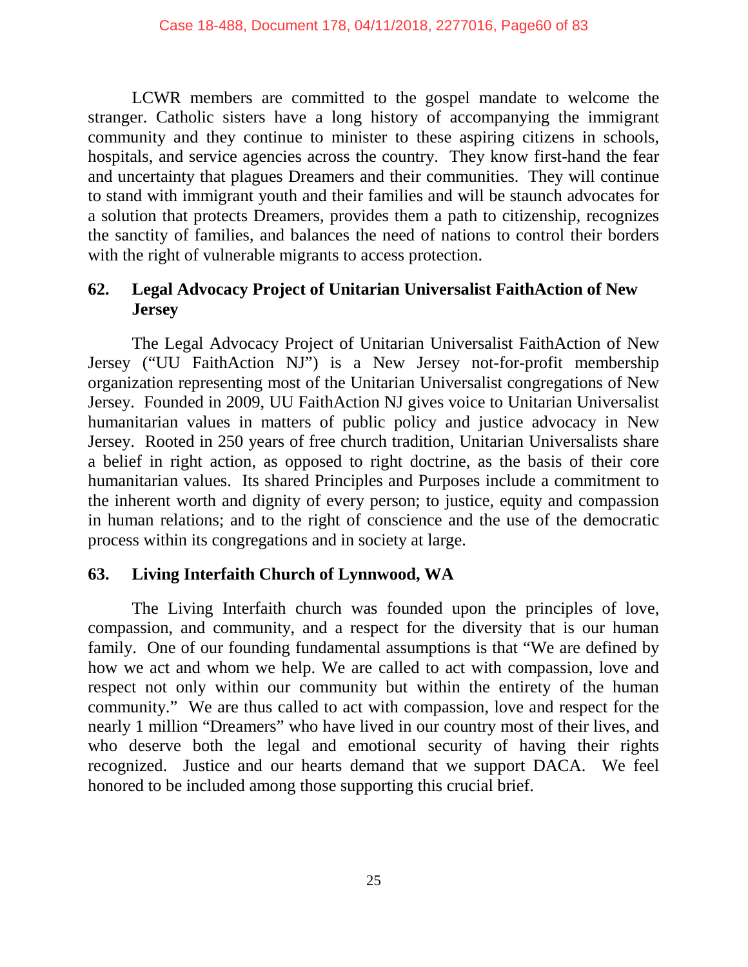LCWR members are committed to the gospel mandate to welcome the stranger. Catholic sisters have a long history of accompanying the immigrant community and they continue to minister to these aspiring citizens in schools, hospitals, and service agencies across the country. They know first-hand the fear and uncertainty that plagues Dreamers and their communities. They will continue to stand with immigrant youth and their families and will be staunch advocates for a solution that protects Dreamers, provides them a path to citizenship, recognizes the sanctity of families, and balances the need of nations to control their borders with the right of vulnerable migrants to access protection.

### **62. Legal Advocacy Project of Unitarian Universalist FaithAction of New Jersey**

The Legal Advocacy Project of Unitarian Universalist FaithAction of New Jersey ("UU FaithAction NJ") is a New Jersey not-for-profit membership organization representing most of the Unitarian Universalist congregations of New Jersey. Founded in 2009, UU FaithAction NJ gives voice to Unitarian Universalist humanitarian values in matters of public policy and justice advocacy in New Jersey. Rooted in 250 years of free church tradition, Unitarian Universalists share a belief in right action, as opposed to right doctrine, as the basis of their core humanitarian values. Its shared Principles and Purposes include a commitment to the inherent worth and dignity of every person; to justice, equity and compassion in human relations; and to the right of conscience and the use of the democratic process within its congregations and in society at large.

### **63. Living Interfaith Church of Lynnwood, WA**

The Living Interfaith church was founded upon the principles of love, compassion, and community, and a respect for the diversity that is our human family. One of our founding fundamental assumptions is that "We are defined by how we act and whom we help. We are called to act with compassion, love and respect not only within our community but within the entirety of the human community." We are thus called to act with compassion, love and respect for the nearly 1 million "Dreamers" who have lived in our country most of their lives, and who deserve both the legal and emotional security of having their rights recognized. Justice and our hearts demand that we support DACA. We feel honored to be included among those supporting this crucial brief.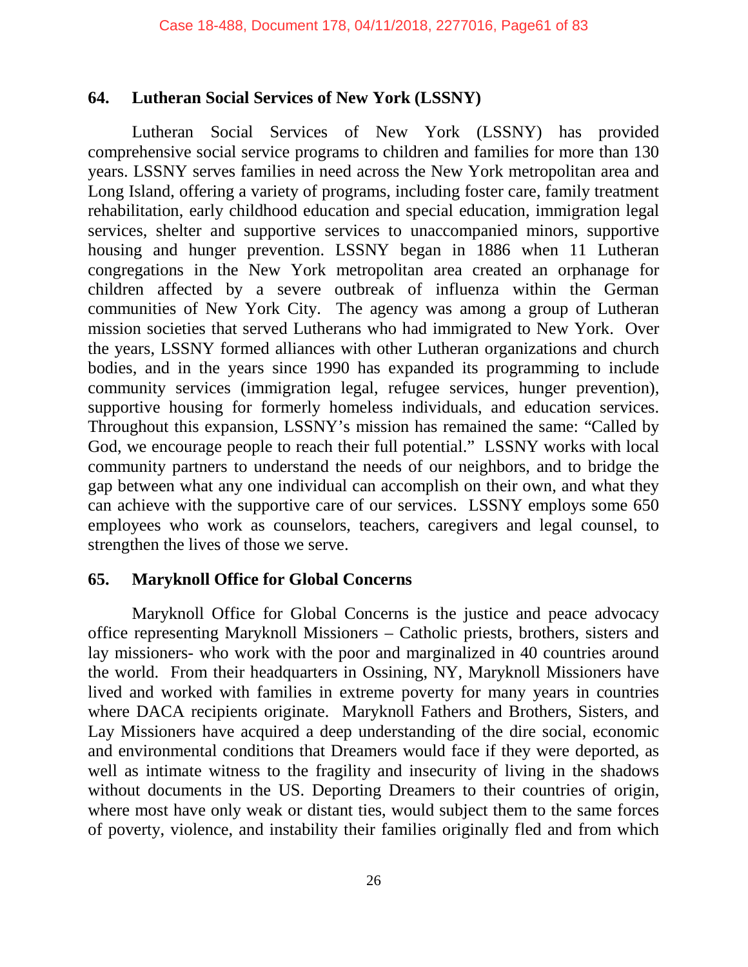### **64. Lutheran Social Services of New York (LSSNY)**

Lutheran Social Services of New York (LSSNY) has provided comprehensive social service programs to children and families for more than 130 years. LSSNY serves families in need across the New York metropolitan area and Long Island, offering a variety of programs, including foster care, family treatment rehabilitation, early childhood education and special education, immigration legal services, shelter and supportive services to unaccompanied minors, supportive housing and hunger prevention. LSSNY began in 1886 when 11 Lutheran congregations in the New York metropolitan area created an orphanage for children affected by a severe outbreak of influenza within the German communities of New York City. The agency was among a group of Lutheran mission societies that served Lutherans who had immigrated to New York. Over the years, LSSNY formed alliances with other Lutheran organizations and church bodies, and in the years since 1990 has expanded its programming to include community services (immigration legal, refugee services, hunger prevention), supportive housing for formerly homeless individuals, and education services. Throughout this expansion, LSSNY's mission has remained the same: "Called by God, we encourage people to reach their full potential." LSSNY works with local community partners to understand the needs of our neighbors, and to bridge the gap between what any one individual can accomplish on their own, and what they can achieve with the supportive care of our services. LSSNY employs some 650 employees who work as counselors, teachers, caregivers and legal counsel, to strengthen the lives of those we serve.

# **65. Maryknoll Office for Global Concerns**

Maryknoll Office for Global Concerns is the justice and peace advocacy office representing Maryknoll Missioners – Catholic priests, brothers, sisters and lay missioners- who work with the poor and marginalized in 40 countries around the world. From their headquarters in Ossining, NY, Maryknoll Missioners have lived and worked with families in extreme poverty for many years in countries where DACA recipients originate. Maryknoll Fathers and Brothers, Sisters, and Lay Missioners have acquired a deep understanding of the dire social, economic and environmental conditions that Dreamers would face if they were deported, as well as intimate witness to the fragility and insecurity of living in the shadows without documents in the US. Deporting Dreamers to their countries of origin, where most have only weak or distant ties, would subject them to the same forces of poverty, violence, and instability their families originally fled and from which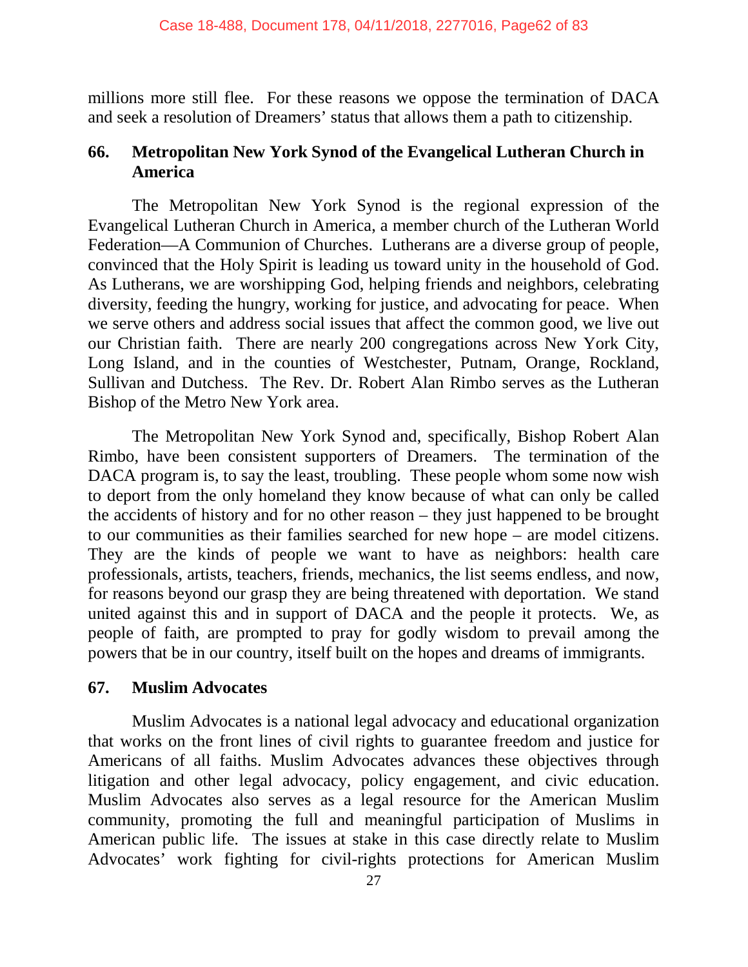millions more still flee. For these reasons we oppose the termination of DACA and seek a resolution of Dreamers' status that allows them a path to citizenship.

### **66. Metropolitan New York Synod of the Evangelical Lutheran Church in America**

The Metropolitan New York Synod is the regional expression of the Evangelical Lutheran Church in America, a member church of the Lutheran World Federation—A Communion of Churches. Lutherans are a diverse group of people, convinced that the Holy Spirit is leading us toward unity in the household of God. As Lutherans, we are worshipping God, helping friends and neighbors, celebrating diversity, feeding the hungry, working for justice, and advocating for peace. When we serve others and address social issues that affect the common good, we live out our Christian faith. There are nearly 200 congregations across New York City, Long Island, and in the counties of Westchester, Putnam, Orange, Rockland, Sullivan and Dutchess. The Rev. Dr. Robert Alan Rimbo serves as the Lutheran Bishop of the Metro New York area.

The Metropolitan New York Synod and, specifically, Bishop Robert Alan Rimbo, have been consistent supporters of Dreamers. The termination of the DACA program is, to say the least, troubling. These people whom some now wish to deport from the only homeland they know because of what can only be called the accidents of history and for no other reason – they just happened to be brought to our communities as their families searched for new hope – are model citizens. They are the kinds of people we want to have as neighbors: health care professionals, artists, teachers, friends, mechanics, the list seems endless, and now, for reasons beyond our grasp they are being threatened with deportation. We stand united against this and in support of DACA and the people it protects. We, as people of faith, are prompted to pray for godly wisdom to prevail among the powers that be in our country, itself built on the hopes and dreams of immigrants.

### **67. Muslim Advocates**

Muslim Advocates is a national legal advocacy and educational organization that works on the front lines of civil rights to guarantee freedom and justice for Americans of all faiths. Muslim Advocates advances these objectives through litigation and other legal advocacy, policy engagement, and civic education. Muslim Advocates also serves as a legal resource for the American Muslim community, promoting the full and meaningful participation of Muslims in American public life. The issues at stake in this case directly relate to Muslim Advocates' work fighting for civil-rights protections for American Muslim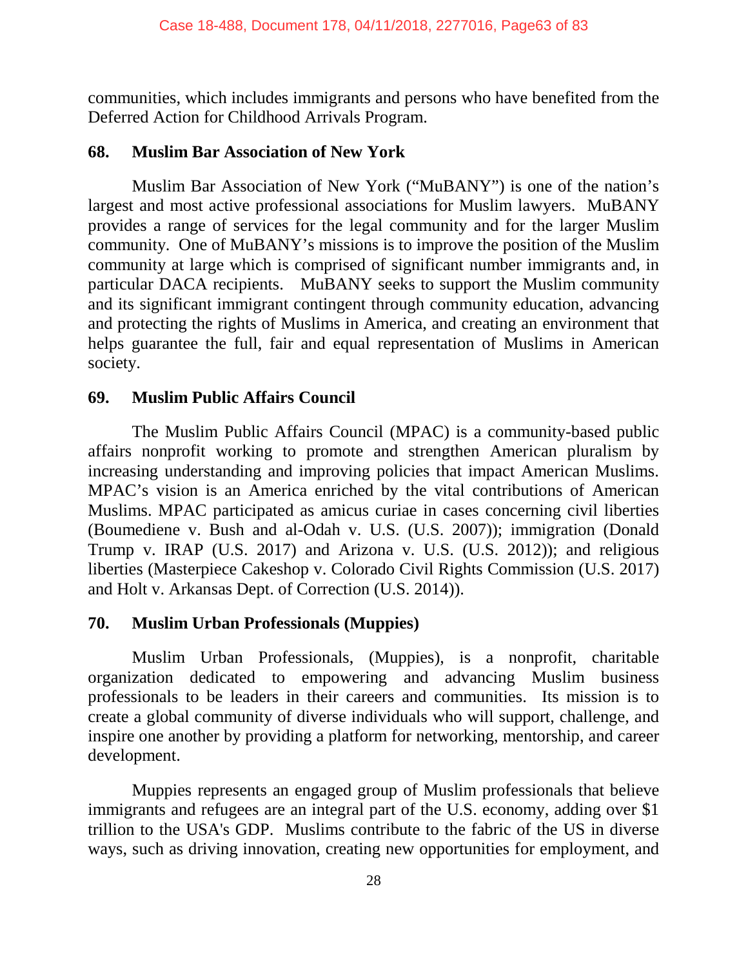communities, which includes immigrants and persons who have benefited from the Deferred Action for Childhood Arrivals Program.

#### **68. Muslim Bar Association of New York**

Muslim Bar Association of New York ("MuBANY") is one of the nation's largest and most active professional associations for Muslim lawyers. MuBANY provides a range of services for the legal community and for the larger Muslim community. One of MuBANY's missions is to improve the position of the Muslim community at large which is comprised of significant number immigrants and, in particular DACA recipients. MuBANY seeks to support the Muslim community and its significant immigrant contingent through community education, advancing and protecting the rights of Muslims in America, and creating an environment that helps guarantee the full, fair and equal representation of Muslims in American society.

### **69. Muslim Public Affairs Council**

The Muslim Public Affairs Council (MPAC) is a community-based public affairs nonprofit working to promote and strengthen American pluralism by increasing understanding and improving policies that impact American Muslims. MPAC's vision is an America enriched by the vital contributions of American Muslims. MPAC participated as amicus curiae in cases concerning civil liberties (Boumediene v. Bush and al-Odah v. U.S. (U.S. 2007)); immigration (Donald Trump v. IRAP (U.S. 2017) and Arizona v. U.S. (U.S. 2012)); and religious liberties (Masterpiece Cakeshop v. Colorado Civil Rights Commission (U.S. 2017) and Holt v. Arkansas Dept. of Correction (U.S. 2014)).

### **70. Muslim Urban Professionals (Muppies)**

Muslim Urban Professionals, (Muppies), is a nonprofit, charitable organization dedicated to empowering and advancing Muslim business professionals to be leaders in their careers and communities. Its mission is to create a global community of diverse individuals who will support, challenge, and inspire one another by providing a platform for networking, mentorship, and career development.

Muppies represents an engaged group of Muslim professionals that believe immigrants and refugees are an integral part of the U.S. economy, adding over \$1 trillion to the USA's GDP. Muslims contribute to the fabric of the US in diverse ways, such as driving innovation, creating new opportunities for employment, and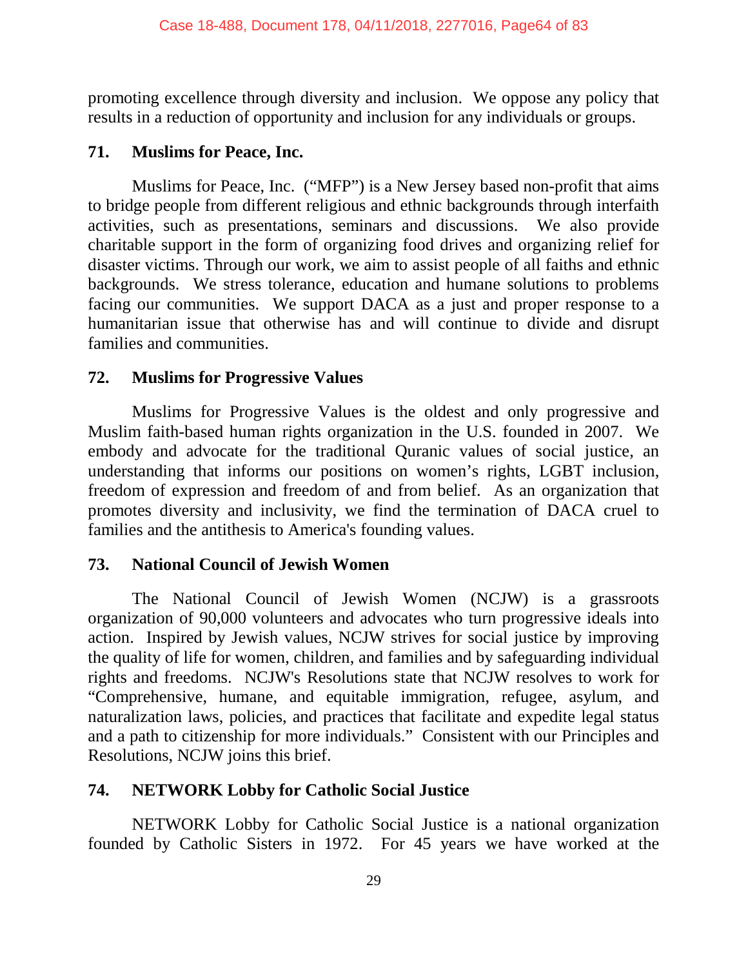promoting excellence through diversity and inclusion. We oppose any policy that results in a reduction of opportunity and inclusion for any individuals or groups.

### **71. Muslims for Peace, Inc.**

Muslims for Peace, Inc. ("MFP") is a New Jersey based non-profit that aims to bridge people from different religious and ethnic backgrounds through interfaith activities, such as presentations, seminars and discussions. We also provide charitable support in the form of organizing food drives and organizing relief for disaster victims. Through our work, we aim to assist people of all faiths and ethnic backgrounds. We stress tolerance, education and humane solutions to problems facing our communities. We support DACA as a just and proper response to a humanitarian issue that otherwise has and will continue to divide and disrupt families and communities.

# **72. Muslims for Progressive Values**

Muslims for Progressive Values is the oldest and only progressive and Muslim faith-based human rights organization in the U.S. founded in 2007. We embody and advocate for the traditional Quranic values of social justice, an understanding that informs our positions on women's rights, LGBT inclusion, freedom of expression and freedom of and from belief. As an organization that promotes diversity and inclusivity, we find the termination of DACA cruel to families and the antithesis to America's founding values.

# **73. National Council of Jewish Women**

The National Council of Jewish Women (NCJW) is a grassroots organization of 90,000 volunteers and advocates who turn progressive ideals into action. Inspired by Jewish values, NCJW strives for social justice by improving the quality of life for women, children, and families and by safeguarding individual rights and freedoms. NCJW's Resolutions state that NCJW resolves to work for "Comprehensive, humane, and equitable immigration, refugee, asylum, and naturalization laws, policies, and practices that facilitate and expedite legal status and a path to citizenship for more individuals." Consistent with our Principles and Resolutions, NCJW joins this brief.

# **74. NETWORK Lobby for Catholic Social Justice**

NETWORK Lobby for Catholic Social Justice is a national organization founded by Catholic Sisters in 1972. For 45 years we have worked at the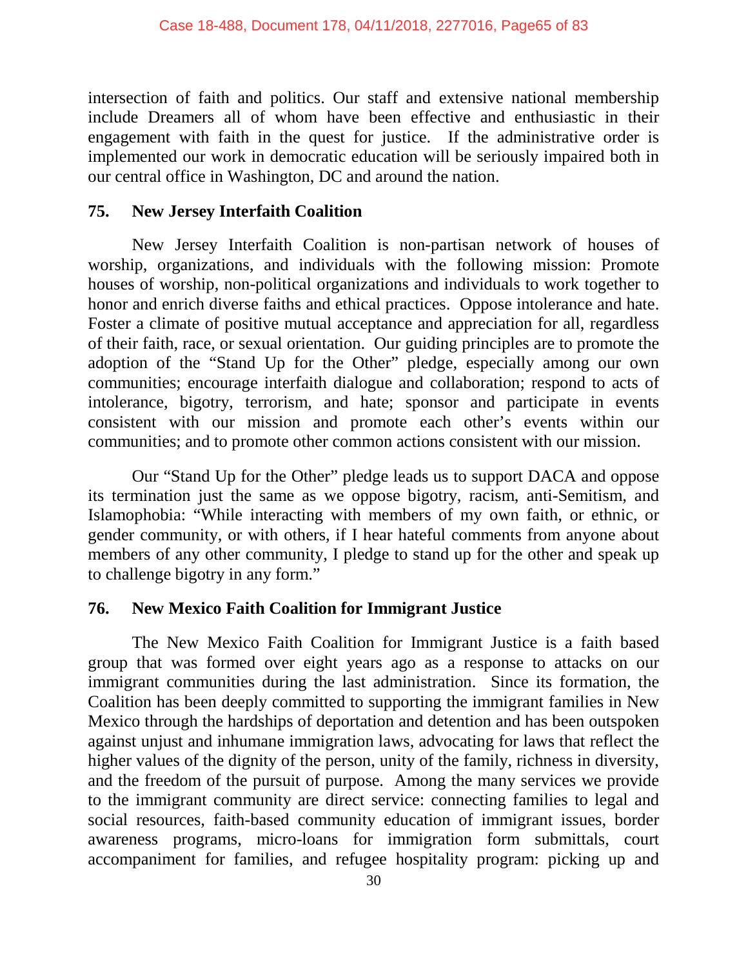intersection of faith and politics. Our staff and extensive national membership include Dreamers all of whom have been effective and enthusiastic in their engagement with faith in the quest for justice. If the administrative order is implemented our work in democratic education will be seriously impaired both in our central office in Washington, DC and around the nation.

#### **75. New Jersey Interfaith Coalition**

New Jersey Interfaith Coalition is non-partisan network of houses of worship, organizations, and individuals with the following mission: Promote houses of worship, non-political organizations and individuals to work together to honor and enrich diverse faiths and ethical practices. Oppose intolerance and hate. Foster a climate of positive mutual acceptance and appreciation for all, regardless of their faith, race, or sexual orientation. Our guiding principles are to promote the adoption of the "Stand Up for the Other" pledge, especially among our own communities; encourage interfaith dialogue and collaboration; respond to acts of intolerance, bigotry, terrorism, and hate; sponsor and participate in events consistent with our mission and promote each other's events within our communities; and to promote other common actions consistent with our mission.

Our "Stand Up for the Other" pledge leads us to support DACA and oppose its termination just the same as we oppose bigotry, racism, anti-Semitism, and Islamophobia: "While interacting with members of my own faith, or ethnic, or gender community, or with others, if I hear hateful comments from anyone about members of any other community, I pledge to stand up for the other and speak up to challenge bigotry in any form."

### **76. New Mexico Faith Coalition for Immigrant Justice**

The New Mexico Faith Coalition for Immigrant Justice is a faith based group that was formed over eight years ago as a response to attacks on our immigrant communities during the last administration. Since its formation, the Coalition has been deeply committed to supporting the immigrant families in New Mexico through the hardships of deportation and detention and has been outspoken against unjust and inhumane immigration laws, advocating for laws that reflect the higher values of the dignity of the person, unity of the family, richness in diversity, and the freedom of the pursuit of purpose. Among the many services we provide to the immigrant community are direct service: connecting families to legal and social resources, faith-based community education of immigrant issues, border awareness programs, micro-loans for immigration form submittals, court accompaniment for families, and refugee hospitality program: picking up and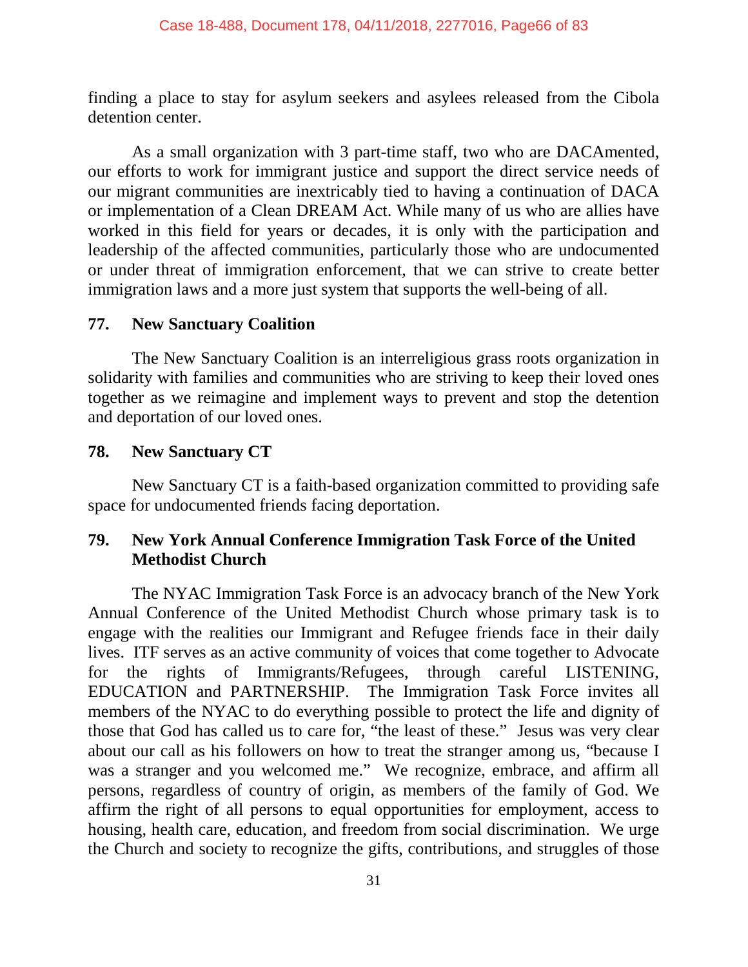finding a place to stay for asylum seekers and asylees released from the Cibola detention center.

As a small organization with 3 part-time staff, two who are DACAmented, our efforts to work for immigrant justice and support the direct service needs of our migrant communities are inextricably tied to having a continuation of DACA or implementation of a Clean DREAM Act. While many of us who are allies have worked in this field for years or decades, it is only with the participation and leadership of the affected communities, particularly those who are undocumented or under threat of immigration enforcement, that we can strive to create better immigration laws and a more just system that supports the well-being of all.

### **77. New Sanctuary Coalition**

The New Sanctuary Coalition is an interreligious grass roots organization in solidarity with families and communities who are striving to keep their loved ones together as we reimagine and implement ways to prevent and stop the detention and deportation of our loved ones.

### **78. New Sanctuary CT**

New Sanctuary CT is a faith-based organization committed to providing safe space for undocumented friends facing deportation.

### **79. New York Annual Conference Immigration Task Force of the United Methodist Church**

The NYAC Immigration Task Force is an advocacy branch of the New York Annual Conference of the United Methodist Church whose primary task is to engage with the realities our Immigrant and Refugee friends face in their daily lives. ITF serves as an active community of voices that come together to Advocate for the rights of Immigrants/Refugees, through careful LISTENING, EDUCATION and PARTNERSHIP. The Immigration Task Force invites all members of the NYAC to do everything possible to protect the life and dignity of those that God has called us to care for, "the least of these." Jesus was very clear about our call as his followers on how to treat the stranger among us, "because I was a stranger and you welcomed me." We recognize, embrace, and affirm all persons, regardless of country of origin, as members of the family of God. We affirm the right of all persons to equal opportunities for employment, access to housing, health care, education, and freedom from social discrimination. We urge the Church and society to recognize the gifts, contributions, and struggles of those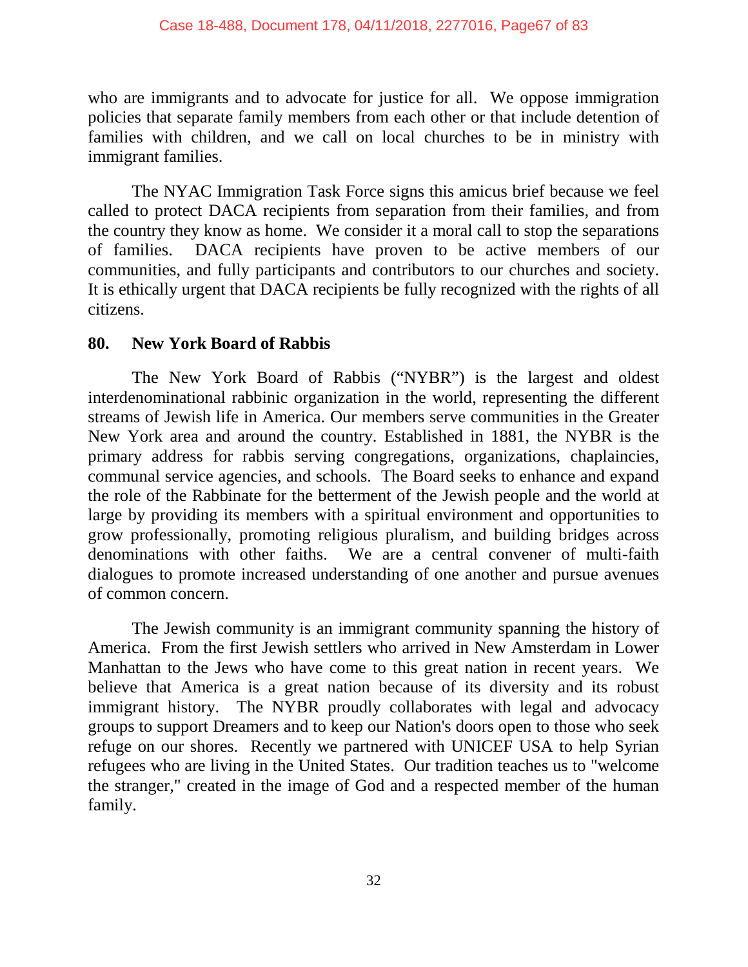who are immigrants and to advocate for justice for all. We oppose immigration policies that separate family members from each other or that include detention of families with children, and we call on local churches to be in ministry with immigrant families.

The NYAC Immigration Task Force signs this amicus brief because we feel called to protect DACA recipients from separation from their families, and from the country they know as home. We consider it a moral call to stop the separations of families. DACA recipients have proven to be active members of our communities, and fully participants and contributors to our churches and society. It is ethically urgent that DACA recipients be fully recognized with the rights of all citizens.

### **80. New York Board of Rabbis**

The New York Board of Rabbis ("NYBR") is the largest and oldest interdenominational rabbinic organization in the world, representing the different streams of Jewish life in America. Our members serve communities in the Greater New York area and around the country. Established in 1881, the NYBR is the primary address for rabbis serving congregations, organizations, chaplaincies, communal service agencies, and schools. The Board seeks to enhance and expand the role of the Rabbinate for the betterment of the Jewish people and the world at large by providing its members with a spiritual environment and opportunities to grow professionally, promoting religious pluralism, and building bridges across denominations with other faiths. We are a central convener of multi-faith dialogues to promote increased understanding of one another and pursue avenues of common concern.

The Jewish community is an immigrant community spanning the history of America. From the first Jewish settlers who arrived in New Amsterdam in Lower Manhattan to the Jews who have come to this great nation in recent years. We believe that America is a great nation because of its diversity and its robust immigrant history. The NYBR proudly collaborates with legal and advocacy groups to support Dreamers and to keep our Nation's doors open to those who seek refuge on our shores. Recently we partnered with UNICEF USA to help Syrian refugees who are living in the United States. Our tradition teaches us to "welcome the stranger," created in the image of God and a respected member of the human family.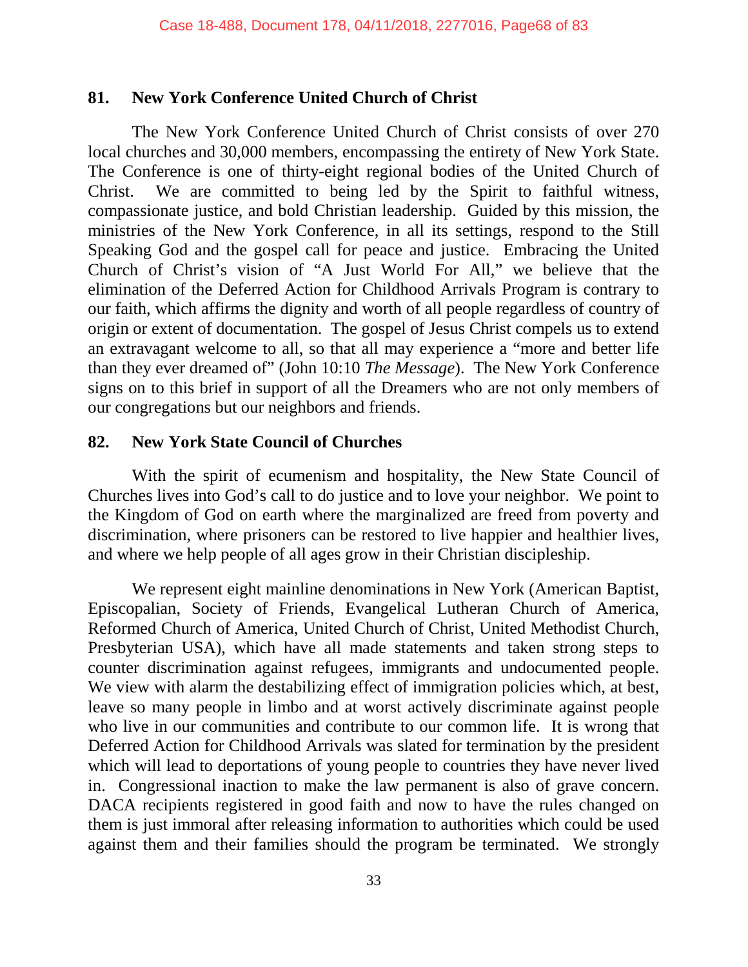#### **81. New York Conference United Church of Christ**

The New York Conference United Church of Christ consists of over 270 local churches and 30,000 members, encompassing the entirety of New York State. The Conference is one of thirty-eight regional bodies of the United Church of Christ. We are committed to being led by the Spirit to faithful witness, compassionate justice, and bold Christian leadership. Guided by this mission, the ministries of the New York Conference, in all its settings, respond to the Still Speaking God and the gospel call for peace and justice. Embracing the United Church of Christ's vision of "A Just World For All," we believe that the elimination of the Deferred Action for Childhood Arrivals Program is contrary to our faith, which affirms the dignity and worth of all people regardless of country of origin or extent of documentation. The gospel of Jesus Christ compels us to extend an extravagant welcome to all, so that all may experience a "more and better life than they ever dreamed of" (John 10:10 *The Message*). The New York Conference signs on to this brief in support of all the Dreamers who are not only members of our congregations but our neighbors and friends.

### **82. New York State Council of Churches**

With the spirit of ecumenism and hospitality, the New State Council of Churches lives into God's call to do justice and to love your neighbor. We point to the Kingdom of God on earth where the marginalized are freed from poverty and discrimination, where prisoners can be restored to live happier and healthier lives, and where we help people of all ages grow in their Christian discipleship.

We represent eight mainline denominations in New York (American Baptist, Episcopalian, Society of Friends, Evangelical Lutheran Church of America, Reformed Church of America, United Church of Christ, United Methodist Church, Presbyterian USA), which have all made statements and taken strong steps to counter discrimination against refugees, immigrants and undocumented people. We view with alarm the destabilizing effect of immigration policies which, at best, leave so many people in limbo and at worst actively discriminate against people who live in our communities and contribute to our common life. It is wrong that Deferred Action for Childhood Arrivals was slated for termination by the president which will lead to deportations of young people to countries they have never lived in. Congressional inaction to make the law permanent is also of grave concern. DACA recipients registered in good faith and now to have the rules changed on them is just immoral after releasing information to authorities which could be used against them and their families should the program be terminated. We strongly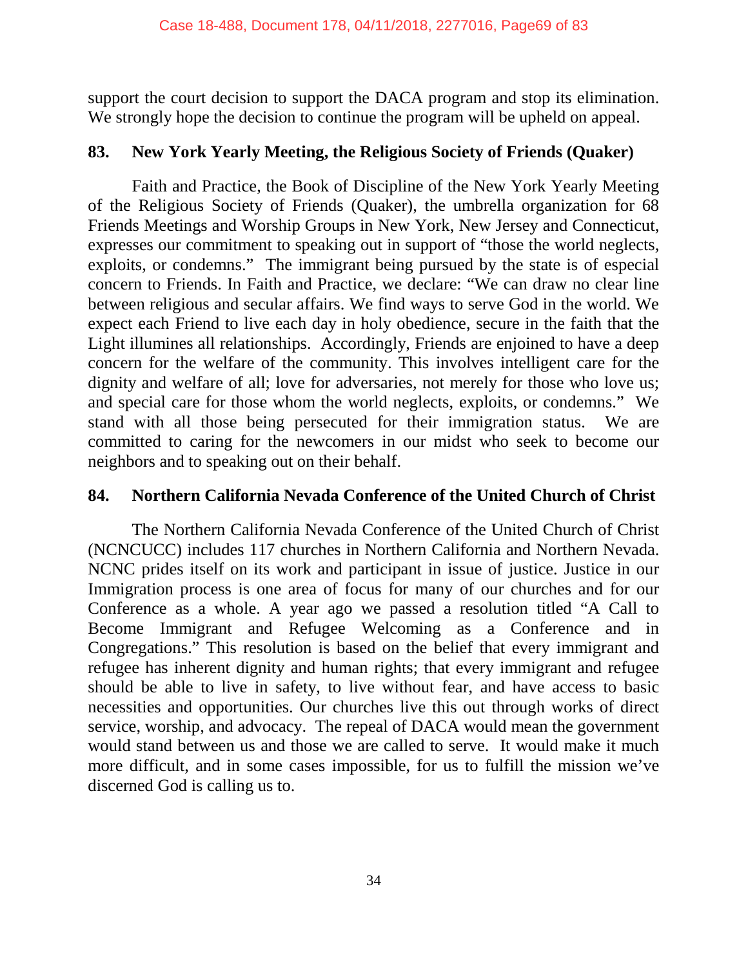support the court decision to support the DACA program and stop its elimination. We strongly hope the decision to continue the program will be upheld on appeal.

#### **83. New York Yearly Meeting, the Religious Society of Friends (Quaker)**

Faith and Practice, the Book of Discipline of the New York Yearly Meeting of the Religious Society of Friends (Quaker), the umbrella organization for 68 Friends Meetings and Worship Groups in New York, New Jersey and Connecticut, expresses our commitment to speaking out in support of "those the world neglects, exploits, or condemns." The immigrant being pursued by the state is of especial concern to Friends. In Faith and Practice, we declare: "We can draw no clear line between religious and secular affairs. We find ways to serve God in the world. We expect each Friend to live each day in holy obedience, secure in the faith that the Light illumines all relationships. Accordingly, Friends are enjoined to have a deep concern for the welfare of the community. This involves intelligent care for the dignity and welfare of all; love for adversaries, not merely for those who love us; and special care for those whom the world neglects, exploits, or condemns." We stand with all those being persecuted for their immigration status. We are committed to caring for the newcomers in our midst who seek to become our neighbors and to speaking out on their behalf.

### **84. Northern California Nevada Conference of the United Church of Christ**

The Northern California Nevada Conference of the United Church of Christ (NCNCUCC) includes 117 churches in Northern California and Northern Nevada. NCNC prides itself on its work and participant in issue of justice. Justice in our Immigration process is one area of focus for many of our churches and for our Conference as a whole. A year ago we passed a resolution titled "A Call to Become Immigrant and Refugee Welcoming as a Conference and in Congregations." This resolution is based on the belief that every immigrant and refugee has inherent dignity and human rights; that every immigrant and refugee should be able to live in safety, to live without fear, and have access to basic necessities and opportunities. Our churches live this out through works of direct service, worship, and advocacy. The repeal of DACA would mean the government would stand between us and those we are called to serve. It would make it much more difficult, and in some cases impossible, for us to fulfill the mission we've discerned God is calling us to.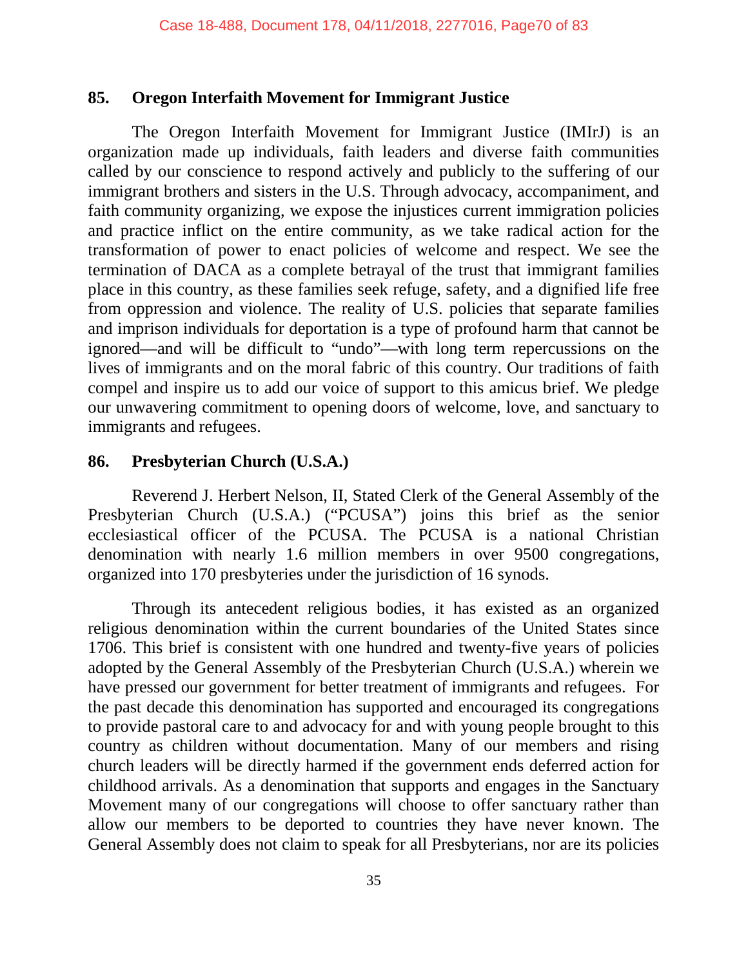#### **85. Oregon Interfaith Movement for Immigrant Justice**

The Oregon Interfaith Movement for Immigrant Justice (IMIrJ) is an organization made up individuals, faith leaders and diverse faith communities called by our conscience to respond actively and publicly to the suffering of our immigrant brothers and sisters in the U.S. Through advocacy, accompaniment, and faith community organizing, we expose the injustices current immigration policies and practice inflict on the entire community, as we take radical action for the transformation of power to enact policies of welcome and respect. We see the termination of DACA as a complete betrayal of the trust that immigrant families place in this country, as these families seek refuge, safety, and a dignified life free from oppression and violence. The reality of U.S. policies that separate families and imprison individuals for deportation is a type of profound harm that cannot be ignored—and will be difficult to "undo"—with long term repercussions on the lives of immigrants and on the moral fabric of this country. Our traditions of faith compel and inspire us to add our voice of support to this amicus brief. We pledge our unwavering commitment to opening doors of welcome, love, and sanctuary to immigrants and refugees.

#### **86. Presbyterian Church (U.S.A.)**

Reverend J. Herbert Nelson, II, Stated Clerk of the General Assembly of the Presbyterian Church (U.S.A.) ("PCUSA") joins this brief as the senior ecclesiastical officer of the PCUSA. The PCUSA is a national Christian denomination with nearly 1.6 million members in over 9500 congregations, organized into 170 presbyteries under the jurisdiction of 16 synods.

Through its antecedent religious bodies, it has existed as an organized religious denomination within the current boundaries of the United States since 1706. This brief is consistent with one hundred and twenty-five years of policies adopted by the General Assembly of the Presbyterian Church (U.S.A.) wherein we have pressed our government for better treatment of immigrants and refugees. For the past decade this denomination has supported and encouraged its congregations to provide pastoral care to and advocacy for and with young people brought to this country as children without documentation. Many of our members and rising church leaders will be directly harmed if the government ends deferred action for childhood arrivals. As a denomination that supports and engages in the Sanctuary Movement many of our congregations will choose to offer sanctuary rather than allow our members to be deported to countries they have never known. The General Assembly does not claim to speak for all Presbyterians, nor are its policies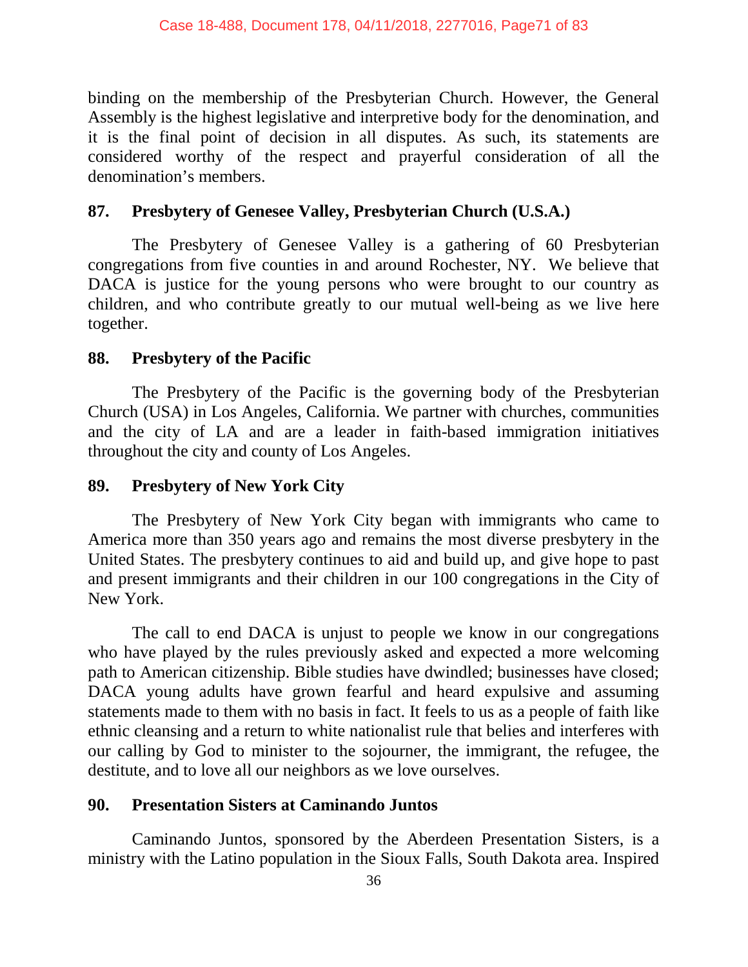binding on the membership of the Presbyterian Church. However, the General Assembly is the highest legislative and interpretive body for the denomination, and it is the final point of decision in all disputes. As such, its statements are considered worthy of the respect and prayerful consideration of all the denomination's members.

### **87. Presbytery of Genesee Valley, Presbyterian Church (U.S.A.)**

The Presbytery of Genesee Valley is a gathering of 60 Presbyterian congregations from five counties in and around Rochester, NY. We believe that DACA is justice for the young persons who were brought to our country as children, and who contribute greatly to our mutual well-being as we live here together.

### **88. Presbytery of the Pacific**

The Presbytery of the Pacific is the governing body of the Presbyterian Church (USA) in Los Angeles, California. We partner with churches, communities and the city of LA and are a leader in faith-based immigration initiatives throughout the city and county of Los Angeles.

### **89. Presbytery of New York City**

The Presbytery of New York City began with immigrants who came to America more than 350 years ago and remains the most diverse presbytery in the United States. The presbytery continues to aid and build up, and give hope to past and present immigrants and their children in our 100 congregations in the City of New York.

The call to end DACA is unjust to people we know in our congregations who have played by the rules previously asked and expected a more welcoming path to American citizenship. Bible studies have dwindled; businesses have closed; DACA young adults have grown fearful and heard expulsive and assuming statements made to them with no basis in fact. It feels to us as a people of faith like ethnic cleansing and a return to white nationalist rule that belies and interferes with our calling by God to minister to the sojourner, the immigrant, the refugee, the destitute, and to love all our neighbors as we love ourselves.

### **90. Presentation Sisters at Caminando Juntos**

Caminando Juntos, sponsored by the Aberdeen Presentation Sisters, is a ministry with the Latino population in the Sioux Falls, South Dakota area. Inspired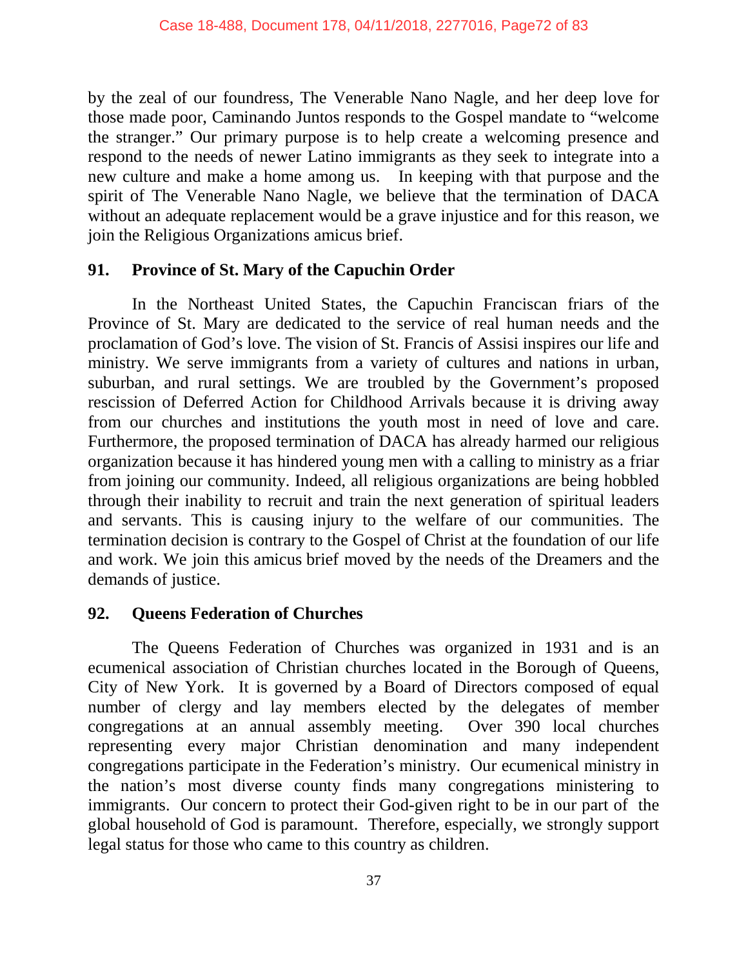by the zeal of our foundress, The Venerable Nano Nagle, and her deep love for those made poor, Caminando Juntos responds to the Gospel mandate to "welcome the stranger." Our primary purpose is to help create a welcoming presence and respond to the needs of newer Latino immigrants as they seek to integrate into a new culture and make a home among us. In keeping with that purpose and the spirit of The Venerable Nano Nagle, we believe that the termination of DACA without an adequate replacement would be a grave injustice and for this reason, we join the Religious Organizations amicus brief.

### **91. Province of St. Mary of the Capuchin Order**

In the Northeast United States, the Capuchin Franciscan friars of the Province of St. Mary are dedicated to the service of real human needs and the proclamation of God's love. The vision of St. Francis of Assisi inspires our life and ministry. We serve immigrants from a variety of cultures and nations in urban, suburban, and rural settings. We are troubled by the Government's proposed rescission of Deferred Action for Childhood Arrivals because it is driving away from our churches and institutions the youth most in need of love and care. Furthermore, the proposed termination of DACA has already harmed our religious organization because it has hindered young men with a calling to ministry as a friar from joining our community. Indeed, all religious organizations are being hobbled through their inability to recruit and train the next generation of spiritual leaders and servants. This is causing injury to the welfare of our communities. The termination decision is contrary to the Gospel of Christ at the foundation of our life and work. We join this amicus brief moved by the needs of the Dreamers and the demands of justice.

### **92. Queens Federation of Churches**

The Queens Federation of Churches was organized in 1931 and is an ecumenical association of Christian churches located in the Borough of Queens, City of New York. It is governed by a Board of Directors composed of equal number of clergy and lay members elected by the delegates of member congregations at an annual assembly meeting. Over 390 local churches representing every major Christian denomination and many independent congregations participate in the Federation's ministry. Our ecumenical ministry in the nation's most diverse county finds many congregations ministering to immigrants. Our concern to protect their God-given right to be in our part of the global household of God is paramount. Therefore, especially, we strongly support legal status for those who came to this country as children.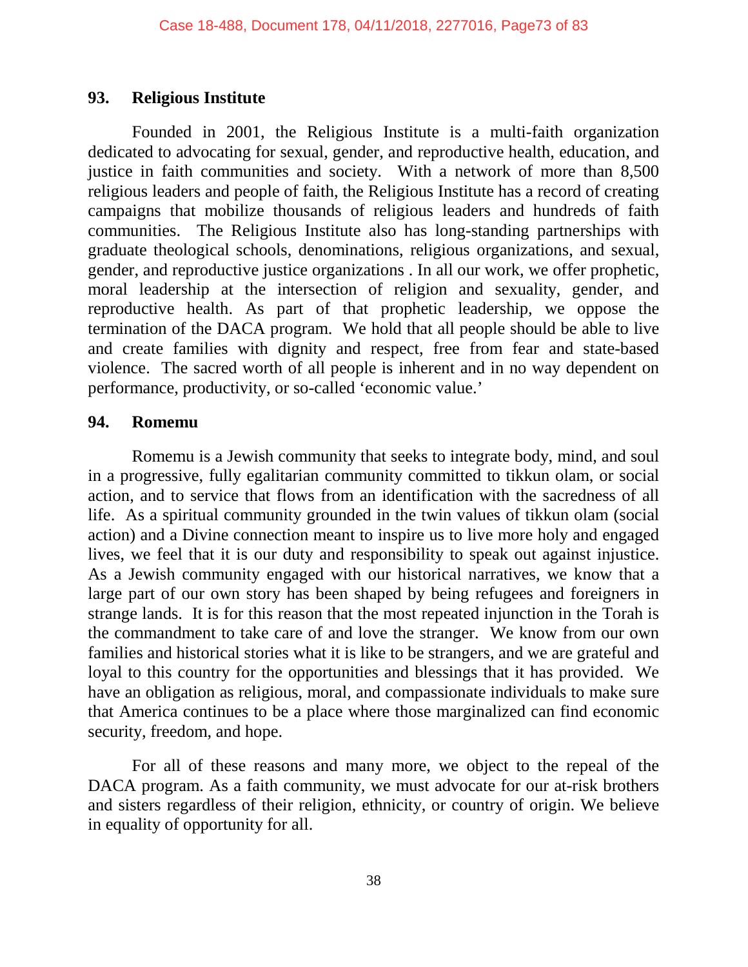## **93. Religious Institute**

Founded in 2001, the Religious Institute is a multi-faith organization dedicated to advocating for sexual, gender, and reproductive health, education, and justice in faith communities and society. With a network of more than 8,500 religious leaders and people of faith, the Religious Institute has a record of creating campaigns that mobilize thousands of religious leaders and hundreds of faith communities. The Religious Institute also has long-standing partnerships with graduate theological schools, denominations, religious organizations, and sexual, gender, and reproductive justice organizations . In all our work, we offer prophetic, moral leadership at the intersection of religion and sexuality, gender, and reproductive health. As part of that prophetic leadership, we oppose the termination of the DACA program. We hold that all people should be able to live and create families with dignity and respect, free from fear and state-based violence. The sacred worth of all people is inherent and in no way dependent on performance, productivity, or so-called 'economic value.'

#### **94. Romemu**

Romemu is a Jewish community that seeks to integrate body, mind, and soul in a progressive, fully egalitarian community committed to tikkun olam, or social action, and to service that flows from an identification with the sacredness of all life. As a spiritual community grounded in the twin values of tikkun olam (social action) and a Divine connection meant to inspire us to live more holy and engaged lives, we feel that it is our duty and responsibility to speak out against injustice. As a Jewish community engaged with our historical narratives, we know that a large part of our own story has been shaped by being refugees and foreigners in strange lands. It is for this reason that the most repeated injunction in the Torah is the commandment to take care of and love the stranger. We know from our own families and historical stories what it is like to be strangers, and we are grateful and loyal to this country for the opportunities and blessings that it has provided. We have an obligation as religious, moral, and compassionate individuals to make sure that America continues to be a place where those marginalized can find economic security, freedom, and hope.

For all of these reasons and many more, we object to the repeal of the DACA program. As a faith community, we must advocate for our at-risk brothers and sisters regardless of their religion, ethnicity, or country of origin. We believe in equality of opportunity for all.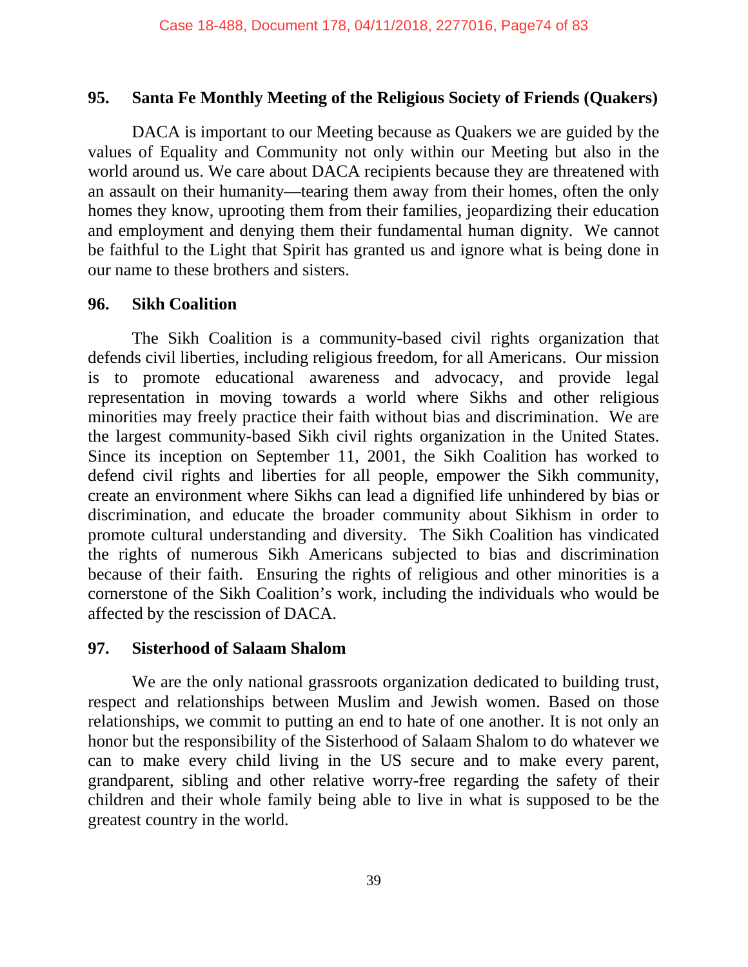#### **95. Santa Fe Monthly Meeting of the Religious Society of Friends (Quakers)**

DACA is important to our Meeting because as Quakers we are guided by the values of Equality and Community not only within our Meeting but also in the world around us. We care about DACA recipients because they are threatened with an assault on their humanity—tearing them away from their homes, often the only homes they know, uprooting them from their families, jeopardizing their education and employment and denying them their fundamental human dignity. We cannot be faithful to the Light that Spirit has granted us and ignore what is being done in our name to these brothers and sisters.

#### **96. Sikh Coalition**

The Sikh Coalition is a community-based civil rights organization that defends civil liberties, including religious freedom, for all Americans. Our mission is to promote educational awareness and advocacy, and provide legal representation in moving towards a world where Sikhs and other religious minorities may freely practice their faith without bias and discrimination. We are the largest community-based Sikh civil rights organization in the United States. Since its inception on September 11, 2001, the Sikh Coalition has worked to defend civil rights and liberties for all people, empower the Sikh community, create an environment where Sikhs can lead a dignified life unhindered by bias or discrimination, and educate the broader community about Sikhism in order to promote cultural understanding and diversity. The Sikh Coalition has vindicated the rights of numerous Sikh Americans subjected to bias and discrimination because of their faith. Ensuring the rights of religious and other minorities is a cornerstone of the Sikh Coalition's work, including the individuals who would be affected by the rescission of DACA.

#### **97. Sisterhood of Salaam Shalom**

We are the only national grassroots organization dedicated to building trust, respect and relationships between Muslim and Jewish women. Based on those relationships, we commit to putting an end to hate of one another. It is not only an honor but the responsibility of the Sisterhood of Salaam Shalom to do whatever we can to make every child living in the US secure and to make every parent, grandparent, sibling and other relative worry-free regarding the safety of their children and their whole family being able to live in what is supposed to be the greatest country in the world.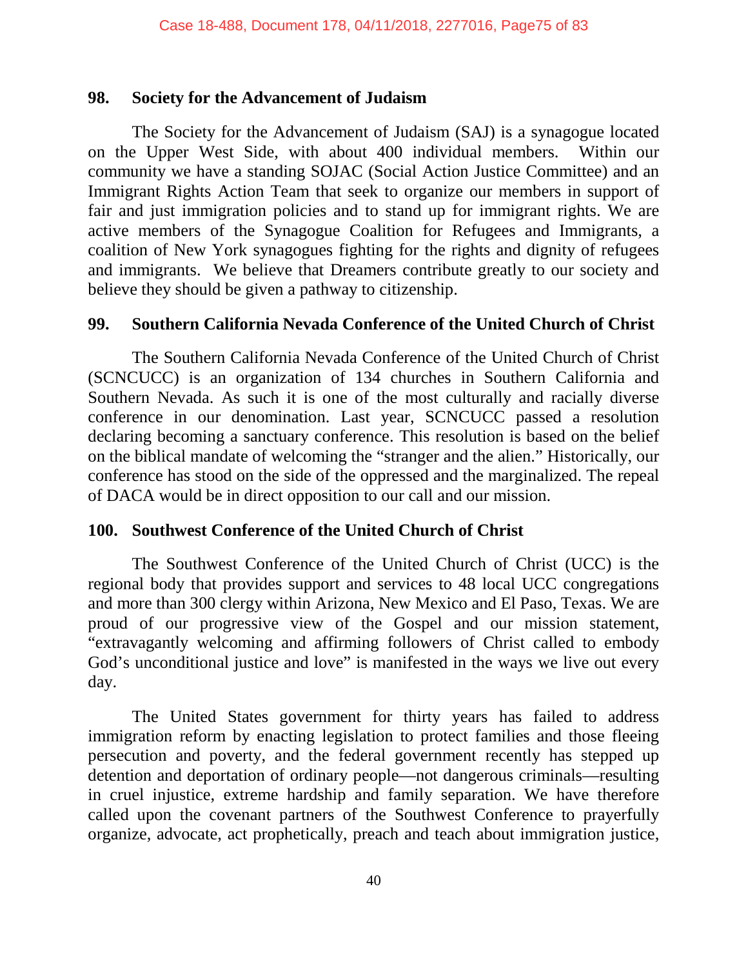#### **98. Society for the Advancement of Judaism**

The Society for the Advancement of Judaism (SAJ) is a synagogue located on the Upper West Side, with about 400 individual members. Within our community we have a standing SOJAC (Social Action Justice Committee) and an Immigrant Rights Action Team that seek to organize our members in support of fair and just immigration policies and to stand up for immigrant rights. We are active members of the Synagogue Coalition for Refugees and Immigrants, a coalition of New York synagogues fighting for the rights and dignity of refugees and immigrants. We believe that Dreamers contribute greatly to our society and believe they should be given a pathway to citizenship.

## **99. Southern California Nevada Conference of the United Church of Christ**

The Southern California Nevada Conference of the United Church of Christ (SCNCUCC) is an organization of 134 churches in Southern California and Southern Nevada. As such it is one of the most culturally and racially diverse conference in our denomination. Last year, SCNCUCC passed a resolution declaring becoming a sanctuary conference. This resolution is based on the belief on the biblical mandate of welcoming the "stranger and the alien." Historically, our conference has stood on the side of the oppressed and the marginalized. The repeal of DACA would be in direct opposition to our call and our mission.

## **100. Southwest Conference of the United Church of Christ**

The Southwest Conference of the United Church of Christ (UCC) is the regional body that provides support and services to 48 local UCC congregations and more than 300 clergy within Arizona, New Mexico and El Paso, Texas. We are proud of our progressive view of the Gospel and our mission statement, "extravagantly welcoming and affirming followers of Christ called to embody God's unconditional justice and love" is manifested in the ways we live out every day.

The United States government for thirty years has failed to address immigration reform by enacting legislation to protect families and those fleeing persecution and poverty, and the federal government recently has stepped up detention and deportation of ordinary people—not dangerous criminals—resulting in cruel injustice, extreme hardship and family separation. We have therefore called upon the covenant partners of the Southwest Conference to prayerfully organize, advocate, act prophetically, preach and teach about immigration justice,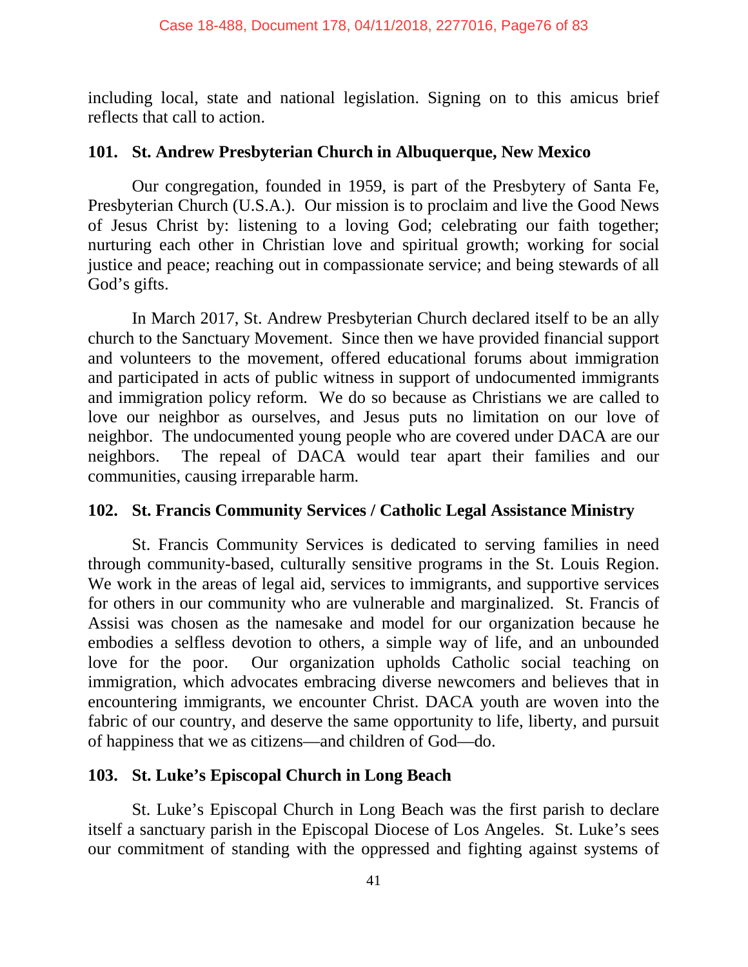including local, state and national legislation. Signing on to this amicus brief reflects that call to action.

#### **101. St. Andrew Presbyterian Church in Albuquerque, New Mexico**

Our congregation, founded in 1959, is part of the Presbytery of Santa Fe, Presbyterian Church (U.S.A.). Our mission is to proclaim and live the Good News of Jesus Christ by: listening to a loving God; celebrating our faith together; nurturing each other in Christian love and spiritual growth; working for social justice and peace; reaching out in compassionate service; and being stewards of all God's gifts.

In March 2017, St. Andrew Presbyterian Church declared itself to be an ally church to the Sanctuary Movement. Since then we have provided financial support and volunteers to the movement, offered educational forums about immigration and participated in acts of public witness in support of undocumented immigrants and immigration policy reform. We do so because as Christians we are called to love our neighbor as ourselves, and Jesus puts no limitation on our love of neighbor. The undocumented young people who are covered under DACA are our neighbors. The repeal of DACA would tear apart their families and our communities, causing irreparable harm.

## **102. St. Francis Community Services / Catholic Legal Assistance Ministry**

St. Francis Community Services is dedicated to serving families in need through community-based, culturally sensitive programs in the St. Louis Region. We work in the areas of legal aid, services to immigrants, and supportive services for others in our community who are vulnerable and marginalized. St. Francis of Assisi was chosen as the namesake and model for our organization because he embodies a selfless devotion to others, a simple way of life, and an unbounded love for the poor. Our organization upholds Catholic social teaching on immigration, which advocates embracing diverse newcomers and believes that in encountering immigrants, we encounter Christ. DACA youth are woven into the fabric of our country, and deserve the same opportunity to life, liberty, and pursuit of happiness that we as citizens—and children of God—do.

## **103. St. Luke's Episcopal Church in Long Beach**

St. Luke's Episcopal Church in Long Beach was the first parish to declare itself a sanctuary parish in the Episcopal Diocese of Los Angeles. St. Luke's sees our commitment of standing with the oppressed and fighting against systems of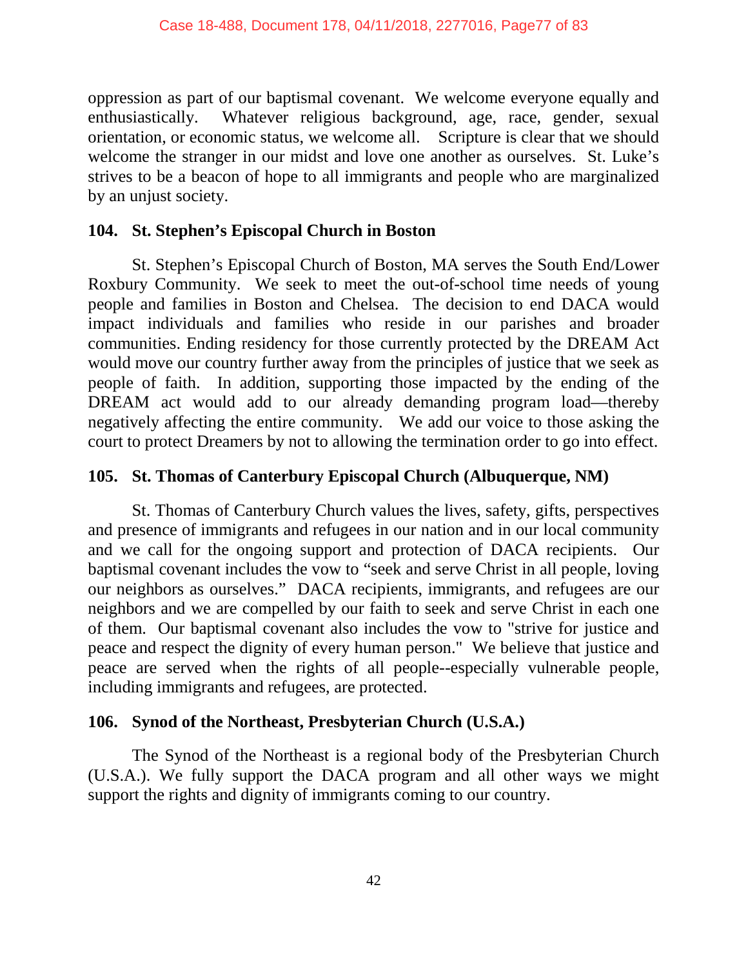oppression as part of our baptismal covenant. We welcome everyone equally and enthusiastically. Whatever religious background, age, race, gender, sexual orientation, or economic status, we welcome all. Scripture is clear that we should welcome the stranger in our midst and love one another as ourselves. St. Luke's strives to be a beacon of hope to all immigrants and people who are marginalized by an unjust society.

# **104. St. Stephen's Episcopal Church in Boston**

St. Stephen's Episcopal Church of Boston, MA serves the South End/Lower Roxbury Community. We seek to meet the out-of-school time needs of young people and families in Boston and Chelsea. The decision to end DACA would impact individuals and families who reside in our parishes and broader communities. Ending residency for those currently protected by the DREAM Act would move our country further away from the principles of justice that we seek as people of faith. In addition, supporting those impacted by the ending of the DREAM act would add to our already demanding program load—thereby negatively affecting the entire community. We add our voice to those asking the court to protect Dreamers by not to allowing the termination order to go into effect.

# **105. St. Thomas of Canterbury Episcopal Church (Albuquerque, NM)**

St. Thomas of Canterbury Church values the lives, safety, gifts, perspectives and presence of immigrants and refugees in our nation and in our local community and we call for the ongoing support and protection of DACA recipients. Our baptismal covenant includes the vow to "seek and serve Christ in all people, loving our neighbors as ourselves." DACA recipients, immigrants, and refugees are our neighbors and we are compelled by our faith to seek and serve Christ in each one of them. Our baptismal covenant also includes the vow to "strive for justice and peace and respect the dignity of every human person." We believe that justice and peace are served when the rights of all people--especially vulnerable people, including immigrants and refugees, are protected.

## **106. Synod of the Northeast, Presbyterian Church (U.S.A.)**

The Synod of the Northeast is a regional body of the Presbyterian Church (U.S.A.). We fully support the DACA program and all other ways we might support the rights and dignity of immigrants coming to our country.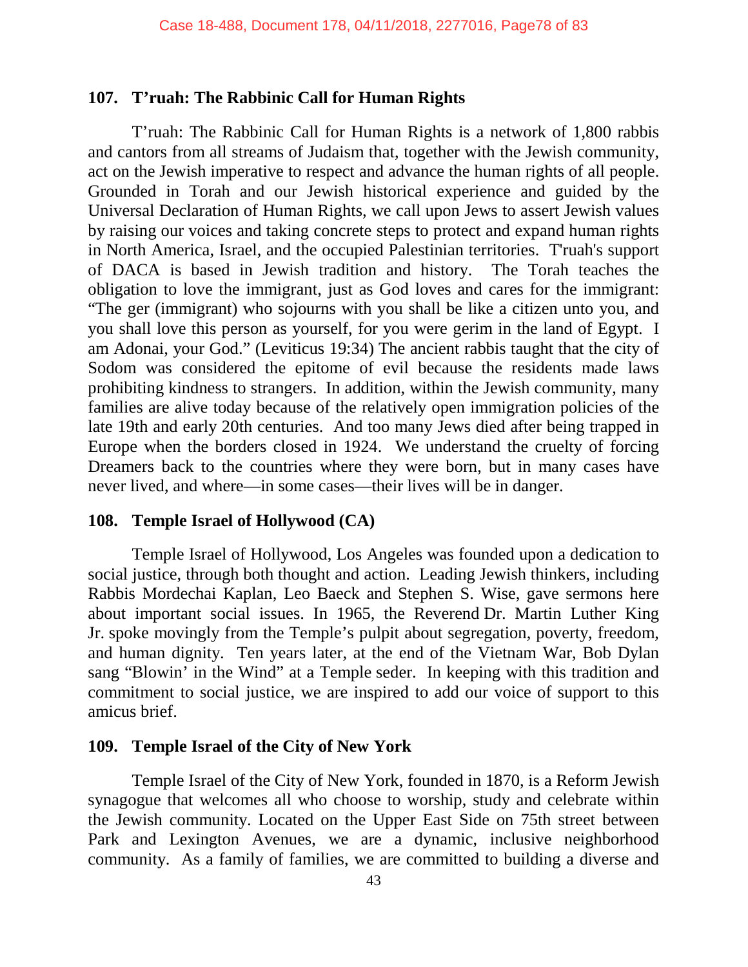#### **107. T'ruah: The Rabbinic Call for Human Rights**

T'ruah: The Rabbinic Call for Human Rights is a network of 1,800 rabbis and cantors from all streams of Judaism that, together with the Jewish community, act on the Jewish imperative to respect and advance the human rights of all people. Grounded in Torah and our Jewish historical experience and guided by the Universal Declaration of Human Rights, we call upon Jews to assert Jewish values by raising our voices and taking concrete steps to protect and expand human rights in North America, Israel, and the occupied Palestinian territories. T'ruah's support of DACA is based in Jewish tradition and history. The Torah teaches the obligation to love the immigrant, just as God loves and cares for the immigrant: "The ger (immigrant) who sojourns with you shall be like a citizen unto you, and you shall love this person as yourself, for you were gerim in the land of Egypt. I am Adonai, your God." (Leviticus 19:34) The ancient rabbis taught that the city of Sodom was considered the epitome of evil because the residents made laws prohibiting kindness to strangers. In addition, within the Jewish community, many families are alive today because of the relatively open immigration policies of the late 19th and early 20th centuries. And too many Jews died after being trapped in Europe when the borders closed in 1924. We understand the cruelty of forcing Dreamers back to the countries where they were born, but in many cases have never lived, and where—in some cases—their lives will be in danger.

## **108. Temple Israel of Hollywood (CA)**

Temple Israel of Hollywood, Los Angeles was founded upon a dedication to social justice, through both thought and action. Leading Jewish thinkers, including Rabbis Mordechai Kaplan, Leo Baeck and Stephen S. Wise, gave sermons here about important social issues. In 1965, the Reverend Dr. Martin Luther King Jr. spoke movingly from the Temple's pulpit about segregation, poverty, freedom, and human dignity. Ten years later, at the end of the Vietnam War, Bob Dylan sang "Blowin' in the Wind" at a Temple seder. In keeping with this tradition and commitment to social justice, we are inspired to add our voice of support to this amicus brief.

#### **109. Temple Israel of the City of New York**

Temple Israel of the City of New York, founded in 1870, is a Reform Jewish synagogue that welcomes all who choose to worship, study and celebrate within the Jewish community. Located on the Upper East Side on 75th street between Park and Lexington Avenues, we are a dynamic, inclusive neighborhood community. As a family of families, we are committed to building a diverse and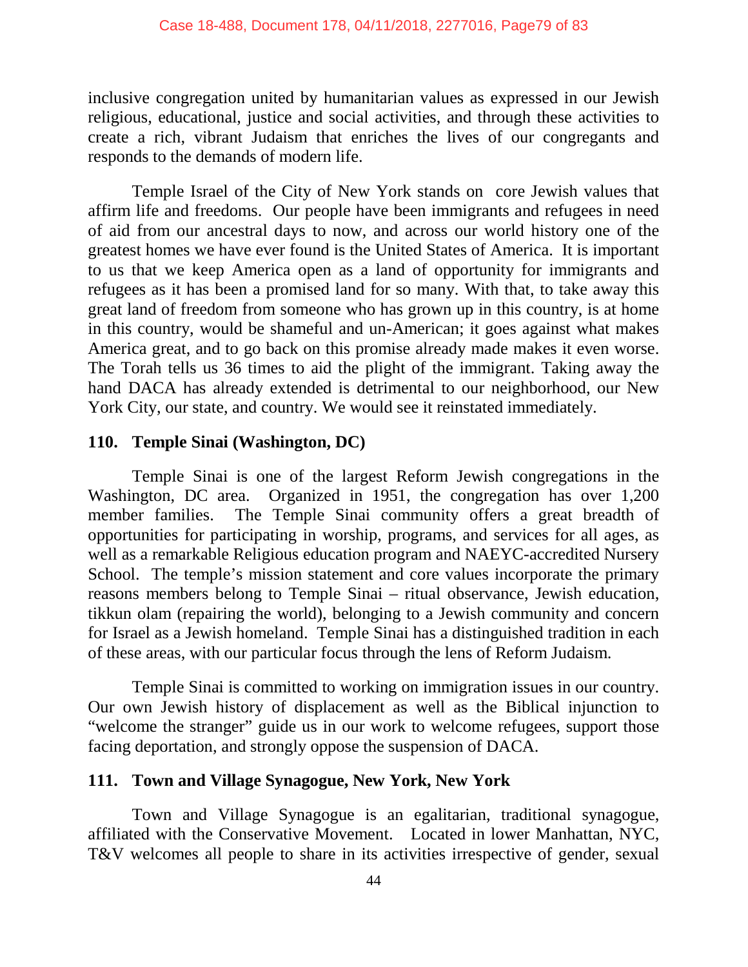inclusive congregation united by humanitarian values as expressed in our Jewish religious, educational, justice and social activities, and through these activities to create a rich, vibrant Judaism that enriches the lives of our congregants and responds to the demands of modern life.

Temple Israel of the City of New York stands on core Jewish values that affirm life and freedoms. Our people have been immigrants and refugees in need of aid from our ancestral days to now, and across our world history one of the greatest homes we have ever found is the United States of America. It is important to us that we keep America open as a land of opportunity for immigrants and refugees as it has been a promised land for so many. With that, to take away this great land of freedom from someone who has grown up in this country, is at home in this country, would be shameful and un-American; it goes against what makes America great, and to go back on this promise already made makes it even worse. The Torah tells us 36 times to aid the plight of the immigrant. Taking away the hand DACA has already extended is detrimental to our neighborhood, our New York City, our state, and country. We would see it reinstated immediately.

## **110. Temple Sinai (Washington, DC)**

Temple Sinai is one of the largest Reform Jewish congregations in the Washington, DC area. Organized in 1951, the congregation has over 1,200 member families. The Temple Sinai community offers a great breadth of opportunities for participating in worship, programs, and services for all ages, as well as a remarkable Religious education program and NAEYC-accredited Nursery School. The temple's mission statement and core values incorporate the primary reasons members belong to Temple Sinai – ritual observance, Jewish education, tikkun olam (repairing the world), belonging to a Jewish community and concern for Israel as a Jewish homeland. Temple Sinai has a distinguished tradition in each of these areas, with our particular focus through the lens of Reform Judaism.

Temple Sinai is committed to working on immigration issues in our country. Our own Jewish history of displacement as well as the Biblical injunction to "welcome the stranger" guide us in our work to welcome refugees, support those facing deportation, and strongly oppose the suspension of DACA.

#### **111. Town and Village Synagogue, New York, New York**

Town and Village Synagogue is an egalitarian, traditional synagogue, affiliated with the Conservative Movement. Located in lower Manhattan, NYC, T&V welcomes all people to share in its activities irrespective of gender, sexual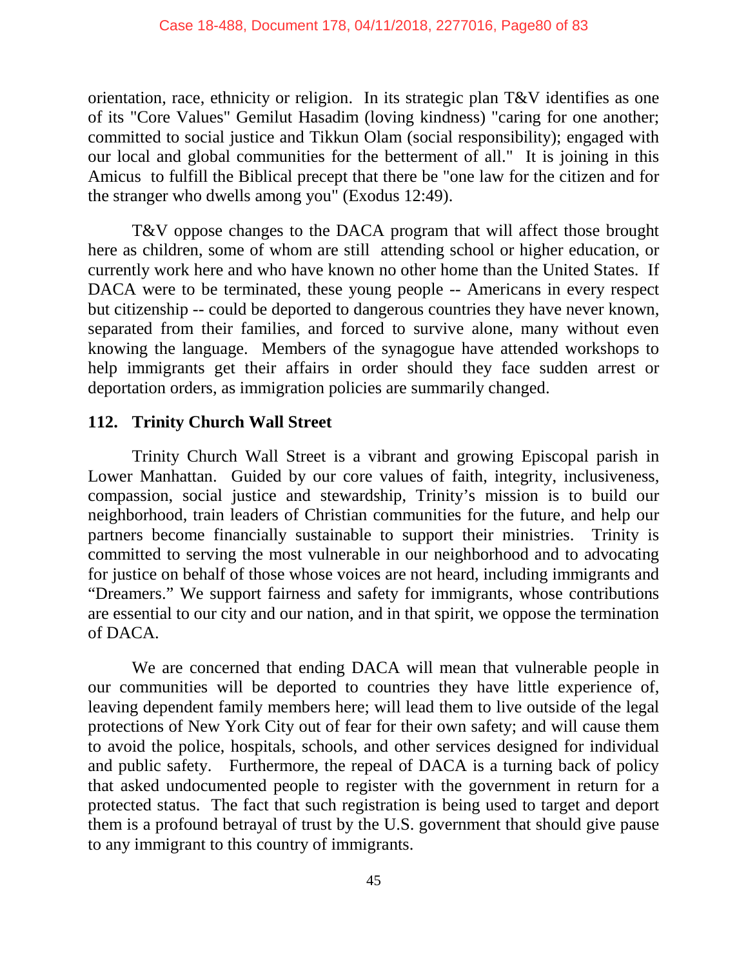orientation, race, ethnicity or religion. In its strategic plan T&V identifies as one of its "Core Values" Gemilut Hasadim (loving kindness) "caring for one another; committed to social justice and Tikkun Olam (social responsibility); engaged with our local and global communities for the betterment of all." It is joining in this Amicus to fulfill the Biblical precept that there be "one law for the citizen and for the stranger who dwells among you" (Exodus 12:49).

T&V oppose changes to the DACA program that will affect those brought here as children, some of whom are still attending school or higher education, or currently work here and who have known no other home than the United States. If DACA were to be terminated, these young people -- Americans in every respect but citizenship -- could be deported to dangerous countries they have never known, separated from their families, and forced to survive alone, many without even knowing the language. Members of the synagogue have attended workshops to help immigrants get their affairs in order should they face sudden arrest or deportation orders, as immigration policies are summarily changed.

# **112. Trinity Church Wall Street**

Trinity Church Wall Street is a vibrant and growing Episcopal parish in Lower Manhattan. Guided by our core values of faith, integrity, inclusiveness, compassion, social justice and stewardship, Trinity's mission is to build our neighborhood, train leaders of Christian communities for the future, and help our partners become financially sustainable to support their ministries. Trinity is committed to serving the most vulnerable in our neighborhood and to advocating for justice on behalf of those whose voices are not heard, including immigrants and "Dreamers." We support fairness and safety for immigrants, whose contributions are essential to our city and our nation, and in that spirit, we oppose the termination of DACA.

We are concerned that ending DACA will mean that vulnerable people in our communities will be deported to countries they have little experience of, leaving dependent family members here; will lead them to live outside of the legal protections of New York City out of fear for their own safety; and will cause them to avoid the police, hospitals, schools, and other services designed for individual and public safety. Furthermore, the repeal of DACA is a turning back of policy that asked undocumented people to register with the government in return for a protected status. The fact that such registration is being used to target and deport them is a profound betrayal of trust by the U.S. government that should give pause to any immigrant to this country of immigrants.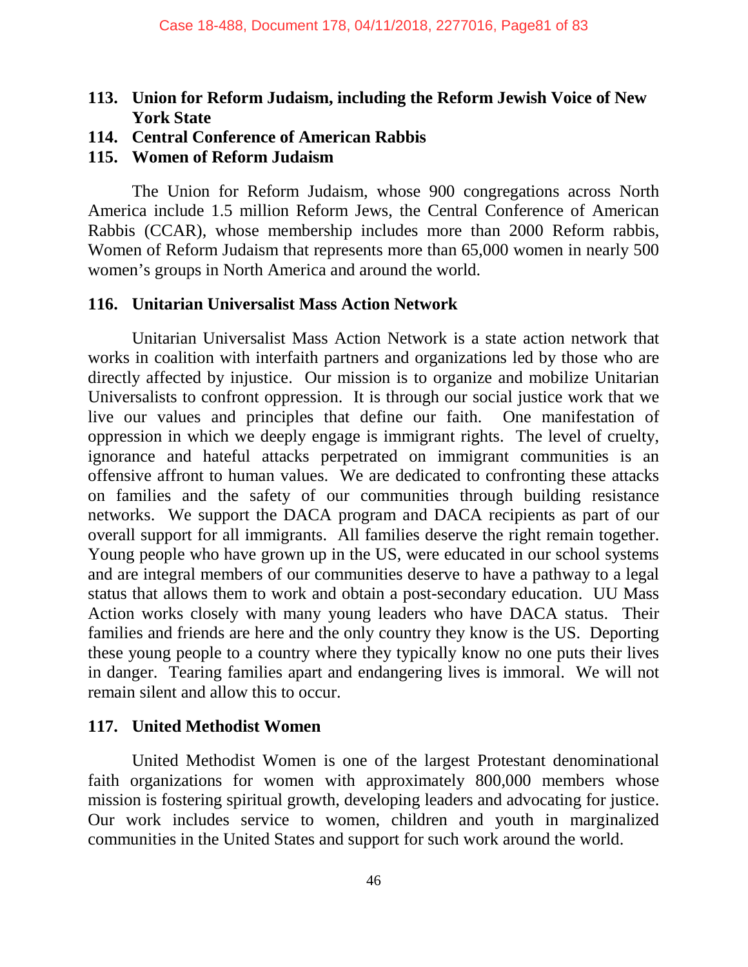# **113. Union for Reform Judaism, including the Reform Jewish Voice of New York State**

**114. Central Conference of American Rabbis**

#### **115. Women of Reform Judaism**

The Union for Reform Judaism, whose 900 congregations across North America include 1.5 million Reform Jews, the Central Conference of American Rabbis (CCAR), whose membership includes more than 2000 Reform rabbis, Women of Reform Judaism that represents more than 65,000 women in nearly 500 women's groups in North America and around the world.

#### **116. Unitarian Universalist Mass Action Network**

Unitarian Universalist Mass Action Network is a state action network that works in coalition with interfaith partners and organizations led by those who are directly affected by injustice. Our mission is to organize and mobilize Unitarian Universalists to confront oppression. It is through our social justice work that we live our values and principles that define our faith. One manifestation of oppression in which we deeply engage is immigrant rights. The level of cruelty, ignorance and hateful attacks perpetrated on immigrant communities is an offensive affront to human values. We are dedicated to confronting these attacks on families and the safety of our communities through building resistance networks. We support the DACA program and DACA recipients as part of our overall support for all immigrants. All families deserve the right remain together. Young people who have grown up in the US, were educated in our school systems and are integral members of our communities deserve to have a pathway to a legal status that allows them to work and obtain a post-secondary education. UU Mass Action works closely with many young leaders who have DACA status. Their families and friends are here and the only country they know is the US. Deporting these young people to a country where they typically know no one puts their lives in danger. Tearing families apart and endangering lives is immoral. We will not remain silent and allow this to occur.

## **117. United Methodist Women**

United Methodist Women is one of the largest Protestant denominational faith organizations for women with approximately 800,000 members whose mission is fostering spiritual growth, developing leaders and advocating for justice. Our work includes service to women, children and youth in marginalized communities in the United States and support for such work around the world.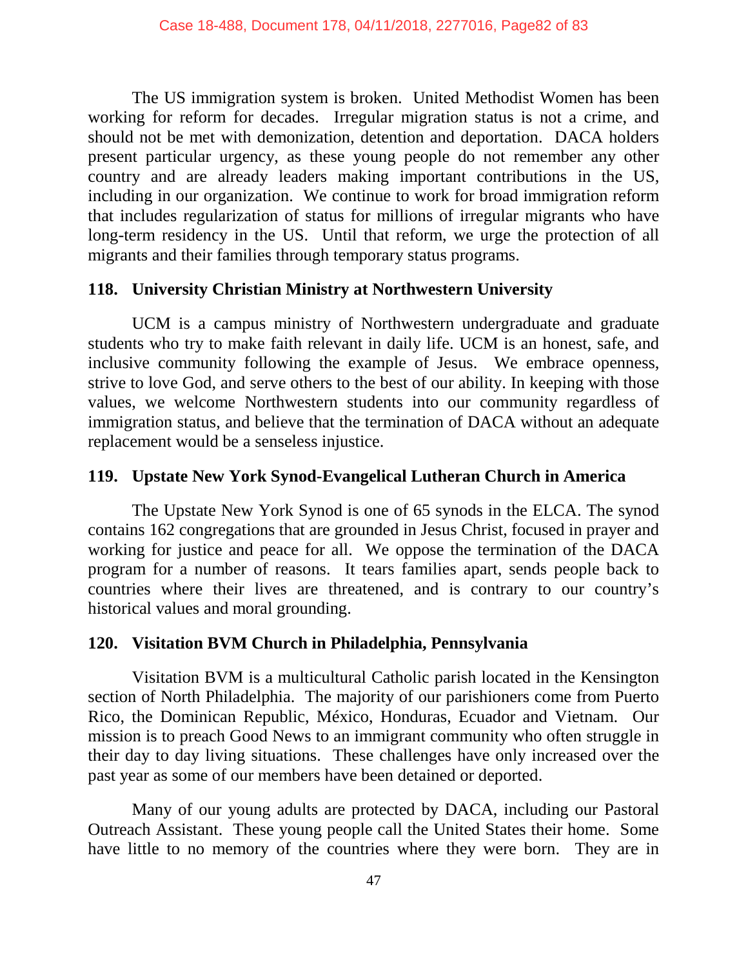The US immigration system is broken. United Methodist Women has been working for reform for decades. Irregular migration status is not a crime, and should not be met with demonization, detention and deportation. DACA holders present particular urgency, as these young people do not remember any other country and are already leaders making important contributions in the US, including in our organization. We continue to work for broad immigration reform that includes regularization of status for millions of irregular migrants who have long-term residency in the US. Until that reform, we urge the protection of all migrants and their families through temporary status programs.

## **118. University Christian Ministry at Northwestern University**

UCM is a campus ministry of Northwestern undergraduate and graduate students who try to make faith relevant in daily life. UCM is an honest, safe, and inclusive community following the example of Jesus. We embrace openness, strive to love God, and serve others to the best of our ability. In keeping with those values, we welcome Northwestern students into our community regardless of immigration status, and believe that the termination of DACA without an adequate replacement would be a senseless injustice.

# **119. Upstate New York Synod-Evangelical Lutheran Church in America**

The Upstate New York Synod is one of 65 synods in the ELCA. The synod contains 162 congregations that are grounded in Jesus Christ, focused in prayer and working for justice and peace for all. We oppose the termination of the DACA program for a number of reasons. It tears families apart, sends people back to countries where their lives are threatened, and is contrary to our country's historical values and moral grounding.

## **120. Visitation BVM Church in Philadelphia, Pennsylvania**

Visitation BVM is a multicultural Catholic parish located in the Kensington section of North Philadelphia. The majority of our parishioners come from Puerto Rico, the Dominican Republic, México, Honduras, Ecuador and Vietnam. Our mission is to preach Good News to an immigrant community who often struggle in their day to day living situations. These challenges have only increased over the past year as some of our members have been detained or deported.

Many of our young adults are protected by DACA, including our Pastoral Outreach Assistant. These young people call the United States their home. Some have little to no memory of the countries where they were born. They are in